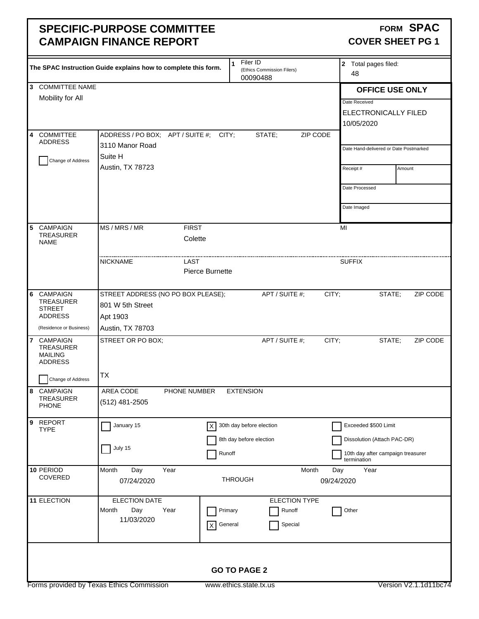### **SPECIFIC-PURPOSE COMMITTEE CAMPAIGN FINANCE REPORT**

#### FORM SPAC **COVER SHEET PG 1**

|                                                       | The SPAC Instruction Guide explains how to complete this form. | Filer ID<br>$\mathbf{1}$<br>(Ethics Commission Filers)<br>00090488 | 2 Total pages filed:<br>48                       |
|-------------------------------------------------------|----------------------------------------------------------------|--------------------------------------------------------------------|--------------------------------------------------|
| 3 COMMITTEE NAME                                      |                                                                |                                                                    | <b>OFFICE USE ONLY</b>                           |
| Mobility for All                                      |                                                                |                                                                    | Date Received                                    |
|                                                       |                                                                |                                                                    | ELECTRONICALLY FILED                             |
|                                                       |                                                                |                                                                    |                                                  |
|                                                       |                                                                |                                                                    | 10/05/2020                                       |
| <b>COMMITTEE</b><br>4<br><b>ADDRESS</b>               | ADDRESS / PO BOX; APT / SUITE #; CITY;                         | STATE;<br>ZIP CODE                                                 |                                                  |
|                                                       | 3110 Manor Road                                                |                                                                    | Date Hand-delivered or Date Postmarked           |
| Change of Address                                     | Suite H                                                        |                                                                    |                                                  |
|                                                       | Austin, TX 78723                                               |                                                                    | Amount<br>Receipt#                               |
|                                                       |                                                                |                                                                    |                                                  |
|                                                       |                                                                |                                                                    | Date Processed                                   |
|                                                       |                                                                |                                                                    | Date Imaged                                      |
|                                                       |                                                                |                                                                    |                                                  |
| CAMPAIGN<br>5                                         | MS / MRS / MR<br><b>FIRST</b>                                  |                                                                    | MI                                               |
| <b>TREASURER</b>                                      | Colette                                                        |                                                                    |                                                  |
| <b>NAME</b>                                           |                                                                |                                                                    |                                                  |
|                                                       | <b>NICKNAME</b><br>LAST                                        |                                                                    | <b>SUFFIX</b>                                    |
|                                                       | Pierce Burnette                                                |                                                                    |                                                  |
|                                                       |                                                                |                                                                    |                                                  |
| CAMPAIGN<br>6                                         | STREET ADDRESS (NO PO BOX PLEASE);                             | APT / SUITE #;                                                     | CITY;<br>ZIP CODE<br>STATE;                      |
| <b>TREASURER</b>                                      | 801 W 5th Street                                               |                                                                    |                                                  |
| <b>STREET</b><br><b>ADDRESS</b>                       | Apt 1903                                                       |                                                                    |                                                  |
| (Residence or Business)                               |                                                                |                                                                    |                                                  |
|                                                       | Austin, TX 78703                                               |                                                                    |                                                  |
| $\overline{7}$<br><b>CAMPAIGN</b><br><b>TREASURER</b> | STREET OR PO BOX;                                              | APT / SUITE #;                                                     | CITY;<br>STATE;<br>ZIP CODE                      |
| <b>MAILING</b>                                        |                                                                |                                                                    |                                                  |
| <b>ADDRESS</b>                                        |                                                                |                                                                    |                                                  |
| Change of Address                                     | TX                                                             |                                                                    |                                                  |
| 8 CAMPAIGN                                            | AREA CODE<br>PHONE NUMBER                                      | <b>EXTENSION</b>                                                   |                                                  |
| <b>TREASURER</b>                                      | (512) 481-2505                                                 |                                                                    |                                                  |
| <b>PHONE</b>                                          |                                                                |                                                                    |                                                  |
| 9 REPORT                                              | January 15<br>X                                                | 30th day before election                                           | Exceeded \$500 Limit                             |
| <b>TYPE</b>                                           |                                                                |                                                                    |                                                  |
|                                                       | July 15                                                        | 8th day before election                                            | Dissolution (Attach PAC-DR)                      |
|                                                       |                                                                | Runoff                                                             | 10th day after campaign treasurer<br>termination |
| 10 PERIOD                                             | Month<br>Day<br>Year                                           | Month                                                              | Year<br>Day                                      |
| COVERED                                               | 07/24/2020                                                     | <b>THROUGH</b>                                                     | 09/24/2020                                       |
|                                                       |                                                                |                                                                    |                                                  |
| 11 ELECTION                                           | <b>ELECTION DATE</b>                                           | <b>ELECTION TYPE</b>                                               |                                                  |
|                                                       | Month<br>Day<br>Year                                           | Primary<br>Runoff                                                  | Other                                            |
|                                                       | 11/03/2020<br>$\mathsf X$                                      | Special<br>General                                                 |                                                  |
|                                                       |                                                                |                                                                    |                                                  |
|                                                       |                                                                |                                                                    |                                                  |
|                                                       |                                                                |                                                                    |                                                  |
|                                                       |                                                                | <b>GO TO PAGE 2</b>                                                |                                                  |
|                                                       |                                                                |                                                                    |                                                  |
|                                                       | Forms provided by Texas Ethics Commission                      | www.ethics.state.tx.us                                             | Version V2.1.1d11bc74                            |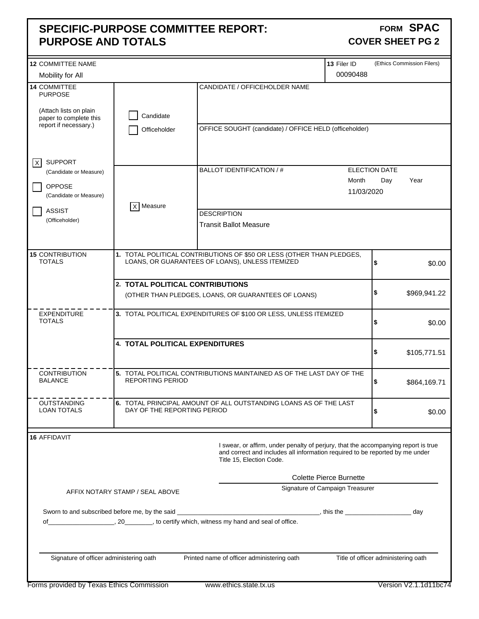### **SPECIFIC-PURPOSE COMMITTEE REPORT: PURPOSE AND TOTALS**

#### **FORM SPAC COVER SHEET PG 2**

| <b>12 COMMITTEE NAME</b>                         |                                  |                                                                                                                                                                                                | 13 Filer ID                     |                                     | (Ethics Commission Filers) |
|--------------------------------------------------|----------------------------------|------------------------------------------------------------------------------------------------------------------------------------------------------------------------------------------------|---------------------------------|-------------------------------------|----------------------------|
| Mobility for All                                 |                                  |                                                                                                                                                                                                | 00090488                        |                                     |                            |
| 14 COMMITTEE<br><b>PURPOSE</b>                   |                                  | CANDIDATE / OFFICEHOLDER NAME                                                                                                                                                                  |                                 |                                     |                            |
| (Attach lists on plain<br>paper to complete this | Candidate                        |                                                                                                                                                                                                |                                 |                                     |                            |
| report if necessary.)                            | Officeholder                     | OFFICE SOUGHT (candidate) / OFFICE HELD (officeholder)                                                                                                                                         |                                 |                                     |                            |
| <b>SUPPORT</b><br>$\vert$ X $\vert$              |                                  | BALLOT IDENTIFICATION / #                                                                                                                                                                      |                                 | ELECTION DATE                       |                            |
| (Candidate or Measure)                           |                                  |                                                                                                                                                                                                | Month                           | Day                                 | Year                       |
| <b>OPPOSE</b><br>(Candidate or Measure)          |                                  |                                                                                                                                                                                                | 11/03/2020                      |                                     |                            |
| <b>ASSIST</b>                                    | X Measure                        | <b>DESCRIPTION</b>                                                                                                                                                                             |                                 |                                     |                            |
| (Officeholder)                                   |                                  | <b>Transit Ballot Measure</b>                                                                                                                                                                  |                                 |                                     |                            |
|                                                  |                                  |                                                                                                                                                                                                |                                 |                                     |                            |
| <b>15 CONTRIBUTION</b><br><b>TOTALS</b>          |                                  | 1. TOTAL POLITICAL CONTRIBUTIONS OF \$50 OR LESS (OTHER THAN PLEDGES,<br>LOANS, OR GUARANTEES OF LOANS), UNLESS ITEMIZED                                                                       |                                 | \$                                  | \$0.00                     |
|                                                  |                                  |                                                                                                                                                                                                |                                 |                                     |                            |
|                                                  | 2. TOTAL POLITICAL CONTRIBUTIONS |                                                                                                                                                                                                |                                 | \$                                  | \$969,941.22               |
|                                                  |                                  | (OTHER THAN PLEDGES, LOANS, OR GUARANTEES OF LOANS)                                                                                                                                            |                                 |                                     |                            |
| <b>EXPENDITURE</b><br><b>TOTALS</b>              |                                  | 3. TOTAL POLITICAL EXPENDITURES OF \$100 OR LESS, UNLESS ITEMIZED                                                                                                                              |                                 | \$                                  | \$0.00                     |
|                                                  | 4. TOTAL POLITICAL EXPENDITURES  |                                                                                                                                                                                                |                                 | \$                                  | \$105,771.51               |
|                                                  |                                  |                                                                                                                                                                                                |                                 |                                     |                            |
| <b>CONTRIBUTION</b><br><b>BALANCE</b>            | REPORTING PERIOD                 | 5. TOTAL POLITICAL CONTRIBUTIONS MAINTAINED AS OF THE LAST DAY OF THE                                                                                                                          |                                 | \$                                  | \$864,169.71               |
| <b>OUTSTANDING</b><br>LOAN TOTALS                | DAY OF THE REPORTING PERIOD      | 6. TOTAL PRINCIPAL AMOUNT OF ALL OUTSTANDING LOANS AS OF THE LAST                                                                                                                              |                                 | \$                                  | \$0.00                     |
| 16 AFFIDAVIT                                     |                                  |                                                                                                                                                                                                |                                 |                                     |                            |
|                                                  |                                  | I swear, or affirm, under penalty of perjury, that the accompanying report is true<br>and correct and includes all information required to be reported by me under<br>Title 15, Election Code. |                                 |                                     |                            |
|                                                  |                                  |                                                                                                                                                                                                | <b>Colette Pierce Burnette</b>  |                                     |                            |
|                                                  | AFFIX NOTARY STAMP / SEAL ABOVE  |                                                                                                                                                                                                | Signature of Campaign Treasurer |                                     |                            |
|                                                  |                                  |                                                                                                                                                                                                |                                 |                                     |                            |
|                                                  |                                  |                                                                                                                                                                                                |                                 |                                     | day                        |
|                                                  |                                  |                                                                                                                                                                                                |                                 |                                     |                            |
| Signature of officer administering oath          |                                  | Printed name of officer administering oath                                                                                                                                                     |                                 | Title of officer administering oath |                            |
| Forms provided by Texas Ethics Commission        |                                  | www.ethics.state.tx.us                                                                                                                                                                         |                                 |                                     | Version V2.1.1d11bc74      |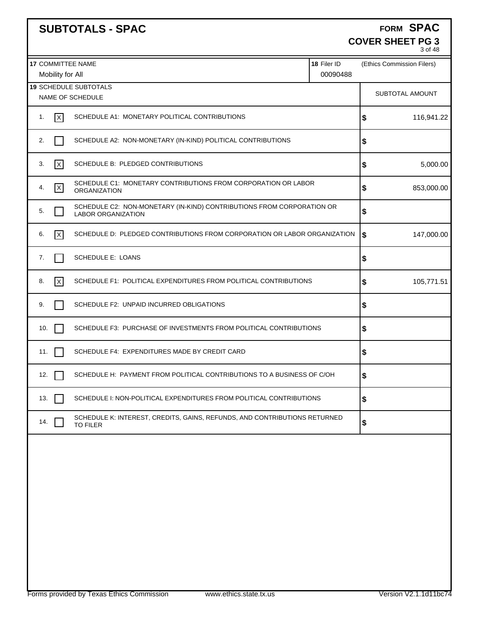|                                              | <b>SUBTOTALS - SPAC</b>                                                                            |                         | FORM SPAC<br><b>COVER SHEET PG 3</b><br>3 of 48 |
|----------------------------------------------|----------------------------------------------------------------------------------------------------|-------------------------|-------------------------------------------------|
| <b>17 COMMITTEE NAME</b><br>Mobility for All |                                                                                                    | 18 Filer ID<br>00090488 | (Ethics Commission Filers)                      |
|                                              | <b>19 SCHEDULE SUBTOTALS</b><br>NAME OF SCHEDULE                                                   |                         | SUBTOTAL AMOUNT                                 |
| x <br>1.                                     | SCHEDULE A1: MONETARY POLITICAL CONTRIBUTIONS                                                      |                         | 116,941.22<br>\$                                |
| 2.                                           | SCHEDULE A2: NON-MONETARY (IN-KIND) POLITICAL CONTRIBUTIONS                                        |                         | \$                                              |
| 3.<br>$\vert x \vert$                        | SCHEDULE B: PLEDGED CONTRIBUTIONS                                                                  |                         | 5,000.00<br>\$                                  |
| $\overline{\mathsf{x}}$<br>4.                | SCHEDULE C1: MONETARY CONTRIBUTIONS FROM CORPORATION OR LABOR<br><b>ORGANIZATION</b>               |                         | 853,000.00<br>\$                                |
| 5.                                           | SCHEDULE C2: NON-MONETARY (IN-KIND) CONTRIBUTIONS FROM CORPORATION OR<br><b>LABOR ORGANIZATION</b> |                         | \$                                              |
| l×l<br>6.                                    | SCHEDULE D: PLEDGED CONTRIBUTIONS FROM CORPORATION OR LABOR ORGANIZATION                           |                         | 147,000.00<br>\$                                |
| 7.                                           | SCHEDULE E: LOANS                                                                                  |                         | \$                                              |
| x <br>8.                                     | SCHEDULE F1: POLITICAL EXPENDITURES FROM POLITICAL CONTRIBUTIONS                                   |                         | 105,771.51<br>\$                                |
| 9.                                           | SCHEDULE F2: UNPAID INCURRED OBLIGATIONS                                                           |                         | \$                                              |
| 10.                                          | SCHEDULE F3: PURCHASE OF INVESTMENTS FROM POLITICAL CONTRIBUTIONS                                  |                         | \$                                              |
| 11.                                          | SCHEDULE F4: EXPENDITURES MADE BY CREDIT CARD                                                      |                         | \$                                              |
| 12.                                          | SCHEDULE H: PAYMENT FROM POLITICAL CONTRIBUTIONS TO A BUSINESS OF C/OH                             |                         | \$                                              |
| 13.                                          | SCHEDULE I: NON-POLITICAL EXPENDITURES FROM POLITICAL CONTRIBUTIONS                                |                         | \$                                              |
| 14.                                          | SCHEDULE K: INTEREST, CREDITS, GAINS, REFUNDS, AND CONTRIBUTIONS RETURNED<br><b>TO FILER</b>       |                         | \$                                              |
|                                              |                                                                                                    |                         |                                                 |
|                                              |                                                                                                    |                         |                                                 |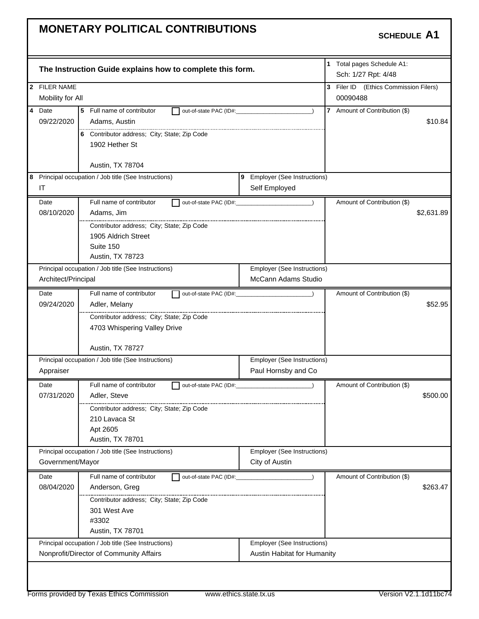|                |                     | The Instruction Guide explains how to complete this form. |                        |                               | 1 Total pages Schedule A1:<br>Sch: 1/27 Rpt: 4/48 |            |
|----------------|---------------------|-----------------------------------------------------------|------------------------|-------------------------------|---------------------------------------------------|------------|
|                | 2 FILER NAME        |                                                           |                        |                               | 3 Filer ID (Ethics Commission Filers)             |            |
|                | Mobility for All    |                                                           |                        |                               | 00090488                                          |            |
| $\overline{4}$ | Date                | 5<br>Full name of contributor                             | out-of-state PAC (ID#: |                               | 7 Amount of Contribution (\$)                     |            |
|                | 09/22/2020          | Adams, Austin                                             |                        |                               |                                                   | \$10.84    |
|                |                     | 6 Contributor address; City; State; Zip Code              |                        |                               |                                                   |            |
|                |                     | 1902 Hether St                                            |                        |                               |                                                   |            |
|                |                     |                                                           |                        |                               |                                                   |            |
|                |                     | Austin, TX 78704                                          |                        |                               |                                                   |            |
|                |                     | 8 Principal occupation / Job title (See Instructions)     |                        | 9 Employer (See Instructions) |                                                   |            |
|                | IT                  |                                                           |                        | Self Employed                 |                                                   |            |
|                | Date                | Full name of contributor                                  |                        | out-of-state PAC (ID#:        | Amount of Contribution (\$)                       |            |
|                | 08/10/2020          | Adams, Jim                                                |                        |                               |                                                   | \$2,631.89 |
|                |                     | Contributor address; City; State; Zip Code                |                        |                               |                                                   |            |
|                |                     | 1905 Aldrich Street                                       |                        |                               |                                                   |            |
|                |                     | Suite 150                                                 |                        |                               |                                                   |            |
|                |                     | Austin, TX 78723                                          |                        |                               |                                                   |            |
|                |                     | Principal occupation / Job title (See Instructions)       |                        | Employer (See Instructions)   |                                                   |            |
|                | Architect/Principal |                                                           |                        | <b>McCann Adams Studio</b>    |                                                   |            |
|                | Date                | Full name of contributor                                  |                        | out-of-state PAC (ID#:        | Amount of Contribution (\$)                       |            |
|                | 09/24/2020          | Adler, Melany                                             |                        |                               |                                                   | \$52.95    |
|                |                     | Contributor address; City; State; Zip Code                |                        |                               |                                                   |            |
|                |                     | 4703 Whispering Valley Drive                              |                        |                               |                                                   |            |
|                |                     |                                                           |                        |                               |                                                   |            |
|                |                     | Austin, TX 78727                                          |                        |                               |                                                   |            |
|                |                     | Principal occupation / Job title (See Instructions)       |                        | Employer (See Instructions)   |                                                   |            |
|                | Appraiser           |                                                           |                        | Paul Hornsby and Co           |                                                   |            |
|                | Date                | Full name of contributor                                  |                        | out-of-state PAC (ID#: 2000)  | Amount of Contribution (\$)                       |            |
|                | 07/31/2020          | Adler, Steve                                              |                        |                               |                                                   | \$500.00   |
|                |                     | Contributor address; City; State; Zip Code                |                        |                               |                                                   |            |
|                |                     | 210 Lavaca St                                             |                        |                               |                                                   |            |
|                |                     | Apt 2605                                                  |                        |                               |                                                   |            |
|                |                     | Austin, TX 78701                                          |                        |                               |                                                   |            |
|                |                     | Principal occupation / Job title (See Instructions)       |                        | Employer (See Instructions)   |                                                   |            |
|                | Government/Mayor    |                                                           |                        | City of Austin                |                                                   |            |
|                | Date                | Full name of contributor                                  | out-of-state PAC (ID#: |                               | Amount of Contribution (\$)                       |            |
|                | 08/04/2020          | Anderson, Greg                                            |                        |                               |                                                   | \$263.47   |
|                |                     | Contributor address; City; State; Zip Code                |                        |                               |                                                   |            |
|                |                     | 301 West Ave                                              |                        |                               |                                                   |            |
|                |                     | #3302                                                     |                        |                               |                                                   |            |
|                |                     | Austin, TX 78701                                          |                        |                               |                                                   |            |
|                |                     | Principal occupation / Job title (See Instructions)       |                        | Employer (See Instructions)   |                                                   |            |
|                |                     | Nonprofit/Director of Community Affairs                   |                        | Austin Habitat for Humanity   |                                                   |            |
|                |                     |                                                           |                        |                               |                                                   |            |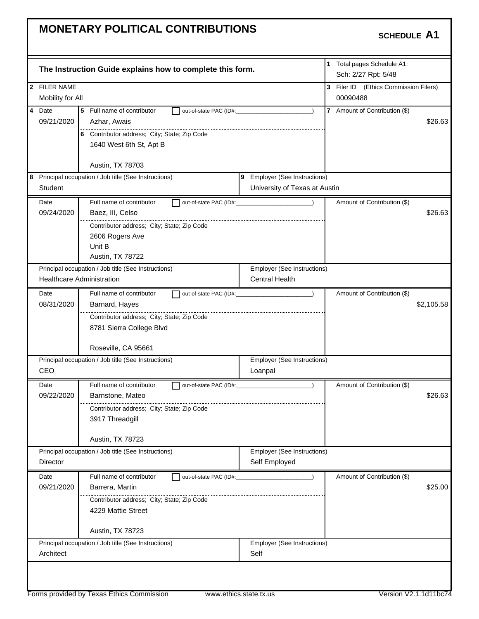| 2 FILER NAME<br>Mobility for All<br>4 Date<br>09/21/2020 | The Instruction Guide explains how to complete this form. |                                    |                                                   |
|----------------------------------------------------------|-----------------------------------------------------------|------------------------------------|---------------------------------------------------|
|                                                          |                                                           |                                    | 1 Total pages Schedule A1:<br>Sch: 2/27 Rpt: 5/48 |
|                                                          |                                                           |                                    | 3 Filer ID (Ethics Commission Filers)             |
|                                                          |                                                           |                                    | 00090488                                          |
|                                                          | 5 Full name of contributor<br>out-of-state PAC (ID#:      |                                    | 7 Amount of Contribution (\$)                     |
|                                                          | Azhar, Awais                                              |                                    | \$26.63                                           |
|                                                          | 6 Contributor address; City; State; Zip Code              |                                    |                                                   |
|                                                          | 1640 West 6th St, Apt B                                   |                                    |                                                   |
|                                                          |                                                           |                                    |                                                   |
|                                                          | Austin, TX 78703                                          |                                    |                                                   |
|                                                          | 8 Principal occupation / Job title (See Instructions)     | 9 Employer (See Instructions)      |                                                   |
| Student                                                  |                                                           | University of Texas at Austin      |                                                   |
| Date                                                     | Full name of contributor                                  |                                    | Amount of Contribution (\$)                       |
| 09/24/2020                                               | Baez, III, Celso                                          |                                    | \$26.63                                           |
|                                                          | Contributor address; City; State; Zip Code                |                                    |                                                   |
|                                                          | 2606 Rogers Ave                                           |                                    |                                                   |
|                                                          | Unit B                                                    |                                    |                                                   |
|                                                          | Austin, TX 78722                                          |                                    |                                                   |
|                                                          | Principal occupation / Job title (See Instructions)       | <b>Employer (See Instructions)</b> |                                                   |
| <b>Healthcare Administration</b>                         |                                                           | <b>Central Health</b>              |                                                   |
| Date                                                     | Full name of contributor                                  |                                    | Amount of Contribution (\$)                       |
| 08/31/2020                                               | Barnard, Hayes                                            |                                    | \$2,105.58                                        |
|                                                          | Contributor address; City; State; Zip Code                |                                    |                                                   |
|                                                          | 8781 Sierra College Blvd                                  |                                    |                                                   |
|                                                          | Roseville, CA 95661                                       |                                    |                                                   |
|                                                          | Principal occupation / Job title (See Instructions)       | Employer (See Instructions)        |                                                   |
| CEO                                                      |                                                           | Loanpal                            |                                                   |
| Date                                                     | Full name of contributor                                  | out-of-state PAC (ID#:             | Amount of Contribution (\$)                       |
| 09/22/2020                                               | Barnstone, Mateo                                          |                                    | \$26.63                                           |
|                                                          | Contributor address; City; State; Zip Code                |                                    |                                                   |
|                                                          | 3917 Threadgill                                           |                                    |                                                   |
|                                                          | Austin, TX 78723                                          |                                    |                                                   |
|                                                          |                                                           | <b>Employer (See Instructions)</b> |                                                   |
|                                                          |                                                           |                                    |                                                   |
| Principal occupation / Job title (See Instructions)      |                                                           |                                    |                                                   |
| Director                                                 |                                                           | Self Employed                      |                                                   |
| Date                                                     | Full name of contributor<br>out-of-state PAC (ID#:        |                                    | Amount of Contribution (\$)                       |
| 09/21/2020                                               | Barrera, Martin                                           |                                    | \$25.00                                           |
|                                                          | Contributor address; City; State; Zip Code                |                                    |                                                   |
|                                                          | 4229 Mattie Street                                        |                                    |                                                   |
|                                                          | Austin, TX 78723                                          |                                    |                                                   |
|                                                          | Principal occupation / Job title (See Instructions)       | Employer (See Instructions)        |                                                   |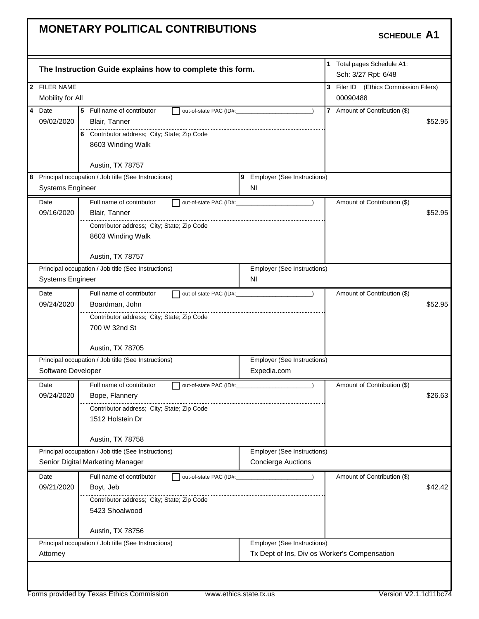| The Instruction Guide explains how to complete this form.                         | 1 Total pages Schedule A1:<br>Sch: 3/27 Rpt: 6/48 |
|-----------------------------------------------------------------------------------|---------------------------------------------------|
| 2 FILER NAME                                                                      | 3 Filer ID (Ethics Commission Filers)             |
| Mobility for All                                                                  | 00090488                                          |
| $\overline{4}$<br>Date<br>Full name of contributor<br>5<br>out-of-state PAC (ID#: | 7 Amount of Contribution (\$)                     |
| 09/02/2020<br>Blair, Tanner                                                       | \$52.95                                           |
| 6 Contributor address; City; State; Zip Code                                      |                                                   |
| 8603 Winding Walk                                                                 |                                                   |
|                                                                                   |                                                   |
| Austin, TX 78757                                                                  |                                                   |
| 8 Principal occupation / Job title (See Instructions)                             | 9 Employer (See Instructions)                     |
| <b>Systems Engineer</b><br>ΝI                                                     |                                                   |
| Full name of contributor<br>Date<br>out-of-state PAC (ID#:                        | Amount of Contribution (\$)                       |
| 09/16/2020<br>Blair, Tanner                                                       | \$52.95                                           |
| Contributor address; City; State; Zip Code                                        |                                                   |
| 8603 Winding Walk                                                                 |                                                   |
|                                                                                   |                                                   |
| Austin, TX 78757                                                                  |                                                   |
| Principal occupation / Job title (See Instructions)                               | Employer (See Instructions)                       |
| <b>Systems Engineer</b><br>ΝI                                                     |                                                   |
| Full name of contributor<br>Date<br>out-of-state PAC (ID#:                        | Amount of Contribution (\$)                       |
| 09/24/2020<br>Boardman, John                                                      | \$52.95                                           |
| Contributor address; City; State; Zip Code                                        |                                                   |
| 700 W 32nd St                                                                     |                                                   |
|                                                                                   |                                                   |
| Austin, TX 78705                                                                  |                                                   |
| Principal occupation / Job title (See Instructions)                               | Employer (See Instructions)                       |
| Software Developer                                                                | Expedia.com                                       |
| Full name of contributor<br>Date<br>out-of-state PAC (ID#: 2000)                  | Amount of Contribution (\$)                       |
| 09/24/2020<br>Bope, Flannery                                                      | \$26.63                                           |
| Contributor address; City; State; Zip Code                                        |                                                   |
| 1512 Holstein Dr                                                                  |                                                   |
|                                                                                   |                                                   |
| Austin, TX 78758                                                                  |                                                   |
| Principal occupation / Job title (See Instructions)                               | <b>Employer (See Instructions)</b>                |
| Senior Digital Marketing Manager                                                  | <b>Concierge Auctions</b>                         |
| Full name of contributor<br>Date<br>out-of-state PAC (ID#:                        | Amount of Contribution (\$)                       |
| 09/21/2020<br>Boyt, Jeb                                                           | \$42.42                                           |
| Contributor address: City: State: Zip Code                                        |                                                   |
| 5423 Shoalwood                                                                    |                                                   |
|                                                                                   |                                                   |
| Austin, TX 78756                                                                  |                                                   |
| Principal occupation / Job title (See Instructions)                               | Employer (See Instructions)                       |
| Attorney                                                                          | Tx Dept of Ins, Div os Worker's Compensation      |
|                                                                                   |                                                   |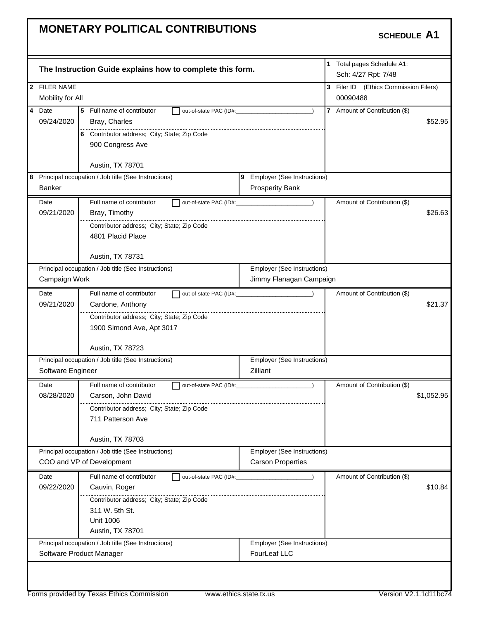| The Instruction Guide explains how to complete this form.<br>2 FILER NAME<br>Mobility for All<br>$\overline{4}$<br>Date<br>5 Full name of contributor<br>out-of-state PAC (ID#:<br>09/24/2020<br>Bray, Charles<br>6 Contributor address; City; State; Zip Code<br>900 Congress Ave<br>Austin, TX 78701<br>9 Employer (See Instructions)<br>8 Principal occupation / Job title (See Instructions)<br>Banker<br><b>Prosperity Bank</b><br>Full name of contributor<br>Date<br>09/21/2020<br>Bray, Timothy | 1 Total pages Schedule A1:<br>Sch: 4/27 Rpt: 7/48<br>3 Filer ID (Ethics Commission Filers)<br>00090488<br>7 Amount of Contribution (\$)<br>$\lambda$<br>\$52.95 |
|---------------------------------------------------------------------------------------------------------------------------------------------------------------------------------------------------------------------------------------------------------------------------------------------------------------------------------------------------------------------------------------------------------------------------------------------------------------------------------------------------------|-----------------------------------------------------------------------------------------------------------------------------------------------------------------|
|                                                                                                                                                                                                                                                                                                                                                                                                                                                                                                         |                                                                                                                                                                 |
|                                                                                                                                                                                                                                                                                                                                                                                                                                                                                                         |                                                                                                                                                                 |
|                                                                                                                                                                                                                                                                                                                                                                                                                                                                                                         |                                                                                                                                                                 |
|                                                                                                                                                                                                                                                                                                                                                                                                                                                                                                         |                                                                                                                                                                 |
|                                                                                                                                                                                                                                                                                                                                                                                                                                                                                                         |                                                                                                                                                                 |
|                                                                                                                                                                                                                                                                                                                                                                                                                                                                                                         |                                                                                                                                                                 |
|                                                                                                                                                                                                                                                                                                                                                                                                                                                                                                         |                                                                                                                                                                 |
|                                                                                                                                                                                                                                                                                                                                                                                                                                                                                                         |                                                                                                                                                                 |
|                                                                                                                                                                                                                                                                                                                                                                                                                                                                                                         |                                                                                                                                                                 |
|                                                                                                                                                                                                                                                                                                                                                                                                                                                                                                         |                                                                                                                                                                 |
|                                                                                                                                                                                                                                                                                                                                                                                                                                                                                                         |                                                                                                                                                                 |
|                                                                                                                                                                                                                                                                                                                                                                                                                                                                                                         | Amount of Contribution (\$)                                                                                                                                     |
|                                                                                                                                                                                                                                                                                                                                                                                                                                                                                                         | \$26.63                                                                                                                                                         |
| Contributor address; City; State; Zip Code                                                                                                                                                                                                                                                                                                                                                                                                                                                              |                                                                                                                                                                 |
| 4801 Placid Place                                                                                                                                                                                                                                                                                                                                                                                                                                                                                       |                                                                                                                                                                 |
|                                                                                                                                                                                                                                                                                                                                                                                                                                                                                                         |                                                                                                                                                                 |
| Austin, TX 78731                                                                                                                                                                                                                                                                                                                                                                                                                                                                                        |                                                                                                                                                                 |
| <b>Employer (See Instructions)</b><br>Principal occupation / Job title (See Instructions)                                                                                                                                                                                                                                                                                                                                                                                                               |                                                                                                                                                                 |
| Campaign Work<br>Jimmy Flanagan Campaign                                                                                                                                                                                                                                                                                                                                                                                                                                                                |                                                                                                                                                                 |
| Full name of contributor<br>Date                                                                                                                                                                                                                                                                                                                                                                                                                                                                        | Amount of Contribution (\$)                                                                                                                                     |
| 09/21/2020<br>Cardone, Anthony                                                                                                                                                                                                                                                                                                                                                                                                                                                                          | \$21.37                                                                                                                                                         |
| Contributor address; City; State; Zip Code                                                                                                                                                                                                                                                                                                                                                                                                                                                              |                                                                                                                                                                 |
| 1900 Simond Ave, Apt 3017                                                                                                                                                                                                                                                                                                                                                                                                                                                                               |                                                                                                                                                                 |
|                                                                                                                                                                                                                                                                                                                                                                                                                                                                                                         |                                                                                                                                                                 |
| Austin, TX 78723                                                                                                                                                                                                                                                                                                                                                                                                                                                                                        |                                                                                                                                                                 |
| Principal occupation / Job title (See Instructions)<br>Employer (See Instructions)                                                                                                                                                                                                                                                                                                                                                                                                                      |                                                                                                                                                                 |
| Zilliant<br>Software Engineer                                                                                                                                                                                                                                                                                                                                                                                                                                                                           |                                                                                                                                                                 |
| Full name of contributor<br>Date<br>out-of-state PAC (ID#:                                                                                                                                                                                                                                                                                                                                                                                                                                              | Amount of Contribution (\$)                                                                                                                                     |
| 08/28/2020<br>Carson, John David                                                                                                                                                                                                                                                                                                                                                                                                                                                                        | \$1,052.95                                                                                                                                                      |
| Contributor address; City; State; Zip Code                                                                                                                                                                                                                                                                                                                                                                                                                                                              |                                                                                                                                                                 |
| 711 Patterson Ave                                                                                                                                                                                                                                                                                                                                                                                                                                                                                       |                                                                                                                                                                 |
|                                                                                                                                                                                                                                                                                                                                                                                                                                                                                                         |                                                                                                                                                                 |
| Austin, TX 78703                                                                                                                                                                                                                                                                                                                                                                                                                                                                                        |                                                                                                                                                                 |
| Principal occupation / Job title (See Instructions)<br>Employer (See Instructions)                                                                                                                                                                                                                                                                                                                                                                                                                      |                                                                                                                                                                 |
| COO and VP of Development<br><b>Carson Properties</b>                                                                                                                                                                                                                                                                                                                                                                                                                                                   |                                                                                                                                                                 |
| Full name of contributor<br>Date<br>out-of-state PAC (ID#:                                                                                                                                                                                                                                                                                                                                                                                                                                              | Amount of Contribution (\$)                                                                                                                                     |
| 09/22/2020<br>Cauvin, Roger                                                                                                                                                                                                                                                                                                                                                                                                                                                                             | \$10.84                                                                                                                                                         |
| Contributor address; City; State; Zip Code                                                                                                                                                                                                                                                                                                                                                                                                                                                              |                                                                                                                                                                 |
| 311 W. 5th St.                                                                                                                                                                                                                                                                                                                                                                                                                                                                                          |                                                                                                                                                                 |
| <b>Unit 1006</b>                                                                                                                                                                                                                                                                                                                                                                                                                                                                                        |                                                                                                                                                                 |
|                                                                                                                                                                                                                                                                                                                                                                                                                                                                                                         |                                                                                                                                                                 |
| Austin, TX 78701                                                                                                                                                                                                                                                                                                                                                                                                                                                                                        |                                                                                                                                                                 |
| Principal occupation / Job title (See Instructions)<br>Employer (See Instructions)                                                                                                                                                                                                                                                                                                                                                                                                                      |                                                                                                                                                                 |
|                                                                                                                                                                                                                                                                                                                                                                                                                                                                                                         |                                                                                                                                                                 |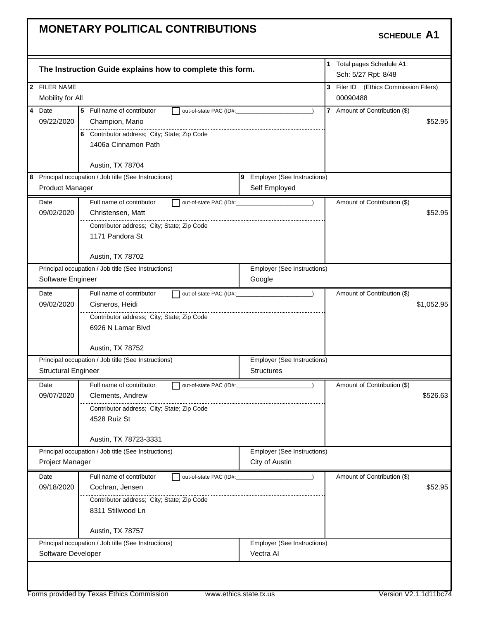|                            |                                                           |                                          | 1 Total pages Schedule A1:            |
|----------------------------|-----------------------------------------------------------|------------------------------------------|---------------------------------------|
|                            | The Instruction Guide explains how to complete this form. |                                          | Sch: 5/27 Rpt: 8/48                   |
| 2 FILER NAME               |                                                           |                                          | 3 Filer ID (Ethics Commission Filers) |
| Mobility for All           |                                                           |                                          | 00090488                              |
| $\overline{4}$<br>Date     | 5 Full name of contributor<br>out-of-state PAC (ID#:      | $\lambda$                                | 7 Amount of Contribution (\$)         |
| 09/22/2020                 | Champion, Mario                                           |                                          | \$52.95                               |
|                            | 6 Contributor address; City; State; Zip Code              |                                          |                                       |
|                            | 1406a Cinnamon Path                                       |                                          |                                       |
|                            | Austin, TX 78704                                          |                                          |                                       |
|                            | 8 Principal occupation / Job title (See Instructions)     | 9 Employer (See Instructions)            |                                       |
| <b>Product Manager</b>     |                                                           | Self Employed                            |                                       |
| Date                       | Full name of contributor                                  | out-of-state PAC (ID#: \\sqrt{\math}     | Amount of Contribution (\$)           |
| 09/02/2020                 | Christensen, Matt                                         |                                          | \$52.95                               |
|                            | Contributor address; City; State; Zip Code                |                                          |                                       |
|                            | 1171 Pandora St                                           |                                          |                                       |
|                            |                                                           |                                          |                                       |
|                            | Austin, TX 78702                                          |                                          |                                       |
|                            | Principal occupation / Job title (See Instructions)       | Employer (See Instructions)              |                                       |
| Software Engineer          |                                                           | Google                                   |                                       |
| Date                       | Full name of contributor                                  |                                          | Amount of Contribution (\$)           |
| 09/02/2020                 | Cisneros, Heidi                                           |                                          | \$1,052.95                            |
|                            | Contributor address; City; State; Zip Code                |                                          |                                       |
|                            | 6926 N Lamar Blvd                                         |                                          |                                       |
|                            | Austin, TX 78752                                          |                                          |                                       |
|                            | Principal occupation / Job title (See Instructions)       | <b>Employer (See Instructions)</b>       |                                       |
| <b>Structural Engineer</b> |                                                           | <b>Structures</b>                        |                                       |
| Date                       | Full name of contributor<br>out-of-state PAC (ID#:        |                                          | Amount of Contribution (\$)           |
| 09/07/2020                 | Clements, Andrew                                          |                                          | \$526.63                              |
|                            | Contributor address; City; State; Zip Code                |                                          |                                       |
|                            | 4528 Ruiz St                                              |                                          |                                       |
|                            | Austin, TX 78723-3331                                     |                                          |                                       |
|                            | Principal occupation / Job title (See Instructions)       | <b>Employer (See Instructions)</b>       |                                       |
| Project Manager            |                                                           | City of Austin                           |                                       |
| Date                       | Full name of contributor<br>out-of-state PAC (ID#:        |                                          | Amount of Contribution (\$)           |
| 09/18/2020                 | Cochran, Jensen                                           |                                          | \$52.95                               |
|                            | Contributor address: City: State: Zip Code                |                                          |                                       |
|                            | 8311 Stillwood Ln                                         |                                          |                                       |
|                            |                                                           |                                          |                                       |
|                            | Austin, TX 78757                                          |                                          |                                       |
| Software Developer         | Principal occupation / Job title (See Instructions)       | Employer (See Instructions)<br>Vectra AI |                                       |
|                            |                                                           |                                          |                                       |
|                            |                                                           |                                          |                                       |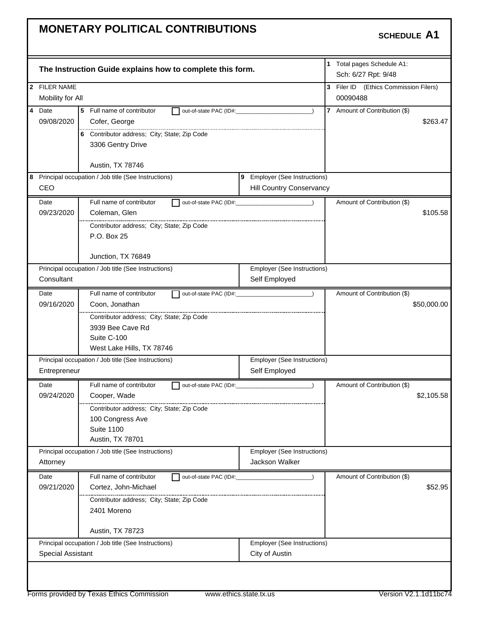| 1 Total pages Schedule A1:<br>The Instruction Guide explains how to complete this form.<br>Sch: 6/27 Rpt: 9/48<br>2 FILER NAME<br>3 Filer ID (Ethics Commission Filers)<br>Mobility for All<br>00090488<br>Date<br>5 Full name of contributor<br>7 Amount of Contribution (\$)<br>out-of-state PAC (ID#:<br>$\lambda$<br>09/08/2020<br>Cofer, George<br>\$263.47<br>6 Contributor address; City; State; Zip Code<br>3306 Gentry Drive<br>Austin, TX 78746<br>8 Principal occupation / Job title (See Instructions)<br>9 Employer (See Instructions)<br>CEO<br>Hill Country Conservancy<br>Full name of contributor<br>Date<br>Amount of Contribution (\$)<br>09/23/2020<br>Coleman, Glen<br>\$105.58<br>Contributor address; City; State; Zip Code<br>P.O. Box 25<br>Junction, TX 76849<br>Employer (See Instructions)<br>Principal occupation / Job title (See Instructions)<br>Consultant<br>Self Employed<br>Full name of contributor<br>Date<br>Amount of Contribution (\$)<br>09/16/2020<br>Coon, Jonathan<br>\$50,000.00<br>Contributor address; City; State; Zip Code<br>3939 Bee Cave Rd<br>Suite C-100<br>West Lake Hills, TX 78746<br>Principal occupation / Job title (See Instructions)<br>Employer (See Instructions)<br>Self Employed<br>Entrepreneur<br>Full name of contributor<br>Date<br>Amount of Contribution (\$)<br>out-of-state PAC (ID#:<br>09/24/2020<br>\$2,105.58<br>Cooper, Wade<br>Contributor address; City; State; Zip Code<br>100 Congress Ave<br><b>Suite 1100</b><br>Austin, TX 78701<br>Employer (See Instructions)<br>Principal occupation / Job title (See Instructions)<br>Jackson Walker<br>Attorney<br>Full name of contributor<br>Date<br>Amount of Contribution (\$)<br>out-of-state PAC (ID#:<br>09/21/2020<br>Cortez, John-Michael<br>\$52.95<br>Contributor address; City; State; Zip Code<br>2401 Moreno<br>Austin, TX 78723<br>Principal occupation / Job title (See Instructions)<br>Employer (See Instructions)<br><b>Special Assistant</b><br>City of Austin |                |  |  |  |  |
|----------------------------------------------------------------------------------------------------------------------------------------------------------------------------------------------------------------------------------------------------------------------------------------------------------------------------------------------------------------------------------------------------------------------------------------------------------------------------------------------------------------------------------------------------------------------------------------------------------------------------------------------------------------------------------------------------------------------------------------------------------------------------------------------------------------------------------------------------------------------------------------------------------------------------------------------------------------------------------------------------------------------------------------------------------------------------------------------------------------------------------------------------------------------------------------------------------------------------------------------------------------------------------------------------------------------------------------------------------------------------------------------------------------------------------------------------------------------------------------------------------------------------------------------------------------------------------------------------------------------------------------------------------------------------------------------------------------------------------------------------------------------------------------------------------------------------------------------------------------------------------------------------------------------------------------------------------------------------------------------------------------|----------------|--|--|--|--|
|                                                                                                                                                                                                                                                                                                                                                                                                                                                                                                                                                                                                                                                                                                                                                                                                                                                                                                                                                                                                                                                                                                                                                                                                                                                                                                                                                                                                                                                                                                                                                                                                                                                                                                                                                                                                                                                                                                                                                                                                                |                |  |  |  |  |
|                                                                                                                                                                                                                                                                                                                                                                                                                                                                                                                                                                                                                                                                                                                                                                                                                                                                                                                                                                                                                                                                                                                                                                                                                                                                                                                                                                                                                                                                                                                                                                                                                                                                                                                                                                                                                                                                                                                                                                                                                |                |  |  |  |  |
|                                                                                                                                                                                                                                                                                                                                                                                                                                                                                                                                                                                                                                                                                                                                                                                                                                                                                                                                                                                                                                                                                                                                                                                                                                                                                                                                                                                                                                                                                                                                                                                                                                                                                                                                                                                                                                                                                                                                                                                                                |                |  |  |  |  |
|                                                                                                                                                                                                                                                                                                                                                                                                                                                                                                                                                                                                                                                                                                                                                                                                                                                                                                                                                                                                                                                                                                                                                                                                                                                                                                                                                                                                                                                                                                                                                                                                                                                                                                                                                                                                                                                                                                                                                                                                                | $\overline{4}$ |  |  |  |  |
|                                                                                                                                                                                                                                                                                                                                                                                                                                                                                                                                                                                                                                                                                                                                                                                                                                                                                                                                                                                                                                                                                                                                                                                                                                                                                                                                                                                                                                                                                                                                                                                                                                                                                                                                                                                                                                                                                                                                                                                                                |                |  |  |  |  |
|                                                                                                                                                                                                                                                                                                                                                                                                                                                                                                                                                                                                                                                                                                                                                                                                                                                                                                                                                                                                                                                                                                                                                                                                                                                                                                                                                                                                                                                                                                                                                                                                                                                                                                                                                                                                                                                                                                                                                                                                                |                |  |  |  |  |
|                                                                                                                                                                                                                                                                                                                                                                                                                                                                                                                                                                                                                                                                                                                                                                                                                                                                                                                                                                                                                                                                                                                                                                                                                                                                                                                                                                                                                                                                                                                                                                                                                                                                                                                                                                                                                                                                                                                                                                                                                |                |  |  |  |  |
|                                                                                                                                                                                                                                                                                                                                                                                                                                                                                                                                                                                                                                                                                                                                                                                                                                                                                                                                                                                                                                                                                                                                                                                                                                                                                                                                                                                                                                                                                                                                                                                                                                                                                                                                                                                                                                                                                                                                                                                                                |                |  |  |  |  |
|                                                                                                                                                                                                                                                                                                                                                                                                                                                                                                                                                                                                                                                                                                                                                                                                                                                                                                                                                                                                                                                                                                                                                                                                                                                                                                                                                                                                                                                                                                                                                                                                                                                                                                                                                                                                                                                                                                                                                                                                                |                |  |  |  |  |
|                                                                                                                                                                                                                                                                                                                                                                                                                                                                                                                                                                                                                                                                                                                                                                                                                                                                                                                                                                                                                                                                                                                                                                                                                                                                                                                                                                                                                                                                                                                                                                                                                                                                                                                                                                                                                                                                                                                                                                                                                |                |  |  |  |  |
|                                                                                                                                                                                                                                                                                                                                                                                                                                                                                                                                                                                                                                                                                                                                                                                                                                                                                                                                                                                                                                                                                                                                                                                                                                                                                                                                                                                                                                                                                                                                                                                                                                                                                                                                                                                                                                                                                                                                                                                                                |                |  |  |  |  |
|                                                                                                                                                                                                                                                                                                                                                                                                                                                                                                                                                                                                                                                                                                                                                                                                                                                                                                                                                                                                                                                                                                                                                                                                                                                                                                                                                                                                                                                                                                                                                                                                                                                                                                                                                                                                                                                                                                                                                                                                                |                |  |  |  |  |
|                                                                                                                                                                                                                                                                                                                                                                                                                                                                                                                                                                                                                                                                                                                                                                                                                                                                                                                                                                                                                                                                                                                                                                                                                                                                                                                                                                                                                                                                                                                                                                                                                                                                                                                                                                                                                                                                                                                                                                                                                |                |  |  |  |  |
|                                                                                                                                                                                                                                                                                                                                                                                                                                                                                                                                                                                                                                                                                                                                                                                                                                                                                                                                                                                                                                                                                                                                                                                                                                                                                                                                                                                                                                                                                                                                                                                                                                                                                                                                                                                                                                                                                                                                                                                                                |                |  |  |  |  |
|                                                                                                                                                                                                                                                                                                                                                                                                                                                                                                                                                                                                                                                                                                                                                                                                                                                                                                                                                                                                                                                                                                                                                                                                                                                                                                                                                                                                                                                                                                                                                                                                                                                                                                                                                                                                                                                                                                                                                                                                                |                |  |  |  |  |
|                                                                                                                                                                                                                                                                                                                                                                                                                                                                                                                                                                                                                                                                                                                                                                                                                                                                                                                                                                                                                                                                                                                                                                                                                                                                                                                                                                                                                                                                                                                                                                                                                                                                                                                                                                                                                                                                                                                                                                                                                |                |  |  |  |  |
|                                                                                                                                                                                                                                                                                                                                                                                                                                                                                                                                                                                                                                                                                                                                                                                                                                                                                                                                                                                                                                                                                                                                                                                                                                                                                                                                                                                                                                                                                                                                                                                                                                                                                                                                                                                                                                                                                                                                                                                                                |                |  |  |  |  |
|                                                                                                                                                                                                                                                                                                                                                                                                                                                                                                                                                                                                                                                                                                                                                                                                                                                                                                                                                                                                                                                                                                                                                                                                                                                                                                                                                                                                                                                                                                                                                                                                                                                                                                                                                                                                                                                                                                                                                                                                                |                |  |  |  |  |
|                                                                                                                                                                                                                                                                                                                                                                                                                                                                                                                                                                                                                                                                                                                                                                                                                                                                                                                                                                                                                                                                                                                                                                                                                                                                                                                                                                                                                                                                                                                                                                                                                                                                                                                                                                                                                                                                                                                                                                                                                |                |  |  |  |  |
|                                                                                                                                                                                                                                                                                                                                                                                                                                                                                                                                                                                                                                                                                                                                                                                                                                                                                                                                                                                                                                                                                                                                                                                                                                                                                                                                                                                                                                                                                                                                                                                                                                                                                                                                                                                                                                                                                                                                                                                                                |                |  |  |  |  |
|                                                                                                                                                                                                                                                                                                                                                                                                                                                                                                                                                                                                                                                                                                                                                                                                                                                                                                                                                                                                                                                                                                                                                                                                                                                                                                                                                                                                                                                                                                                                                                                                                                                                                                                                                                                                                                                                                                                                                                                                                |                |  |  |  |  |
|                                                                                                                                                                                                                                                                                                                                                                                                                                                                                                                                                                                                                                                                                                                                                                                                                                                                                                                                                                                                                                                                                                                                                                                                                                                                                                                                                                                                                                                                                                                                                                                                                                                                                                                                                                                                                                                                                                                                                                                                                |                |  |  |  |  |
|                                                                                                                                                                                                                                                                                                                                                                                                                                                                                                                                                                                                                                                                                                                                                                                                                                                                                                                                                                                                                                                                                                                                                                                                                                                                                                                                                                                                                                                                                                                                                                                                                                                                                                                                                                                                                                                                                                                                                                                                                |                |  |  |  |  |
|                                                                                                                                                                                                                                                                                                                                                                                                                                                                                                                                                                                                                                                                                                                                                                                                                                                                                                                                                                                                                                                                                                                                                                                                                                                                                                                                                                                                                                                                                                                                                                                                                                                                                                                                                                                                                                                                                                                                                                                                                |                |  |  |  |  |
|                                                                                                                                                                                                                                                                                                                                                                                                                                                                                                                                                                                                                                                                                                                                                                                                                                                                                                                                                                                                                                                                                                                                                                                                                                                                                                                                                                                                                                                                                                                                                                                                                                                                                                                                                                                                                                                                                                                                                                                                                |                |  |  |  |  |
|                                                                                                                                                                                                                                                                                                                                                                                                                                                                                                                                                                                                                                                                                                                                                                                                                                                                                                                                                                                                                                                                                                                                                                                                                                                                                                                                                                                                                                                                                                                                                                                                                                                                                                                                                                                                                                                                                                                                                                                                                |                |  |  |  |  |
|                                                                                                                                                                                                                                                                                                                                                                                                                                                                                                                                                                                                                                                                                                                                                                                                                                                                                                                                                                                                                                                                                                                                                                                                                                                                                                                                                                                                                                                                                                                                                                                                                                                                                                                                                                                                                                                                                                                                                                                                                |                |  |  |  |  |
|                                                                                                                                                                                                                                                                                                                                                                                                                                                                                                                                                                                                                                                                                                                                                                                                                                                                                                                                                                                                                                                                                                                                                                                                                                                                                                                                                                                                                                                                                                                                                                                                                                                                                                                                                                                                                                                                                                                                                                                                                |                |  |  |  |  |
|                                                                                                                                                                                                                                                                                                                                                                                                                                                                                                                                                                                                                                                                                                                                                                                                                                                                                                                                                                                                                                                                                                                                                                                                                                                                                                                                                                                                                                                                                                                                                                                                                                                                                                                                                                                                                                                                                                                                                                                                                |                |  |  |  |  |
|                                                                                                                                                                                                                                                                                                                                                                                                                                                                                                                                                                                                                                                                                                                                                                                                                                                                                                                                                                                                                                                                                                                                                                                                                                                                                                                                                                                                                                                                                                                                                                                                                                                                                                                                                                                                                                                                                                                                                                                                                |                |  |  |  |  |
|                                                                                                                                                                                                                                                                                                                                                                                                                                                                                                                                                                                                                                                                                                                                                                                                                                                                                                                                                                                                                                                                                                                                                                                                                                                                                                                                                                                                                                                                                                                                                                                                                                                                                                                                                                                                                                                                                                                                                                                                                |                |  |  |  |  |
|                                                                                                                                                                                                                                                                                                                                                                                                                                                                                                                                                                                                                                                                                                                                                                                                                                                                                                                                                                                                                                                                                                                                                                                                                                                                                                                                                                                                                                                                                                                                                                                                                                                                                                                                                                                                                                                                                                                                                                                                                |                |  |  |  |  |
|                                                                                                                                                                                                                                                                                                                                                                                                                                                                                                                                                                                                                                                                                                                                                                                                                                                                                                                                                                                                                                                                                                                                                                                                                                                                                                                                                                                                                                                                                                                                                                                                                                                                                                                                                                                                                                                                                                                                                                                                                |                |  |  |  |  |
|                                                                                                                                                                                                                                                                                                                                                                                                                                                                                                                                                                                                                                                                                                                                                                                                                                                                                                                                                                                                                                                                                                                                                                                                                                                                                                                                                                                                                                                                                                                                                                                                                                                                                                                                                                                                                                                                                                                                                                                                                |                |  |  |  |  |
|                                                                                                                                                                                                                                                                                                                                                                                                                                                                                                                                                                                                                                                                                                                                                                                                                                                                                                                                                                                                                                                                                                                                                                                                                                                                                                                                                                                                                                                                                                                                                                                                                                                                                                                                                                                                                                                                                                                                                                                                                |                |  |  |  |  |
|                                                                                                                                                                                                                                                                                                                                                                                                                                                                                                                                                                                                                                                                                                                                                                                                                                                                                                                                                                                                                                                                                                                                                                                                                                                                                                                                                                                                                                                                                                                                                                                                                                                                                                                                                                                                                                                                                                                                                                                                                |                |  |  |  |  |
|                                                                                                                                                                                                                                                                                                                                                                                                                                                                                                                                                                                                                                                                                                                                                                                                                                                                                                                                                                                                                                                                                                                                                                                                                                                                                                                                                                                                                                                                                                                                                                                                                                                                                                                                                                                                                                                                                                                                                                                                                |                |  |  |  |  |
|                                                                                                                                                                                                                                                                                                                                                                                                                                                                                                                                                                                                                                                                                                                                                                                                                                                                                                                                                                                                                                                                                                                                                                                                                                                                                                                                                                                                                                                                                                                                                                                                                                                                                                                                                                                                                                                                                                                                                                                                                |                |  |  |  |  |
|                                                                                                                                                                                                                                                                                                                                                                                                                                                                                                                                                                                                                                                                                                                                                                                                                                                                                                                                                                                                                                                                                                                                                                                                                                                                                                                                                                                                                                                                                                                                                                                                                                                                                                                                                                                                                                                                                                                                                                                                                |                |  |  |  |  |
|                                                                                                                                                                                                                                                                                                                                                                                                                                                                                                                                                                                                                                                                                                                                                                                                                                                                                                                                                                                                                                                                                                                                                                                                                                                                                                                                                                                                                                                                                                                                                                                                                                                                                                                                                                                                                                                                                                                                                                                                                |                |  |  |  |  |
|                                                                                                                                                                                                                                                                                                                                                                                                                                                                                                                                                                                                                                                                                                                                                                                                                                                                                                                                                                                                                                                                                                                                                                                                                                                                                                                                                                                                                                                                                                                                                                                                                                                                                                                                                                                                                                                                                                                                                                                                                |                |  |  |  |  |
|                                                                                                                                                                                                                                                                                                                                                                                                                                                                                                                                                                                                                                                                                                                                                                                                                                                                                                                                                                                                                                                                                                                                                                                                                                                                                                                                                                                                                                                                                                                                                                                                                                                                                                                                                                                                                                                                                                                                                                                                                |                |  |  |  |  |
|                                                                                                                                                                                                                                                                                                                                                                                                                                                                                                                                                                                                                                                                                                                                                                                                                                                                                                                                                                                                                                                                                                                                                                                                                                                                                                                                                                                                                                                                                                                                                                                                                                                                                                                                                                                                                                                                                                                                                                                                                |                |  |  |  |  |
|                                                                                                                                                                                                                                                                                                                                                                                                                                                                                                                                                                                                                                                                                                                                                                                                                                                                                                                                                                                                                                                                                                                                                                                                                                                                                                                                                                                                                                                                                                                                                                                                                                                                                                                                                                                                                                                                                                                                                                                                                |                |  |  |  |  |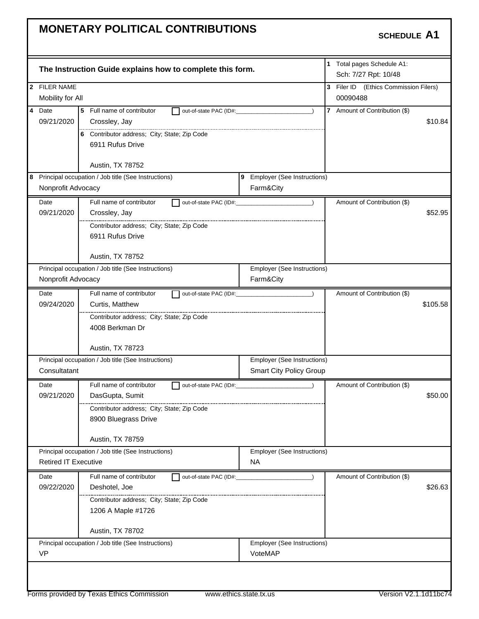| 2 FILER NAME<br>3 Filer ID (Ethics Commission Filers)<br>Mobility for All<br>00090488<br>$\overline{\mathbf{4}}$<br>5 Full name of contributor<br>7 Amount of Contribution (\$)<br>Date<br>out-of-state PAC (ID#:<br>$\lambda$<br>09/21/2020<br>Crossley, Jay<br>6 Contributor address; City; State; Zip Code<br>6911 Rufus Drive<br>Austin, TX 78752<br>8 Principal occupation / Job title (See Instructions)<br>9 Employer (See Instructions)<br>Nonprofit Advocacy<br>Farm&City<br>Full name of contributor<br>Amount of Contribution (\$)<br>Date<br>09/21/2020<br>Crossley, Jay<br>Contributor address; City; State; Zip Code<br>6911 Rufus Drive<br>Austin, TX 78752<br>Principal occupation / Job title (See Instructions)<br>Employer (See Instructions)<br>Nonprofit Advocacy<br>Farm&City<br>Full name of contributor<br>Amount of Contribution (\$)<br>Date<br>$\sqrt{ }$<br>09/24/2020<br>Curtis, Matthew<br>Contributor address; City; State; Zip Code<br>4008 Berkman Dr<br>Austin, TX 78723<br>Principal occupation / Job title (See Instructions)<br>Employer (See Instructions)<br>Consultatant<br><b>Smart City Policy Group</b><br>Full name of contributor<br>Amount of Contribution (\$)<br>Date<br>out-of-state PAC (ID#:<br>09/21/2020<br>DasGupta, Sumit<br>Contributor address; City; State; Zip Code<br>8900 Bluegrass Drive<br>Austin, TX 78759<br>Principal occupation / Job title (See Instructions)<br>Employer (See Instructions)<br><b>Retired IT Executive</b><br><b>NA</b><br>Full name of contributor<br>Amount of Contribution (\$)<br>Date<br>out-of-state PAC (ID#:<br>Deshotel, Joe<br>09/22/2020<br>Contributor address; City; State; Zip Code<br>1206 A Maple #1726<br>Austin, TX 78702<br>Principal occupation / Job title (See Instructions)<br>Employer (See Instructions)<br><b>VP</b><br>VoteMAP |  | The Instruction Guide explains how to complete this form. |  | 1 Total pages Schedule A1:<br>Sch: 7/27 Rpt: 10/48 |          |
|------------------------------------------------------------------------------------------------------------------------------------------------------------------------------------------------------------------------------------------------------------------------------------------------------------------------------------------------------------------------------------------------------------------------------------------------------------------------------------------------------------------------------------------------------------------------------------------------------------------------------------------------------------------------------------------------------------------------------------------------------------------------------------------------------------------------------------------------------------------------------------------------------------------------------------------------------------------------------------------------------------------------------------------------------------------------------------------------------------------------------------------------------------------------------------------------------------------------------------------------------------------------------------------------------------------------------------------------------------------------------------------------------------------------------------------------------------------------------------------------------------------------------------------------------------------------------------------------------------------------------------------------------------------------------------------------------------------------------------------------------------------------------------------------------------------------------------------------|--|-----------------------------------------------------------|--|----------------------------------------------------|----------|
|                                                                                                                                                                                                                                                                                                                                                                                                                                                                                                                                                                                                                                                                                                                                                                                                                                                                                                                                                                                                                                                                                                                                                                                                                                                                                                                                                                                                                                                                                                                                                                                                                                                                                                                                                                                                                                                |  |                                                           |  |                                                    |          |
|                                                                                                                                                                                                                                                                                                                                                                                                                                                                                                                                                                                                                                                                                                                                                                                                                                                                                                                                                                                                                                                                                                                                                                                                                                                                                                                                                                                                                                                                                                                                                                                                                                                                                                                                                                                                                                                |  |                                                           |  |                                                    |          |
|                                                                                                                                                                                                                                                                                                                                                                                                                                                                                                                                                                                                                                                                                                                                                                                                                                                                                                                                                                                                                                                                                                                                                                                                                                                                                                                                                                                                                                                                                                                                                                                                                                                                                                                                                                                                                                                |  |                                                           |  |                                                    |          |
|                                                                                                                                                                                                                                                                                                                                                                                                                                                                                                                                                                                                                                                                                                                                                                                                                                                                                                                                                                                                                                                                                                                                                                                                                                                                                                                                                                                                                                                                                                                                                                                                                                                                                                                                                                                                                                                |  |                                                           |  |                                                    | \$10.84  |
|                                                                                                                                                                                                                                                                                                                                                                                                                                                                                                                                                                                                                                                                                                                                                                                                                                                                                                                                                                                                                                                                                                                                                                                                                                                                                                                                                                                                                                                                                                                                                                                                                                                                                                                                                                                                                                                |  |                                                           |  |                                                    |          |
|                                                                                                                                                                                                                                                                                                                                                                                                                                                                                                                                                                                                                                                                                                                                                                                                                                                                                                                                                                                                                                                                                                                                                                                                                                                                                                                                                                                                                                                                                                                                                                                                                                                                                                                                                                                                                                                |  |                                                           |  |                                                    |          |
|                                                                                                                                                                                                                                                                                                                                                                                                                                                                                                                                                                                                                                                                                                                                                                                                                                                                                                                                                                                                                                                                                                                                                                                                                                                                                                                                                                                                                                                                                                                                                                                                                                                                                                                                                                                                                                                |  |                                                           |  |                                                    |          |
|                                                                                                                                                                                                                                                                                                                                                                                                                                                                                                                                                                                                                                                                                                                                                                                                                                                                                                                                                                                                                                                                                                                                                                                                                                                                                                                                                                                                                                                                                                                                                                                                                                                                                                                                                                                                                                                |  |                                                           |  |                                                    |          |
|                                                                                                                                                                                                                                                                                                                                                                                                                                                                                                                                                                                                                                                                                                                                                                                                                                                                                                                                                                                                                                                                                                                                                                                                                                                                                                                                                                                                                                                                                                                                                                                                                                                                                                                                                                                                                                                |  |                                                           |  |                                                    |          |
|                                                                                                                                                                                                                                                                                                                                                                                                                                                                                                                                                                                                                                                                                                                                                                                                                                                                                                                                                                                                                                                                                                                                                                                                                                                                                                                                                                                                                                                                                                                                                                                                                                                                                                                                                                                                                                                |  |                                                           |  |                                                    |          |
|                                                                                                                                                                                                                                                                                                                                                                                                                                                                                                                                                                                                                                                                                                                                                                                                                                                                                                                                                                                                                                                                                                                                                                                                                                                                                                                                                                                                                                                                                                                                                                                                                                                                                                                                                                                                                                                |  |                                                           |  |                                                    |          |
|                                                                                                                                                                                                                                                                                                                                                                                                                                                                                                                                                                                                                                                                                                                                                                                                                                                                                                                                                                                                                                                                                                                                                                                                                                                                                                                                                                                                                                                                                                                                                                                                                                                                                                                                                                                                                                                |  |                                                           |  |                                                    | \$52.95  |
|                                                                                                                                                                                                                                                                                                                                                                                                                                                                                                                                                                                                                                                                                                                                                                                                                                                                                                                                                                                                                                                                                                                                                                                                                                                                                                                                                                                                                                                                                                                                                                                                                                                                                                                                                                                                                                                |  |                                                           |  |                                                    |          |
|                                                                                                                                                                                                                                                                                                                                                                                                                                                                                                                                                                                                                                                                                                                                                                                                                                                                                                                                                                                                                                                                                                                                                                                                                                                                                                                                                                                                                                                                                                                                                                                                                                                                                                                                                                                                                                                |  |                                                           |  |                                                    |          |
|                                                                                                                                                                                                                                                                                                                                                                                                                                                                                                                                                                                                                                                                                                                                                                                                                                                                                                                                                                                                                                                                                                                                                                                                                                                                                                                                                                                                                                                                                                                                                                                                                                                                                                                                                                                                                                                |  |                                                           |  |                                                    |          |
|                                                                                                                                                                                                                                                                                                                                                                                                                                                                                                                                                                                                                                                                                                                                                                                                                                                                                                                                                                                                                                                                                                                                                                                                                                                                                                                                                                                                                                                                                                                                                                                                                                                                                                                                                                                                                                                |  |                                                           |  |                                                    |          |
|                                                                                                                                                                                                                                                                                                                                                                                                                                                                                                                                                                                                                                                                                                                                                                                                                                                                                                                                                                                                                                                                                                                                                                                                                                                                                                                                                                                                                                                                                                                                                                                                                                                                                                                                                                                                                                                |  |                                                           |  |                                                    |          |
|                                                                                                                                                                                                                                                                                                                                                                                                                                                                                                                                                                                                                                                                                                                                                                                                                                                                                                                                                                                                                                                                                                                                                                                                                                                                                                                                                                                                                                                                                                                                                                                                                                                                                                                                                                                                                                                |  |                                                           |  |                                                    |          |
|                                                                                                                                                                                                                                                                                                                                                                                                                                                                                                                                                                                                                                                                                                                                                                                                                                                                                                                                                                                                                                                                                                                                                                                                                                                                                                                                                                                                                                                                                                                                                                                                                                                                                                                                                                                                                                                |  |                                                           |  |                                                    |          |
|                                                                                                                                                                                                                                                                                                                                                                                                                                                                                                                                                                                                                                                                                                                                                                                                                                                                                                                                                                                                                                                                                                                                                                                                                                                                                                                                                                                                                                                                                                                                                                                                                                                                                                                                                                                                                                                |  |                                                           |  |                                                    | \$105.58 |
|                                                                                                                                                                                                                                                                                                                                                                                                                                                                                                                                                                                                                                                                                                                                                                                                                                                                                                                                                                                                                                                                                                                                                                                                                                                                                                                                                                                                                                                                                                                                                                                                                                                                                                                                                                                                                                                |  |                                                           |  |                                                    |          |
|                                                                                                                                                                                                                                                                                                                                                                                                                                                                                                                                                                                                                                                                                                                                                                                                                                                                                                                                                                                                                                                                                                                                                                                                                                                                                                                                                                                                                                                                                                                                                                                                                                                                                                                                                                                                                                                |  |                                                           |  |                                                    |          |
|                                                                                                                                                                                                                                                                                                                                                                                                                                                                                                                                                                                                                                                                                                                                                                                                                                                                                                                                                                                                                                                                                                                                                                                                                                                                                                                                                                                                                                                                                                                                                                                                                                                                                                                                                                                                                                                |  |                                                           |  |                                                    |          |
|                                                                                                                                                                                                                                                                                                                                                                                                                                                                                                                                                                                                                                                                                                                                                                                                                                                                                                                                                                                                                                                                                                                                                                                                                                                                                                                                                                                                                                                                                                                                                                                                                                                                                                                                                                                                                                                |  |                                                           |  |                                                    |          |
|                                                                                                                                                                                                                                                                                                                                                                                                                                                                                                                                                                                                                                                                                                                                                                                                                                                                                                                                                                                                                                                                                                                                                                                                                                                                                                                                                                                                                                                                                                                                                                                                                                                                                                                                                                                                                                                |  |                                                           |  |                                                    |          |
|                                                                                                                                                                                                                                                                                                                                                                                                                                                                                                                                                                                                                                                                                                                                                                                                                                                                                                                                                                                                                                                                                                                                                                                                                                                                                                                                                                                                                                                                                                                                                                                                                                                                                                                                                                                                                                                |  |                                                           |  |                                                    |          |
|                                                                                                                                                                                                                                                                                                                                                                                                                                                                                                                                                                                                                                                                                                                                                                                                                                                                                                                                                                                                                                                                                                                                                                                                                                                                                                                                                                                                                                                                                                                                                                                                                                                                                                                                                                                                                                                |  |                                                           |  |                                                    |          |
|                                                                                                                                                                                                                                                                                                                                                                                                                                                                                                                                                                                                                                                                                                                                                                                                                                                                                                                                                                                                                                                                                                                                                                                                                                                                                                                                                                                                                                                                                                                                                                                                                                                                                                                                                                                                                                                |  |                                                           |  |                                                    | \$50.00  |
|                                                                                                                                                                                                                                                                                                                                                                                                                                                                                                                                                                                                                                                                                                                                                                                                                                                                                                                                                                                                                                                                                                                                                                                                                                                                                                                                                                                                                                                                                                                                                                                                                                                                                                                                                                                                                                                |  |                                                           |  |                                                    |          |
|                                                                                                                                                                                                                                                                                                                                                                                                                                                                                                                                                                                                                                                                                                                                                                                                                                                                                                                                                                                                                                                                                                                                                                                                                                                                                                                                                                                                                                                                                                                                                                                                                                                                                                                                                                                                                                                |  |                                                           |  |                                                    |          |
|                                                                                                                                                                                                                                                                                                                                                                                                                                                                                                                                                                                                                                                                                                                                                                                                                                                                                                                                                                                                                                                                                                                                                                                                                                                                                                                                                                                                                                                                                                                                                                                                                                                                                                                                                                                                                                                |  |                                                           |  |                                                    |          |
|                                                                                                                                                                                                                                                                                                                                                                                                                                                                                                                                                                                                                                                                                                                                                                                                                                                                                                                                                                                                                                                                                                                                                                                                                                                                                                                                                                                                                                                                                                                                                                                                                                                                                                                                                                                                                                                |  |                                                           |  |                                                    |          |
|                                                                                                                                                                                                                                                                                                                                                                                                                                                                                                                                                                                                                                                                                                                                                                                                                                                                                                                                                                                                                                                                                                                                                                                                                                                                                                                                                                                                                                                                                                                                                                                                                                                                                                                                                                                                                                                |  |                                                           |  |                                                    |          |
|                                                                                                                                                                                                                                                                                                                                                                                                                                                                                                                                                                                                                                                                                                                                                                                                                                                                                                                                                                                                                                                                                                                                                                                                                                                                                                                                                                                                                                                                                                                                                                                                                                                                                                                                                                                                                                                |  |                                                           |  |                                                    |          |
|                                                                                                                                                                                                                                                                                                                                                                                                                                                                                                                                                                                                                                                                                                                                                                                                                                                                                                                                                                                                                                                                                                                                                                                                                                                                                                                                                                                                                                                                                                                                                                                                                                                                                                                                                                                                                                                |  |                                                           |  |                                                    | \$26.63  |
|                                                                                                                                                                                                                                                                                                                                                                                                                                                                                                                                                                                                                                                                                                                                                                                                                                                                                                                                                                                                                                                                                                                                                                                                                                                                                                                                                                                                                                                                                                                                                                                                                                                                                                                                                                                                                                                |  |                                                           |  |                                                    |          |
|                                                                                                                                                                                                                                                                                                                                                                                                                                                                                                                                                                                                                                                                                                                                                                                                                                                                                                                                                                                                                                                                                                                                                                                                                                                                                                                                                                                                                                                                                                                                                                                                                                                                                                                                                                                                                                                |  |                                                           |  |                                                    |          |
|                                                                                                                                                                                                                                                                                                                                                                                                                                                                                                                                                                                                                                                                                                                                                                                                                                                                                                                                                                                                                                                                                                                                                                                                                                                                                                                                                                                                                                                                                                                                                                                                                                                                                                                                                                                                                                                |  |                                                           |  |                                                    |          |
|                                                                                                                                                                                                                                                                                                                                                                                                                                                                                                                                                                                                                                                                                                                                                                                                                                                                                                                                                                                                                                                                                                                                                                                                                                                                                                                                                                                                                                                                                                                                                                                                                                                                                                                                                                                                                                                |  |                                                           |  |                                                    |          |
|                                                                                                                                                                                                                                                                                                                                                                                                                                                                                                                                                                                                                                                                                                                                                                                                                                                                                                                                                                                                                                                                                                                                                                                                                                                                                                                                                                                                                                                                                                                                                                                                                                                                                                                                                                                                                                                |  |                                                           |  |                                                    |          |
|                                                                                                                                                                                                                                                                                                                                                                                                                                                                                                                                                                                                                                                                                                                                                                                                                                                                                                                                                                                                                                                                                                                                                                                                                                                                                                                                                                                                                                                                                                                                                                                                                                                                                                                                                                                                                                                |  |                                                           |  |                                                    |          |
|                                                                                                                                                                                                                                                                                                                                                                                                                                                                                                                                                                                                                                                                                                                                                                                                                                                                                                                                                                                                                                                                                                                                                                                                                                                                                                                                                                                                                                                                                                                                                                                                                                                                                                                                                                                                                                                |  |                                                           |  |                                                    |          |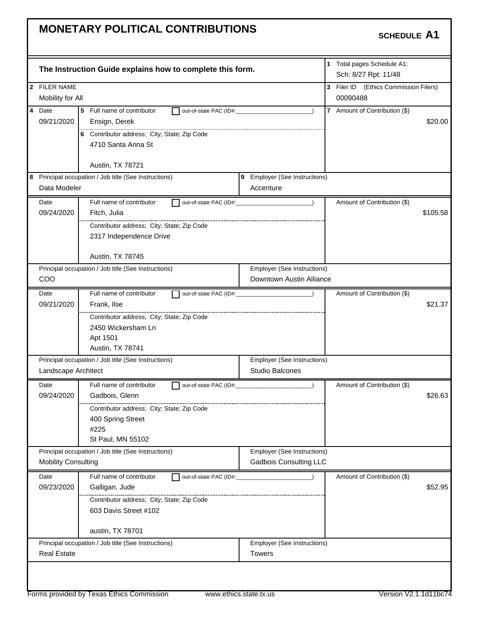|                            | The Instruction Guide explains how to complete this form. |                                                                     | 1 Total pages Schedule A1:<br>Sch: 8/27 Rpt: 11/48 |          |
|----------------------------|-----------------------------------------------------------|---------------------------------------------------------------------|----------------------------------------------------|----------|
| 2 FILER NAME               |                                                           |                                                                     | 3 Filer ID (Ethics Commission Filers)              |          |
| Mobility for All           |                                                           |                                                                     | 00090488                                           |          |
| 4 Date                     | 5 Full name of contributor                                | out-of-state PAC (ID#:                                              | 7 Amount of Contribution (\$)                      |          |
| 09/21/2020                 | Ensign, Derek                                             |                                                                     |                                                    | \$20.00  |
|                            | 6 Contributor address; City; State; Zip Code              |                                                                     |                                                    |          |
|                            | 4710 Santa Anna St                                        |                                                                     |                                                    |          |
|                            |                                                           |                                                                     |                                                    |          |
|                            | Austin, TX 78721                                          |                                                                     |                                                    |          |
| Data Modeler               | 8 Principal occupation / Job title (See Instructions)     | 9 Employer (See Instructions)                                       |                                                    |          |
|                            |                                                           | Accenture                                                           |                                                    |          |
| Date                       | Full name of contributor                                  | out-of-state PAC (ID#:                                              | Amount of Contribution (\$)                        |          |
| 09/24/2020                 | Fitch, Julia                                              |                                                                     |                                                    | \$105.58 |
|                            | Contributor address; City; State; Zip Code                |                                                                     |                                                    |          |
|                            | 2317 Independence Drive                                   |                                                                     |                                                    |          |
|                            | Austin, TX 78745                                          |                                                                     |                                                    |          |
|                            | Principal occupation / Job title (See Instructions)       | Employer (See Instructions)                                         |                                                    |          |
| COO                        |                                                           | Downtown Austin Alliance                                            |                                                    |          |
| Date                       | Full name of contributor                                  | out-of-state PAC (ID#: 2000)                                        | Amount of Contribution (\$)                        |          |
| 09/21/2020                 | Frank, Ilse                                               |                                                                     |                                                    | \$21.37  |
|                            | Contributor address; City; State; Zip Code                |                                                                     |                                                    |          |
|                            | 2450 Wickersham Ln                                        |                                                                     |                                                    |          |
|                            | Apt 1501                                                  |                                                                     |                                                    |          |
|                            | Austin, TX 78741                                          |                                                                     |                                                    |          |
|                            | Principal occupation / Job title (See Instructions)       | Employer (See Instructions)                                         |                                                    |          |
| Landscape Architect        |                                                           | Studio Balcones                                                     |                                                    |          |
| Date                       | Full name of contributor                                  | out-of-state PAC (ID#:                                              | Amount of Contribution (\$)                        |          |
| 09/24/2020                 | Gadbois, Glenn                                            |                                                                     |                                                    | \$26.63  |
|                            | Contributor address; City; State; Zip Code                |                                                                     |                                                    |          |
|                            | 400 Spring Street                                         |                                                                     |                                                    |          |
|                            | #225                                                      |                                                                     |                                                    |          |
|                            | St Paul, MN 55102                                         |                                                                     |                                                    |          |
| <b>Mobility Consulting</b> | Principal occupation / Job title (See Instructions)       | <b>Employer (See Instructions)</b><br><b>Gadbois Consulting LLC</b> |                                                    |          |
|                            |                                                           |                                                                     |                                                    |          |
| Date                       | Full name of contributor<br>out-of-state PAC (ID#:        |                                                                     | Amount of Contribution (\$)                        |          |
| 09/23/2020                 | Galligan, Jude                                            |                                                                     |                                                    | \$52.95  |
|                            | Contributor address; City; State; Zip Code                |                                                                     |                                                    |          |
|                            | 603 Davis Street #102                                     |                                                                     |                                                    |          |
|                            | austin, TX 78701                                          |                                                                     |                                                    |          |
|                            |                                                           | Employer (See Instructions)                                         |                                                    |          |
|                            | Principal occupation / Job title (See Instructions)       |                                                                     |                                                    |          |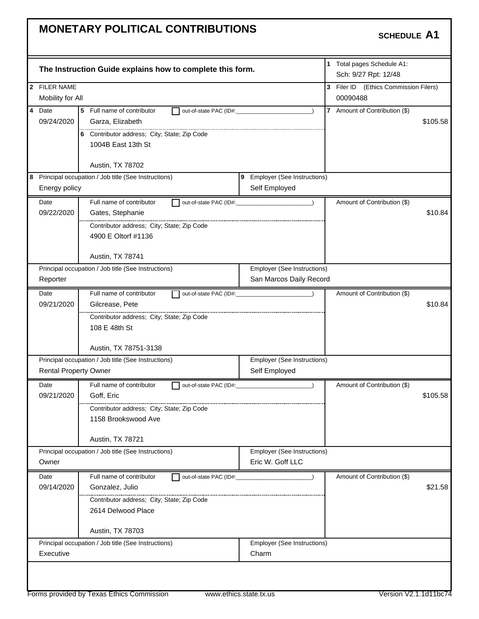| 2 FILER NAME<br>Mobility for All<br>4 Date<br>5 Full name of contributor<br>out-of-state PAC (ID#:<br>$\lambda$<br>09/24/2020<br>Garza, Elizabeth<br>6 Contributor address; City; State; Zip Code<br>1004B East 13th St<br>Austin, TX 78702<br>9 Employer (See Instructions)<br>Self Employed<br>Energy policy | 3 Filer ID (Ethics Commission Filers)<br>00090488<br>7 Amount of Contribution (\$)<br>\$105.58 |
|----------------------------------------------------------------------------------------------------------------------------------------------------------------------------------------------------------------------------------------------------------------------------------------------------------------|------------------------------------------------------------------------------------------------|
|                                                                                                                                                                                                                                                                                                                |                                                                                                |
|                                                                                                                                                                                                                                                                                                                |                                                                                                |
|                                                                                                                                                                                                                                                                                                                |                                                                                                |
|                                                                                                                                                                                                                                                                                                                |                                                                                                |
| 8 Principal occupation / Job title (See Instructions)                                                                                                                                                                                                                                                          |                                                                                                |
|                                                                                                                                                                                                                                                                                                                |                                                                                                |
|                                                                                                                                                                                                                                                                                                                |                                                                                                |
|                                                                                                                                                                                                                                                                                                                |                                                                                                |
| Full name of contributor<br>Date                                                                                                                                                                                                                                                                               | Amount of Contribution (\$)                                                                    |
| 09/22/2020<br>Gates, Stephanie                                                                                                                                                                                                                                                                                 | \$10.84                                                                                        |
| Contributor address; City; State; Zip Code                                                                                                                                                                                                                                                                     |                                                                                                |
| 4900 E Oltorf #1136                                                                                                                                                                                                                                                                                            |                                                                                                |
|                                                                                                                                                                                                                                                                                                                |                                                                                                |
| Austin, TX 78741                                                                                                                                                                                                                                                                                               |                                                                                                |
| Principal occupation / Job title (See Instructions)<br><b>Employer (See Instructions)</b>                                                                                                                                                                                                                      |                                                                                                |
| San Marcos Daily Record<br>Reporter                                                                                                                                                                                                                                                                            |                                                                                                |
| Full name of contributor<br>Date                                                                                                                                                                                                                                                                               | Amount of Contribution (\$)                                                                    |
| 09/21/2020<br>Gilcrease, Pete                                                                                                                                                                                                                                                                                  | \$10.84                                                                                        |
| Contributor address; City; State; Zip Code                                                                                                                                                                                                                                                                     |                                                                                                |
| 108 E 48th St                                                                                                                                                                                                                                                                                                  |                                                                                                |
|                                                                                                                                                                                                                                                                                                                |                                                                                                |
| Austin, TX 78751-3138                                                                                                                                                                                                                                                                                          |                                                                                                |
| Principal occupation / Job title (See Instructions)<br>Employer (See Instructions)                                                                                                                                                                                                                             |                                                                                                |
| Self Employed<br><b>Rental Property Owner</b>                                                                                                                                                                                                                                                                  |                                                                                                |
| Date<br>Full name of contributor                                                                                                                                                                                                                                                                               | Amount of Contribution (\$)                                                                    |
| 09/21/2020<br>Goff, Eric                                                                                                                                                                                                                                                                                       | \$105.58                                                                                       |
| Contributor address; City; State; Zip Code                                                                                                                                                                                                                                                                     |                                                                                                |
| 1158 Brookswood Ave                                                                                                                                                                                                                                                                                            |                                                                                                |
| Austin, TX 78721                                                                                                                                                                                                                                                                                               |                                                                                                |
| Principal occupation / Job title (See Instructions)<br>Employer (See Instructions)                                                                                                                                                                                                                             |                                                                                                |
| Eric W. Goff LLC<br>Owner                                                                                                                                                                                                                                                                                      |                                                                                                |
| Full name of contributor<br>Date<br>out-of-state PAC (ID#:                                                                                                                                                                                                                                                     | Amount of Contribution (\$)                                                                    |
| 09/14/2020<br>Gonzalez, Julio                                                                                                                                                                                                                                                                                  | \$21.58                                                                                        |
| Contributor address; City; State; Zip Code                                                                                                                                                                                                                                                                     |                                                                                                |
| 2614 Delwood Place                                                                                                                                                                                                                                                                                             |                                                                                                |
|                                                                                                                                                                                                                                                                                                                |                                                                                                |
| Austin, TX 78703                                                                                                                                                                                                                                                                                               |                                                                                                |
| Principal occupation / Job title (See Instructions)<br>Employer (See Instructions)                                                                                                                                                                                                                             |                                                                                                |
|                                                                                                                                                                                                                                                                                                                |                                                                                                |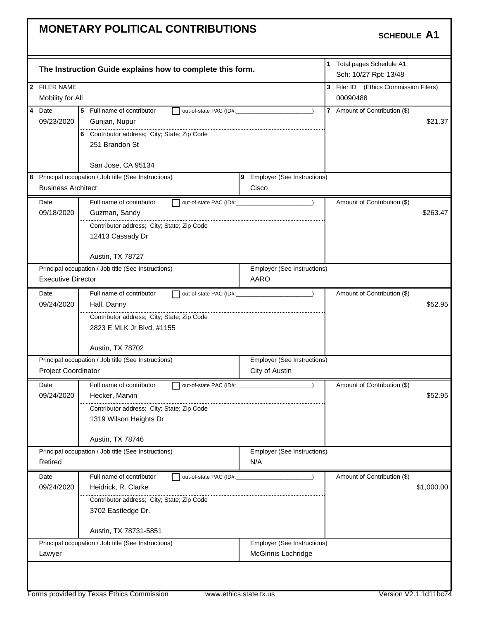|                                            | The Instruction Guide explains how to complete this form. |                                               | 1 Total pages Schedule A1:<br>Sch: 10/27 Rpt: 13/48 |            |
|--------------------------------------------|-----------------------------------------------------------|-----------------------------------------------|-----------------------------------------------------|------------|
| 2 FILER NAME                               |                                                           |                                               | 3 Filer ID (Ethics Commission Filers)               |            |
| Mobility for All                           |                                                           |                                               | 00090488                                            |            |
| 4 Date                                     | 5<br>Full name of contributor<br>out-of-state PAC (ID#:   |                                               | 7 Amount of Contribution (\$)                       |            |
| 09/23/2020                                 | Gunjan, Nupur                                             |                                               |                                                     | \$21.37    |
|                                            | 6 Contributor address; City; State; Zip Code              |                                               |                                                     |            |
|                                            | 251 Brandon St                                            |                                               |                                                     |            |
|                                            |                                                           |                                               |                                                     |            |
|                                            | San Jose, CA 95134                                        |                                               |                                                     |            |
|                                            | 8 Principal occupation / Job title (See Instructions)     | 9 Employer (See Instructions)                 |                                                     |            |
| <b>Business Architect</b>                  |                                                           | Cisco                                         |                                                     |            |
| Date                                       | Full name of contributor                                  | out-of-state PAC (ID#: 2000)<br>$\rightarrow$ | Amount of Contribution (\$)                         |            |
| 09/18/2020                                 | Guzman, Sandy                                             |                                               |                                                     | \$263.47   |
|                                            | Contributor address; City; State; Zip Code                |                                               |                                                     |            |
|                                            | 12413 Cassady Dr                                          |                                               |                                                     |            |
|                                            |                                                           |                                               |                                                     |            |
|                                            | Austin, TX 78727                                          |                                               |                                                     |            |
|                                            | Principal occupation / Job title (See Instructions)       | Employer (See Instructions)                   |                                                     |            |
| <b>Executive Director</b>                  |                                                           | AARO                                          |                                                     |            |
| Date                                       | Full name of contributor                                  | out-of-state PAC (ID#:                        | Amount of Contribution (\$)                         |            |
| 09/24/2020                                 | Hall, Danny                                               |                                               |                                                     | \$52.95    |
| Contributor address; City; State; Zip Code |                                                           |                                               |                                                     |            |
|                                            | 2823 E MLK Jr Blvd, #1155                                 |                                               |                                                     |            |
|                                            |                                                           |                                               |                                                     |            |
|                                            | Austin, TX 78702                                          |                                               |                                                     |            |
|                                            | Principal occupation / Job title (See Instructions)       | Employer (See Instructions)                   |                                                     |            |
| Project Coordinator                        |                                                           | City of Austin                                |                                                     |            |
| Date                                       | Full name of contributor                                  | out-of-state PAC (ID#:                        | Amount of Contribution (\$)                         |            |
| 09/24/2020                                 | Hecker, Marvin                                            |                                               |                                                     | \$52.95    |
|                                            | Contributor address; City; State; Zip Code                |                                               |                                                     |            |
|                                            | 1319 Wilson Heights Dr                                    |                                               |                                                     |            |
|                                            |                                                           |                                               |                                                     |            |
|                                            | Austin, TX 78746                                          |                                               |                                                     |            |
|                                            | Principal occupation / Job title (See Instructions)       | Employer (See Instructions)                   |                                                     |            |
| Retired                                    |                                                           | N/A                                           |                                                     |            |
| Date                                       | Full name of contributor<br>out-of-state PAC (ID#:        |                                               | Amount of Contribution (\$)                         |            |
| 09/24/2020                                 | Heidrick, R. Clarke                                       |                                               |                                                     | \$1,000.00 |
|                                            | Contributor address; City; State; Zip Code                |                                               |                                                     |            |
|                                            | 3702 Eastledge Dr.                                        |                                               |                                                     |            |
|                                            |                                                           |                                               |                                                     |            |
|                                            | Austin, TX 78731-5851                                     |                                               |                                                     |            |
|                                            | Principal occupation / Job title (See Instructions)       | Employer (See Instructions)                   |                                                     |            |
| Lawyer                                     |                                                           | McGinnis Lochridge                            |                                                     |            |
|                                            |                                                           |                                               |                                                     |            |
|                                            |                                                           |                                               |                                                     |            |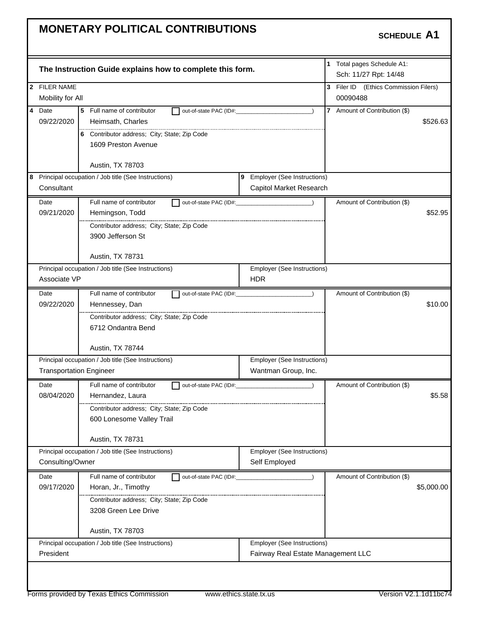|                |                                | The Instruction Guide explains how to complete this form.               |                                           | 1 Total pages Schedule A1:<br>Sch: 11/27 Rpt: 14/48 |            |
|----------------|--------------------------------|-------------------------------------------------------------------------|-------------------------------------------|-----------------------------------------------------|------------|
|                | 2 FILER NAME                   |                                                                         |                                           | 3 Filer ID (Ethics Commission Filers)               |            |
|                | Mobility for All               |                                                                         |                                           | 00090488                                            |            |
| $\overline{4}$ | Date                           | 5<br>Full name of contributor<br>out-of-state PAC (ID#:                 |                                           | 7 Amount of Contribution (\$)                       |            |
|                | 09/22/2020                     | Heimsath, Charles                                                       |                                           |                                                     | \$526.63   |
|                |                                | 6 Contributor address; City; State; Zip Code                            |                                           |                                                     |            |
|                |                                | 1609 Preston Avenue                                                     |                                           |                                                     |            |
|                |                                |                                                                         |                                           |                                                     |            |
|                |                                | Austin, TX 78703                                                        |                                           |                                                     |            |
|                |                                | 8 Principal occupation / Job title (See Instructions)                   | 9 Employer (See Instructions)             |                                                     |            |
|                | Consultant                     |                                                                         | Capitol Market Research                   |                                                     |            |
|                | Date                           | Full name of contributor                                                | out-of-state PAC (ID#: 2000)              | Amount of Contribution (\$)                         |            |
|                | 09/21/2020                     | Hemingson, Todd                                                         |                                           |                                                     | \$52.95    |
|                |                                | Contributor address; City; State; Zip Code                              |                                           |                                                     |            |
|                |                                | 3900 Jefferson St                                                       |                                           |                                                     |            |
|                |                                |                                                                         |                                           |                                                     |            |
|                |                                | Austin, TX 78731<br>Principal occupation / Job title (See Instructions) |                                           |                                                     |            |
|                | Associate VP                   |                                                                         | Employer (See Instructions)<br><b>HDR</b> |                                                     |            |
|                |                                |                                                                         |                                           |                                                     |            |
|                | Date                           | Full name of contributor<br>out-of-state PAC (ID#:                      |                                           | Amount of Contribution (\$)                         |            |
|                | 09/22/2020                     | Hennessey, Dan                                                          |                                           |                                                     | \$10.00    |
|                |                                | Contributor address; City; State; Zip Code                              |                                           |                                                     |            |
|                |                                | 6712 Ondantra Bend                                                      |                                           |                                                     |            |
|                |                                | Austin, TX 78744                                                        |                                           |                                                     |            |
|                |                                | Principal occupation / Job title (See Instructions)                     | Employer (See Instructions)               |                                                     |            |
|                | <b>Transportation Engineer</b> |                                                                         | Wantman Group, Inc.                       |                                                     |            |
|                | Date                           | Full name of contributor                                                | out-of-state PAC (ID#: 2000)              | Amount of Contribution (\$)                         |            |
|                | 08/04/2020                     | Hernandez, Laura                                                        |                                           |                                                     | \$5.58     |
|                |                                | Contributor address; City; State; Zip Code                              |                                           |                                                     |            |
|                |                                | 600 Lonesome Valley Trail                                               |                                           |                                                     |            |
|                |                                |                                                                         |                                           |                                                     |            |
|                |                                | Austin, TX 78731                                                        |                                           |                                                     |            |
|                |                                | Principal occupation / Job title (See Instructions)                     | Employer (See Instructions)               |                                                     |            |
|                | Consulting/Owner               |                                                                         | Self Employed                             |                                                     |            |
|                | Date                           | Full name of contributor<br>out-of-state PAC (ID#:                      |                                           | Amount of Contribution (\$)                         |            |
|                | 09/17/2020                     | Horan, Jr., Timothy                                                     |                                           |                                                     | \$5,000.00 |
|                |                                | Contributor address; City; State; Zip Code                              |                                           |                                                     |            |
|                |                                | 3208 Green Lee Drive                                                    |                                           |                                                     |            |
|                |                                | Austin, TX 78703                                                        |                                           |                                                     |            |
|                |                                | Principal occupation / Job title (See Instructions)                     | Employer (See Instructions)               |                                                     |            |
|                | President                      |                                                                         | Fairway Real Estate Management LLC        |                                                     |            |
|                |                                |                                                                         |                                           |                                                     |            |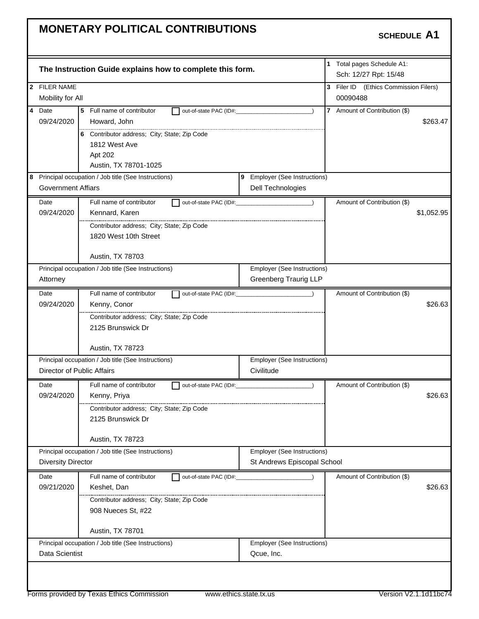| The Instruction Guide explains how to complete this form.             | 1 Total pages Schedule A1:<br>Sch: 12/27 Rpt: 15/48         |
|-----------------------------------------------------------------------|-------------------------------------------------------------|
| 2 FILER NAME                                                          | 3 Filer ID (Ethics Commission Filers)                       |
| Mobility for All                                                      | 00090488                                                    |
| 4 Date<br>5 Full name of contributor                                  | 7 Amount of Contribution (\$)<br>out-of-state PAC (ID#:     |
| 09/24/2020<br>Howard, John                                            | \$263.47                                                    |
| 6 Contributor address; City; State; Zip Code                          |                                                             |
| 1812 West Ave                                                         |                                                             |
| Apt 202                                                               |                                                             |
| Austin, TX 78701-1025                                                 |                                                             |
| 8 Principal occupation / Job title (See Instructions)                 | 9 Employer (See Instructions)                               |
| <b>Government Affiars</b>                                             | Dell Technologies                                           |
| Full name of contributor<br>Date                                      | Amount of Contribution (\$)<br>out-of-state PAC (ID#: 2000) |
| 09/24/2020<br>Kennard, Karen                                          | \$1,052.95                                                  |
| Contributor address; City; State; Zip Code                            |                                                             |
| 1820 West 10th Street                                                 |                                                             |
|                                                                       |                                                             |
| Austin, TX 78703                                                      |                                                             |
| Principal occupation / Job title (See Instructions)<br>Attorney       | Employer (See Instructions)<br><b>Greenberg Traurig LLP</b> |
|                                                                       |                                                             |
| Full name of contributor<br>Date                                      | Amount of Contribution (\$)                                 |
| 09/24/2020<br>Kenny, Conor                                            | \$26.63                                                     |
| Contributor address; City; State; Zip Code                            |                                                             |
| 2125 Brunswick Dr                                                     |                                                             |
| Austin, TX 78723                                                      |                                                             |
| Principal occupation / Job title (See Instructions)                   | Employer (See Instructions)                                 |
| Director of Public Affairs                                            | Civilitude                                                  |
| Full name of contributor<br>Date                                      | Amount of Contribution (\$)                                 |
| 09/24/2020<br>Kenny, Priya                                            | \$26.63                                                     |
| Contributor address; City; State; Zip Code                            |                                                             |
| 2125 Brunswick Dr                                                     |                                                             |
| Austin, TX 78723                                                      |                                                             |
| Principal occupation / Job title (See Instructions)                   | <b>Employer (See Instructions)</b>                          |
| <b>Diversity Director</b>                                             | St Andrews Episcopal School                                 |
| Full name of contributor<br>Date                                      | Amount of Contribution (\$)<br>out-of-state PAC (ID#:       |
| 09/21/2020<br>Keshet, Dan                                             |                                                             |
|                                                                       | \$26.63                                                     |
| Contributor address; City; State; Zip Code                            |                                                             |
| 908 Nueces St, #22                                                    |                                                             |
|                                                                       |                                                             |
| Austin, TX 78701                                                      |                                                             |
| Principal occupation / Job title (See Instructions)<br>Data Scientist | Employer (See Instructions)<br>Qcue, Inc.                   |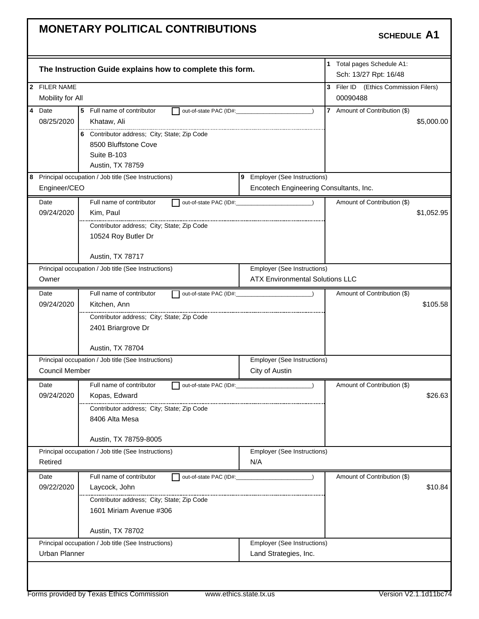|                        | The Instruction Guide explains how to complete this form.                              |                                                                       | 1 Total pages Schedule A1:<br>Sch: 13/27 Rpt: 16/48 |            |
|------------------------|----------------------------------------------------------------------------------------|-----------------------------------------------------------------------|-----------------------------------------------------|------------|
| 2 FILER NAME           |                                                                                        |                                                                       | 3 Filer ID (Ethics Commission Filers)               |            |
| Mobility for All       |                                                                                        |                                                                       | 00090488                                            |            |
| $\overline{4}$<br>Date | 5 Full name of contributor<br>out-of-state PAC (ID#:                                   |                                                                       | 7 Amount of Contribution (\$)                       |            |
| 08/25/2020             | Khataw, Ali                                                                            |                                                                       |                                                     | \$5,000.00 |
|                        | 6 Contributor address; City; State; Zip Code                                           |                                                                       |                                                     |            |
|                        | 8500 Bluffstone Cove                                                                   |                                                                       |                                                     |            |
|                        | Suite B-103                                                                            |                                                                       |                                                     |            |
|                        | Austin, TX 78759                                                                       |                                                                       |                                                     |            |
|                        | 8 Principal occupation / Job title (See Instructions)<br>9 Employer (See Instructions) |                                                                       |                                                     |            |
| Engineer/CEO           |                                                                                        | Encotech Engineering Consultants, Inc.                                |                                                     |            |
| Date                   | Full name of contributor<br>out-of-state PAC (ID#:                                     | $\rightarrow$                                                         | Amount of Contribution (\$)                         |            |
| 09/24/2020             | Kim, Paul                                                                              |                                                                       |                                                     | \$1,052.95 |
|                        | Contributor address; City; State; Zip Code                                             |                                                                       |                                                     |            |
|                        | 10524 Roy Butler Dr                                                                    |                                                                       |                                                     |            |
|                        |                                                                                        |                                                                       |                                                     |            |
|                        | Austin, TX 78717                                                                       |                                                                       |                                                     |            |
|                        | Principal occupation / Job title (See Instructions)                                    | Employer (See Instructions)<br><b>ATX Environmental Solutions LLC</b> |                                                     |            |
| Owner                  |                                                                                        |                                                                       |                                                     |            |
| Date                   | Full name of contributor<br>out-of-state PAC (ID#:                                     |                                                                       | Amount of Contribution (\$)                         |            |
| 09/24/2020             | Kitchen, Ann                                                                           |                                                                       |                                                     | \$105.58   |
|                        | Contributor address; City; State; Zip Code                                             |                                                                       |                                                     |            |
|                        | 2401 Briargrove Dr                                                                     |                                                                       |                                                     |            |
|                        | Austin, TX 78704                                                                       |                                                                       |                                                     |            |
|                        | Principal occupation / Job title (See Instructions)                                    | <b>Employer (See Instructions)</b>                                    |                                                     |            |
| Council Member         |                                                                                        | City of Austin                                                        |                                                     |            |
| Date                   | Full name of contributor<br>out-of-state PAC (ID#:                                     |                                                                       | Amount of Contribution (\$)                         |            |
| 09/24/2020             | Kopas, Edward                                                                          |                                                                       |                                                     | \$26.63    |
|                        | Contributor address; City; State; Zip Code                                             |                                                                       |                                                     |            |
|                        | 8406 Alta Mesa                                                                         |                                                                       |                                                     |            |
|                        | Austin, TX 78759-8005                                                                  |                                                                       |                                                     |            |
|                        | Principal occupation / Job title (See Instructions)                                    | Employer (See Instructions)                                           |                                                     |            |
| Retired                |                                                                                        | N/A                                                                   |                                                     |            |
| Date                   | Full name of contributor<br>out-of-state PAC (ID#:                                     |                                                                       | Amount of Contribution (\$)                         |            |
| 09/22/2020             | Laycock, John                                                                          |                                                                       |                                                     | \$10.84    |
|                        | Contributor address; City; State; Zip Code                                             |                                                                       |                                                     |            |
|                        | 1601 Miriam Avenue #306                                                                |                                                                       |                                                     |            |
|                        |                                                                                        |                                                                       |                                                     |            |
|                        | Austin, TX 78702                                                                       |                                                                       |                                                     |            |
|                        | Principal occupation / Job title (See Instructions)                                    | Employer (See Instructions)                                           |                                                     |            |
| Urban Planner          |                                                                                        | Land Strategies, Inc.                                                 |                                                     |            |
|                        |                                                                                        |                                                                       |                                                     |            |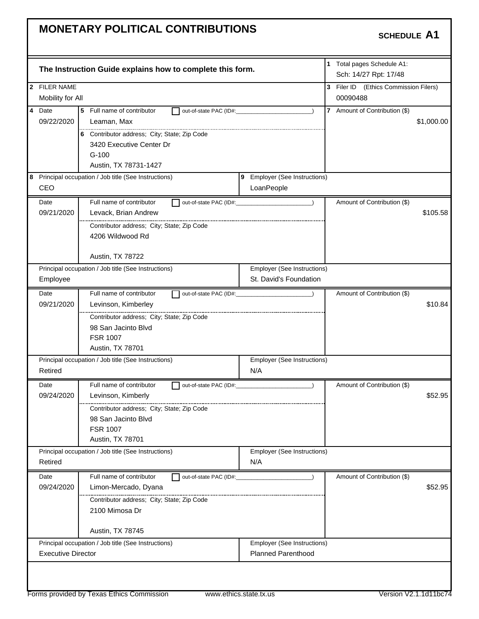|                         |                           | The Instruction Guide explains how to complete this form. |                                    |                | 1 Total pages Schedule A1:<br>Sch: 14/27 Rpt: 17/48 |            |
|-------------------------|---------------------------|-----------------------------------------------------------|------------------------------------|----------------|-----------------------------------------------------|------------|
|                         | 2 FILER NAME              |                                                           |                                    |                | 3 Filer ID (Ethics Commission Filers)               |            |
|                         | Mobility for All          |                                                           |                                    |                | 00090488                                            |            |
| $\overline{\mathbf{4}}$ | Date                      | 5<br>Full name of contributor<br>out-of-state PAC (ID#:   |                                    | $\overline{7}$ | Amount of Contribution (\$)                         |            |
|                         | 09/22/2020                | Leaman, Max                                               |                                    |                |                                                     | \$1,000.00 |
|                         |                           | 6 Contributor address; City; State; Zip Code              |                                    |                |                                                     |            |
|                         |                           | 3420 Executive Center Dr                                  |                                    |                |                                                     |            |
|                         |                           | $G-100$                                                   |                                    |                |                                                     |            |
|                         |                           | Austin, TX 78731-1427                                     |                                    |                |                                                     |            |
|                         |                           | 8 Principal occupation / Job title (See Instructions)     | 9 Employer (See Instructions)      |                |                                                     |            |
|                         | CEO                       |                                                           | LoanPeople                         |                |                                                     |            |
|                         | Date                      | Full name of contributor<br>out-of-state PAC (ID#:        | $\lambda$                          |                | Amount of Contribution (\$)                         |            |
|                         | 09/21/2020                | Levack, Brian Andrew                                      |                                    |                |                                                     | \$105.58   |
|                         |                           | Contributor address; City; State; Zip Code                |                                    |                |                                                     |            |
|                         |                           | 4206 Wildwood Rd                                          |                                    |                |                                                     |            |
|                         |                           |                                                           |                                    |                |                                                     |            |
|                         |                           | Austin, TX 78722                                          |                                    |                |                                                     |            |
|                         |                           | Principal occupation / Job title (See Instructions)       | <b>Employer (See Instructions)</b> |                |                                                     |            |
|                         | Employee                  |                                                           | St. David's Foundation             |                |                                                     |            |
|                         | Date                      | Full name of contributor<br>out-of-state PAC (ID#:        |                                    |                | Amount of Contribution (\$)                         |            |
|                         | 09/21/2020                | Levinson, Kimberley                                       |                                    |                |                                                     | \$10.84    |
|                         |                           | Contributor address; City; State; Zip Code                |                                    |                |                                                     |            |
|                         |                           | 98 San Jacinto Blvd                                       |                                    |                |                                                     |            |
|                         |                           | <b>FSR 1007</b>                                           |                                    |                |                                                     |            |
|                         |                           | Austin, TX 78701                                          |                                    |                |                                                     |            |
|                         |                           | Principal occupation / Job title (See Instructions)       | Employer (See Instructions)        |                |                                                     |            |
|                         | Retired                   |                                                           | N/A                                |                |                                                     |            |
|                         | Date                      | Full name of contributor<br>out-of-state PAC (ID#:        |                                    |                | Amount of Contribution (\$)                         |            |
|                         | 09/24/2020                | Levinson, Kimberly                                        |                                    |                |                                                     | \$52.95    |
|                         |                           | Contributor address; City; State; Zip Code                |                                    |                |                                                     |            |
|                         |                           | 98 San Jacinto Blvd                                       |                                    |                |                                                     |            |
|                         |                           | <b>FSR 1007</b>                                           |                                    |                |                                                     |            |
|                         |                           | Austin, TX 78701                                          |                                    |                |                                                     |            |
|                         |                           | Principal occupation / Job title (See Instructions)       | Employer (See Instructions)        |                |                                                     |            |
|                         | Retired                   |                                                           | N/A                                |                |                                                     |            |
|                         | Date                      | Full name of contributor<br>out-of-state PAC (ID#:        |                                    |                | Amount of Contribution (\$)                         |            |
|                         | 09/24/2020                | Limon-Mercado, Dyana                                      |                                    |                |                                                     | \$52.95    |
|                         |                           | Contributor address; City; State; Zip Code                |                                    |                |                                                     |            |
|                         |                           | 2100 Mimosa Dr                                            |                                    |                |                                                     |            |
|                         |                           |                                                           |                                    |                |                                                     |            |
|                         |                           | Austin, TX 78745                                          |                                    |                |                                                     |            |
|                         |                           | Principal occupation / Job title (See Instructions)       | Employer (See Instructions)        |                |                                                     |            |
|                         | <b>Executive Director</b> |                                                           | <b>Planned Parenthood</b>          |                |                                                     |            |
|                         |                           |                                                           |                                    |                |                                                     |            |
|                         |                           |                                                           |                                    |                |                                                     |            |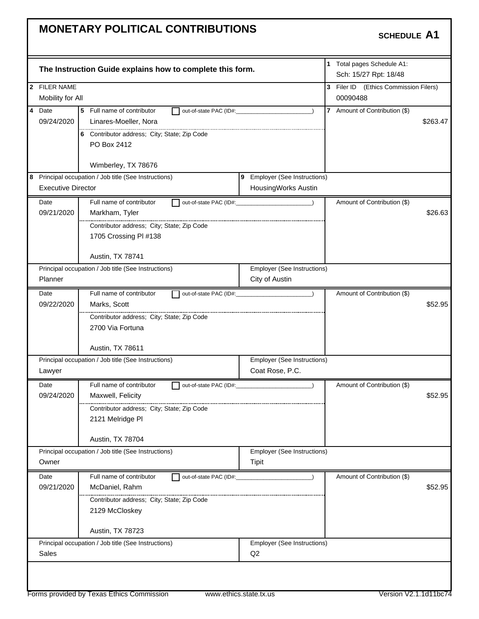| 2 FILER NAME<br>Mobility for All<br>00090488<br>4 Date<br>5 Full name of contributor<br>7 Amount of Contribution (\$)<br>out-of-state PAC (ID#:<br>09/24/2020<br>Linares-Moeller, Nora<br>6 Contributor address; City; State; Zip Code<br>PO Box 2412<br>Wimberley, TX 78676<br>9 Employer (See Instructions)<br><b>Executive Director</b><br>HousingWorks Austin<br>Full name of contributor<br>Date<br>Amount of Contribution (\$)<br>out-of-state PAC (ID#: 2000)<br>09/21/2020<br>Markham, Tyler<br>Contributor address; City; State; Zip Code<br>1705 Crossing PI #138<br>Austin, TX 78741<br>Employer (See Instructions)<br>Principal occupation / Job title (See Instructions)<br>Planner<br>City of Austin<br>Full name of contributor<br>Amount of Contribution (\$)<br>Date<br>09/22/2020<br>Marks, Scott<br>Contributor address; City; State; Zip Code<br>2700 Via Fortuna<br>Austin, TX 78611<br>Principal occupation / Job title (See Instructions)<br>Employer (See Instructions)<br>Coat Rose, P.C.<br>Lawyer<br>Full name of contributor<br>Date<br>Amount of Contribution (\$)<br>out-of-state PAC (ID#:<br>09/24/2020<br>Maxwell, Felicity<br>Contributor address; City; State; Zip Code<br>2121 Melridge Pl<br>Austin, TX 78704 | 3 Filer ID (Ethics Commission Filers)<br>\$263.47 |
|----------------------------------------------------------------------------------------------------------------------------------------------------------------------------------------------------------------------------------------------------------------------------------------------------------------------------------------------------------------------------------------------------------------------------------------------------------------------------------------------------------------------------------------------------------------------------------------------------------------------------------------------------------------------------------------------------------------------------------------------------------------------------------------------------------------------------------------------------------------------------------------------------------------------------------------------------------------------------------------------------------------------------------------------------------------------------------------------------------------------------------------------------------------------------------------------------------------------------------------------------|---------------------------------------------------|
|                                                                                                                                                                                                                                                                                                                                                                                                                                                                                                                                                                                                                                                                                                                                                                                                                                                                                                                                                                                                                                                                                                                                                                                                                                                    |                                                   |
|                                                                                                                                                                                                                                                                                                                                                                                                                                                                                                                                                                                                                                                                                                                                                                                                                                                                                                                                                                                                                                                                                                                                                                                                                                                    |                                                   |
|                                                                                                                                                                                                                                                                                                                                                                                                                                                                                                                                                                                                                                                                                                                                                                                                                                                                                                                                                                                                                                                                                                                                                                                                                                                    |                                                   |
|                                                                                                                                                                                                                                                                                                                                                                                                                                                                                                                                                                                                                                                                                                                                                                                                                                                                                                                                                                                                                                                                                                                                                                                                                                                    |                                                   |
| 8 Principal occupation / Job title (See Instructions)                                                                                                                                                                                                                                                                                                                                                                                                                                                                                                                                                                                                                                                                                                                                                                                                                                                                                                                                                                                                                                                                                                                                                                                              |                                                   |
|                                                                                                                                                                                                                                                                                                                                                                                                                                                                                                                                                                                                                                                                                                                                                                                                                                                                                                                                                                                                                                                                                                                                                                                                                                                    |                                                   |
|                                                                                                                                                                                                                                                                                                                                                                                                                                                                                                                                                                                                                                                                                                                                                                                                                                                                                                                                                                                                                                                                                                                                                                                                                                                    |                                                   |
|                                                                                                                                                                                                                                                                                                                                                                                                                                                                                                                                                                                                                                                                                                                                                                                                                                                                                                                                                                                                                                                                                                                                                                                                                                                    |                                                   |
|                                                                                                                                                                                                                                                                                                                                                                                                                                                                                                                                                                                                                                                                                                                                                                                                                                                                                                                                                                                                                                                                                                                                                                                                                                                    |                                                   |
|                                                                                                                                                                                                                                                                                                                                                                                                                                                                                                                                                                                                                                                                                                                                                                                                                                                                                                                                                                                                                                                                                                                                                                                                                                                    | \$26.63                                           |
|                                                                                                                                                                                                                                                                                                                                                                                                                                                                                                                                                                                                                                                                                                                                                                                                                                                                                                                                                                                                                                                                                                                                                                                                                                                    |                                                   |
|                                                                                                                                                                                                                                                                                                                                                                                                                                                                                                                                                                                                                                                                                                                                                                                                                                                                                                                                                                                                                                                                                                                                                                                                                                                    |                                                   |
|                                                                                                                                                                                                                                                                                                                                                                                                                                                                                                                                                                                                                                                                                                                                                                                                                                                                                                                                                                                                                                                                                                                                                                                                                                                    |                                                   |
|                                                                                                                                                                                                                                                                                                                                                                                                                                                                                                                                                                                                                                                                                                                                                                                                                                                                                                                                                                                                                                                                                                                                                                                                                                                    |                                                   |
|                                                                                                                                                                                                                                                                                                                                                                                                                                                                                                                                                                                                                                                                                                                                                                                                                                                                                                                                                                                                                                                                                                                                                                                                                                                    |                                                   |
|                                                                                                                                                                                                                                                                                                                                                                                                                                                                                                                                                                                                                                                                                                                                                                                                                                                                                                                                                                                                                                                                                                                                                                                                                                                    |                                                   |
|                                                                                                                                                                                                                                                                                                                                                                                                                                                                                                                                                                                                                                                                                                                                                                                                                                                                                                                                                                                                                                                                                                                                                                                                                                                    |                                                   |
|                                                                                                                                                                                                                                                                                                                                                                                                                                                                                                                                                                                                                                                                                                                                                                                                                                                                                                                                                                                                                                                                                                                                                                                                                                                    | \$52.95                                           |
|                                                                                                                                                                                                                                                                                                                                                                                                                                                                                                                                                                                                                                                                                                                                                                                                                                                                                                                                                                                                                                                                                                                                                                                                                                                    |                                                   |
|                                                                                                                                                                                                                                                                                                                                                                                                                                                                                                                                                                                                                                                                                                                                                                                                                                                                                                                                                                                                                                                                                                                                                                                                                                                    |                                                   |
|                                                                                                                                                                                                                                                                                                                                                                                                                                                                                                                                                                                                                                                                                                                                                                                                                                                                                                                                                                                                                                                                                                                                                                                                                                                    |                                                   |
|                                                                                                                                                                                                                                                                                                                                                                                                                                                                                                                                                                                                                                                                                                                                                                                                                                                                                                                                                                                                                                                                                                                                                                                                                                                    |                                                   |
|                                                                                                                                                                                                                                                                                                                                                                                                                                                                                                                                                                                                                                                                                                                                                                                                                                                                                                                                                                                                                                                                                                                                                                                                                                                    |                                                   |
|                                                                                                                                                                                                                                                                                                                                                                                                                                                                                                                                                                                                                                                                                                                                                                                                                                                                                                                                                                                                                                                                                                                                                                                                                                                    |                                                   |
|                                                                                                                                                                                                                                                                                                                                                                                                                                                                                                                                                                                                                                                                                                                                                                                                                                                                                                                                                                                                                                                                                                                                                                                                                                                    |                                                   |
|                                                                                                                                                                                                                                                                                                                                                                                                                                                                                                                                                                                                                                                                                                                                                                                                                                                                                                                                                                                                                                                                                                                                                                                                                                                    | \$52.95                                           |
|                                                                                                                                                                                                                                                                                                                                                                                                                                                                                                                                                                                                                                                                                                                                                                                                                                                                                                                                                                                                                                                                                                                                                                                                                                                    |                                                   |
|                                                                                                                                                                                                                                                                                                                                                                                                                                                                                                                                                                                                                                                                                                                                                                                                                                                                                                                                                                                                                                                                                                                                                                                                                                                    |                                                   |
|                                                                                                                                                                                                                                                                                                                                                                                                                                                                                                                                                                                                                                                                                                                                                                                                                                                                                                                                                                                                                                                                                                                                                                                                                                                    |                                                   |
| Principal occupation / Job title (See Instructions)<br><b>Employer (See Instructions)</b>                                                                                                                                                                                                                                                                                                                                                                                                                                                                                                                                                                                                                                                                                                                                                                                                                                                                                                                                                                                                                                                                                                                                                          |                                                   |
| Owner<br>Tipit                                                                                                                                                                                                                                                                                                                                                                                                                                                                                                                                                                                                                                                                                                                                                                                                                                                                                                                                                                                                                                                                                                                                                                                                                                     |                                                   |
| Full name of contributor<br>Amount of Contribution (\$)<br>Date<br>out-of-state PAC (ID#:                                                                                                                                                                                                                                                                                                                                                                                                                                                                                                                                                                                                                                                                                                                                                                                                                                                                                                                                                                                                                                                                                                                                                          |                                                   |
| 09/21/2020<br>McDaniel, Rahm                                                                                                                                                                                                                                                                                                                                                                                                                                                                                                                                                                                                                                                                                                                                                                                                                                                                                                                                                                                                                                                                                                                                                                                                                       |                                                   |
| Contributor address; City; State; Zip Code                                                                                                                                                                                                                                                                                                                                                                                                                                                                                                                                                                                                                                                                                                                                                                                                                                                                                                                                                                                                                                                                                                                                                                                                         |                                                   |
| 2129 McCloskey                                                                                                                                                                                                                                                                                                                                                                                                                                                                                                                                                                                                                                                                                                                                                                                                                                                                                                                                                                                                                                                                                                                                                                                                                                     |                                                   |
| Austin, TX 78723                                                                                                                                                                                                                                                                                                                                                                                                                                                                                                                                                                                                                                                                                                                                                                                                                                                                                                                                                                                                                                                                                                                                                                                                                                   |                                                   |
| Principal occupation / Job title (See Instructions)<br>Employer (See Instructions)                                                                                                                                                                                                                                                                                                                                                                                                                                                                                                                                                                                                                                                                                                                                                                                                                                                                                                                                                                                                                                                                                                                                                                 |                                                   |
| Sales<br>Q <sub>2</sub>                                                                                                                                                                                                                                                                                                                                                                                                                                                                                                                                                                                                                                                                                                                                                                                                                                                                                                                                                                                                                                                                                                                                                                                                                            |                                                   |
|                                                                                                                                                                                                                                                                                                                                                                                                                                                                                                                                                                                                                                                                                                                                                                                                                                                                                                                                                                                                                                                                                                                                                                                                                                                    | \$52.95                                           |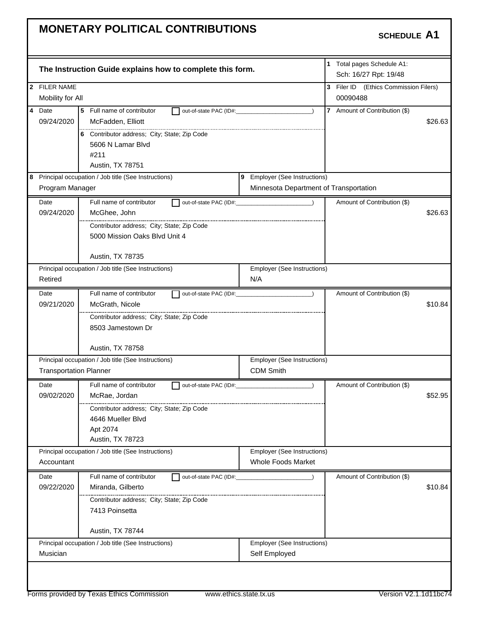| The Instruction Guide explains how to complete this form.                |                                                                                                                                                                                                                                                                                                                                            | 1 Total pages Schedule A1:<br>Sch: 16/27 Rpt: 19/48 |                                                                                                                                                                                                              |
|--------------------------------------------------------------------------|--------------------------------------------------------------------------------------------------------------------------------------------------------------------------------------------------------------------------------------------------------------------------------------------------------------------------------------------|-----------------------------------------------------|--------------------------------------------------------------------------------------------------------------------------------------------------------------------------------------------------------------|
|                                                                          |                                                                                                                                                                                                                                                                                                                                            | 3 Filer ID (Ethics Commission Filers)               |                                                                                                                                                                                                              |
| Mobility for All                                                         |                                                                                                                                                                                                                                                                                                                                            | 00090488                                            |                                                                                                                                                                                                              |
| Date<br>5 Full name of contributor<br>out-of-state PAC (ID#:             |                                                                                                                                                                                                                                                                                                                                            |                                                     |                                                                                                                                                                                                              |
| McFadden, Elliott                                                        |                                                                                                                                                                                                                                                                                                                                            |                                                     | \$26.63                                                                                                                                                                                                      |
|                                                                          |                                                                                                                                                                                                                                                                                                                                            |                                                     |                                                                                                                                                                                                              |
| 5606 N Lamar Blvd                                                        |                                                                                                                                                                                                                                                                                                                                            |                                                     |                                                                                                                                                                                                              |
| #211                                                                     |                                                                                                                                                                                                                                                                                                                                            |                                                     |                                                                                                                                                                                                              |
|                                                                          |                                                                                                                                                                                                                                                                                                                                            |                                                     |                                                                                                                                                                                                              |
| 8 Principal occupation / Job title (See Instructions)<br>Program Manager |                                                                                                                                                                                                                                                                                                                                            |                                                     |                                                                                                                                                                                                              |
|                                                                          |                                                                                                                                                                                                                                                                                                                                            |                                                     |                                                                                                                                                                                                              |
|                                                                          |                                                                                                                                                                                                                                                                                                                                            |                                                     |                                                                                                                                                                                                              |
|                                                                          |                                                                                                                                                                                                                                                                                                                                            |                                                     | \$26.63                                                                                                                                                                                                      |
|                                                                          |                                                                                                                                                                                                                                                                                                                                            |                                                     |                                                                                                                                                                                                              |
|                                                                          |                                                                                                                                                                                                                                                                                                                                            |                                                     |                                                                                                                                                                                                              |
| Austin, TX 78735                                                         |                                                                                                                                                                                                                                                                                                                                            |                                                     |                                                                                                                                                                                                              |
|                                                                          |                                                                                                                                                                                                                                                                                                                                            |                                                     |                                                                                                                                                                                                              |
|                                                                          | N/A                                                                                                                                                                                                                                                                                                                                        |                                                     |                                                                                                                                                                                                              |
| Full name of contributor<br>out-of-state PAC (ID#:                       |                                                                                                                                                                                                                                                                                                                                            | Amount of Contribution (\$)                         |                                                                                                                                                                                                              |
| McGrath, Nicole                                                          |                                                                                                                                                                                                                                                                                                                                            |                                                     | \$10.84                                                                                                                                                                                                      |
| Contributor address; City; State; Zip Code                               |                                                                                                                                                                                                                                                                                                                                            |                                                     |                                                                                                                                                                                                              |
| 8503 Jamestown Dr                                                        |                                                                                                                                                                                                                                                                                                                                            |                                                     |                                                                                                                                                                                                              |
|                                                                          |                                                                                                                                                                                                                                                                                                                                            |                                                     |                                                                                                                                                                                                              |
| Austin, TX 78758                                                         |                                                                                                                                                                                                                                                                                                                                            |                                                     |                                                                                                                                                                                                              |
|                                                                          |                                                                                                                                                                                                                                                                                                                                            |                                                     |                                                                                                                                                                                                              |
|                                                                          |                                                                                                                                                                                                                                                                                                                                            |                                                     |                                                                                                                                                                                                              |
| Full name of contributor<br>out-of-state PAC (ID#:                       |                                                                                                                                                                                                                                                                                                                                            | Amount of Contribution (\$)                         |                                                                                                                                                                                                              |
| McRae, Jordan                                                            |                                                                                                                                                                                                                                                                                                                                            |                                                     | \$52.95                                                                                                                                                                                                      |
| Contributor address; City; State; Zip Code                               |                                                                                                                                                                                                                                                                                                                                            |                                                     |                                                                                                                                                                                                              |
| 4646 Mueller Blvd<br>Apt 2074                                            |                                                                                                                                                                                                                                                                                                                                            |                                                     |                                                                                                                                                                                                              |
|                                                                          |                                                                                                                                                                                                                                                                                                                                            |                                                     |                                                                                                                                                                                                              |
|                                                                          |                                                                                                                                                                                                                                                                                                                                            |                                                     |                                                                                                                                                                                                              |
| Austin, TX 78723                                                         |                                                                                                                                                                                                                                                                                                                                            |                                                     |                                                                                                                                                                                                              |
| Principal occupation / Job title (See Instructions)                      | <b>Employer (See Instructions)</b><br>Whole Foods Market                                                                                                                                                                                                                                                                                   |                                                     |                                                                                                                                                                                                              |
|                                                                          |                                                                                                                                                                                                                                                                                                                                            |                                                     |                                                                                                                                                                                                              |
| Full name of contributor<br>out-of-state PAC (ID#:                       |                                                                                                                                                                                                                                                                                                                                            | Amount of Contribution (\$)                         |                                                                                                                                                                                                              |
| Miranda, Gilberto                                                        |                                                                                                                                                                                                                                                                                                                                            |                                                     | \$10.84                                                                                                                                                                                                      |
| Contributor address; City; State; Zip Code<br>7413 Poinsetta             |                                                                                                                                                                                                                                                                                                                                            |                                                     |                                                                                                                                                                                                              |
|                                                                          |                                                                                                                                                                                                                                                                                                                                            |                                                     |                                                                                                                                                                                                              |
| Austin, TX 78744                                                         |                                                                                                                                                                                                                                                                                                                                            |                                                     |                                                                                                                                                                                                              |
| Principal occupation / Job title (See Instructions)                      | Employer (See Instructions)<br>Self Employed                                                                                                                                                                                                                                                                                               |                                                     |                                                                                                                                                                                                              |
|                                                                          | 6 Contributor address; City; State; Zip Code<br>Austin, TX 78751<br>Full name of contributor<br>McGhee, John<br>Contributor address: City: State: Zip Code<br>5000 Mission Oaks Blvd Unit 4<br>Principal occupation / Job title (See Instructions)<br>Principal occupation / Job title (See Instructions)<br><b>Transportation Planner</b> | CDM Smith                                           | 7 Amount of Contribution (\$)<br>9 Employer (See Instructions)<br>Minnesota Department of Transportation<br>Amount of Contribution (\$)<br><b>Employer (See Instructions)</b><br>Employer (See Instructions) |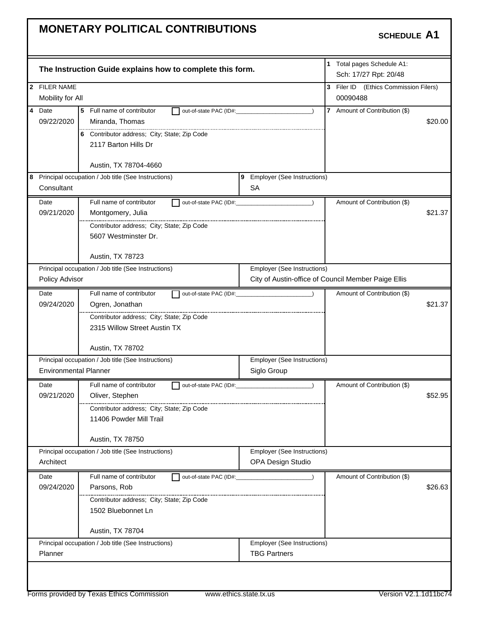|                              | The Instruction Guide explains how to complete this form. |                                                    | 1 Total pages Schedule A1:<br>Sch: 17/27 Rpt: 20/48 |         |
|------------------------------|-----------------------------------------------------------|----------------------------------------------------|-----------------------------------------------------|---------|
| 2 FILER NAME                 |                                                           |                                                    | 3 Filer ID (Ethics Commission Filers)               |         |
| Mobility for All             |                                                           |                                                    | 00090488                                            |         |
| $\overline{4}$<br>Date       | 5 Full name of contributor<br>out-of-state PAC (ID#:      |                                                    | 7 Amount of Contribution (\$)                       |         |
| 09/22/2020                   | Miranda, Thomas                                           |                                                    |                                                     | \$20.00 |
|                              | 6 Contributor address; City; State; Zip Code              |                                                    |                                                     |         |
|                              | 2117 Barton Hills Dr                                      |                                                    |                                                     |         |
|                              |                                                           |                                                    |                                                     |         |
|                              | Austin, TX 78704-4660                                     |                                                    |                                                     |         |
|                              | 8 Principal occupation / Job title (See Instructions)     | 9 Employer (See Instructions)                      |                                                     |         |
| Consultant                   |                                                           | SA                                                 |                                                     |         |
| Date                         | Full name of contributor<br>out-of-state PAC (ID#:        |                                                    | Amount of Contribution (\$)                         |         |
| 09/21/2020                   | Montgomery, Julia                                         |                                                    |                                                     | \$21.37 |
|                              | Contributor address; City; State; Zip Code                |                                                    |                                                     |         |
|                              | 5607 Westminster Dr.                                      |                                                    |                                                     |         |
|                              |                                                           |                                                    |                                                     |         |
|                              | Austin, TX 78723                                          |                                                    |                                                     |         |
|                              | Principal occupation / Job title (See Instructions)       | Employer (See Instructions)                        |                                                     |         |
| Policy Advisor               |                                                           |                                                    | City of Austin-office of Council Member Paige Ellis |         |
| Date                         | Full name of contributor                                  |                                                    | Amount of Contribution (\$)                         |         |
| 09/24/2020                   | Ogren, Jonathan                                           |                                                    |                                                     | \$21.37 |
|                              | Contributor address; City; State; Zip Code                |                                                    |                                                     |         |
|                              | 2315 Willow Street Austin TX                              |                                                    |                                                     |         |
|                              |                                                           |                                                    |                                                     |         |
|                              | Austin, TX 78702                                          |                                                    |                                                     |         |
|                              | Principal occupation / Job title (See Instructions)       | Employer (See Instructions)                        |                                                     |         |
| <b>Environmental Planner</b> |                                                           | Siglo Group                                        |                                                     |         |
| Date                         | Full name of contributor<br>out-of-state PAC (ID#:        |                                                    | Amount of Contribution (\$)                         |         |
| 09/21/2020                   |                                                           |                                                    |                                                     |         |
|                              | Oliver, Stephen                                           |                                                    |                                                     | \$52.95 |
|                              | <br>Contributor address; City; State; Zip Code            |                                                    |                                                     |         |
|                              | 11406 Powder Mill Trail                                   |                                                    |                                                     |         |
|                              |                                                           |                                                    |                                                     |         |
|                              | Austin, TX 78750                                          |                                                    |                                                     |         |
|                              | Principal occupation / Job title (See Instructions)       | <b>Employer (See Instructions)</b>                 |                                                     |         |
| Architect                    |                                                           | OPA Design Studio                                  |                                                     |         |
| Date                         | Full name of contributor<br>out-of-state PAC (ID#:        |                                                    | Amount of Contribution (\$)                         |         |
| 09/24/2020                   | Parsons, Rob                                              |                                                    |                                                     | \$26.63 |
|                              | Contributor address; City; State; Zip Code                |                                                    |                                                     |         |
|                              | 1502 Bluebonnet Ln                                        |                                                    |                                                     |         |
|                              |                                                           |                                                    |                                                     |         |
|                              | Austin, TX 78704                                          |                                                    |                                                     |         |
| Planner                      | Principal occupation / Job title (See Instructions)       | Employer (See Instructions)<br><b>TBG Partners</b> |                                                     |         |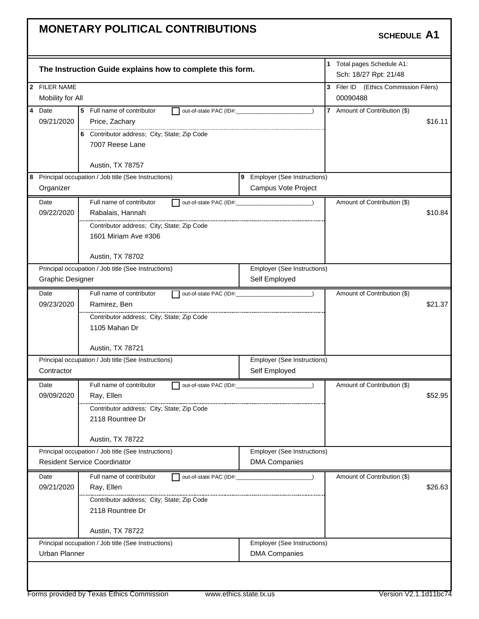|                         | 1 Total pages Schedule A1:<br>The Instruction Guide explains how to complete this form. |                               |  |                                                                |         |
|-------------------------|-----------------------------------------------------------------------------------------|-------------------------------|--|----------------------------------------------------------------|---------|
| 2 FILER NAME            |                                                                                         |                               |  | Sch: 18/27 Rpt: 21/48<br>3 Filer ID (Ethics Commission Filers) |         |
|                         | Mobility for All                                                                        |                               |  | 00090488                                                       |         |
| 4 Date                  | 5 Full name of contributor<br>out-of-state PAC (ID#:                                    |                               |  | 7 Amount of Contribution (\$)                                  |         |
| 09/21/2020              | Price, Zachary                                                                          |                               |  |                                                                | \$16.11 |
|                         | 6 Contributor address; City; State; Zip Code                                            |                               |  |                                                                |         |
|                         | 7007 Reese Lane                                                                         |                               |  |                                                                |         |
|                         |                                                                                         |                               |  |                                                                |         |
|                         | Austin, TX 78757<br>8 Principal occupation / Job title (See Instructions)               | 9 Employer (See Instructions) |  |                                                                |         |
| Organizer               |                                                                                         | Campus Vote Project           |  |                                                                |         |
| Date                    | Full name of contributor                                                                | out-of-state PAC (ID#: 2000)  |  | Amount of Contribution (\$)                                    |         |
| 09/22/2020              | Rabalais, Hannah                                                                        |                               |  |                                                                | \$10.84 |
|                         | Contributor address; City; State; Zip Code                                              |                               |  |                                                                |         |
|                         | 1601 Miriam Ave #306                                                                    |                               |  |                                                                |         |
|                         |                                                                                         |                               |  |                                                                |         |
|                         | Austin, TX 78702                                                                        |                               |  |                                                                |         |
|                         | Principal occupation / Job title (See Instructions)                                     | Employer (See Instructions)   |  |                                                                |         |
| <b>Graphic Designer</b> |                                                                                         | Self Employed                 |  |                                                                |         |
| Date                    | Full name of contributor                                                                |                               |  | Amount of Contribution (\$)                                    |         |
| 09/23/2020              | Ramirez, Ben                                                                            |                               |  |                                                                | \$21.37 |
|                         | Contributor address; City; State; Zip Code                                              |                               |  |                                                                |         |
|                         | 1105 Mahan Dr                                                                           |                               |  |                                                                |         |
|                         | Austin, TX 78721                                                                        |                               |  |                                                                |         |
|                         | Principal occupation / Job title (See Instructions)                                     | Employer (See Instructions)   |  |                                                                |         |
| Contractor              |                                                                                         | Self Employed                 |  |                                                                |         |
| Date                    | Full name of contributor                                                                | out-of-state PAC (ID#:        |  | Amount of Contribution (\$)                                    |         |
| 09/09/2020              | Ray, Ellen                                                                              |                               |  |                                                                | \$52.95 |
|                         | Contributor address; City; State; Zip Code                                              |                               |  |                                                                |         |
|                         | 2118 Rountree Dr                                                                        |                               |  |                                                                |         |
|                         | Austin, TX 78722                                                                        |                               |  |                                                                |         |
|                         | Principal occupation / Job title (See Instructions)                                     | Employer (See Instructions)   |  |                                                                |         |
|                         | <b>Resident Service Coordinator</b>                                                     | <b>DMA Companies</b>          |  |                                                                |         |
| Date                    | Full name of contributor<br>out-of-state PAC (ID#:                                      |                               |  | Amount of Contribution (\$)                                    |         |
| 09/21/2020              | Ray, Ellen                                                                              |                               |  |                                                                | \$26.63 |
|                         | Contributor address; City; State; Zip Code                                              |                               |  |                                                                |         |
|                         | 2118 Rountree Dr                                                                        |                               |  |                                                                |         |
|                         | Austin, TX 78722                                                                        |                               |  |                                                                |         |
|                         | Principal occupation / Job title (See Instructions)                                     | Employer (See Instructions)   |  |                                                                |         |
| Urban Planner           |                                                                                         | <b>DMA Companies</b>          |  |                                                                |         |
|                         |                                                                                         |                               |  |                                                                |         |
|                         |                                                                                         |                               |  |                                                                |         |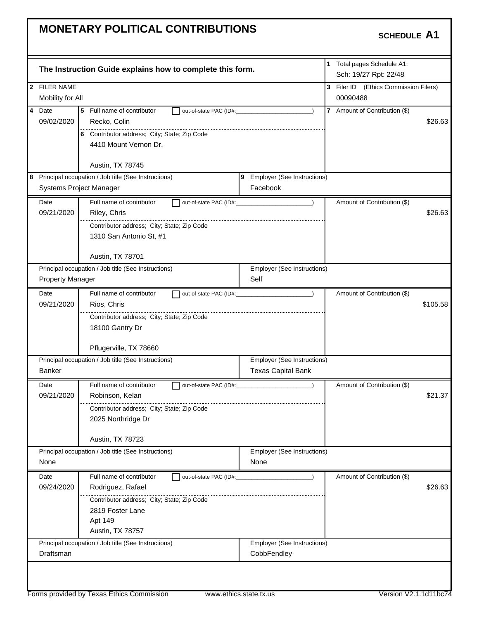|                         | The Instruction Guide explains how to complete this form. |                                               | 1 Total pages Schedule A1:<br>Sch: 19/27 Rpt: 22/48 |          |
|-------------------------|-----------------------------------------------------------|-----------------------------------------------|-----------------------------------------------------|----------|
| 2 FILER NAME            |                                                           |                                               | 3 Filer ID (Ethics Commission Filers)               |          |
| Mobility for All        |                                                           |                                               | 00090488                                            |          |
| 4 Date                  | 5<br>Full name of contributor                             | out-of-state PAC (ID#:                        | 7 Amount of Contribution (\$)                       |          |
| 09/02/2020              | Recko, Colin                                              |                                               |                                                     | \$26.63  |
|                         | 6 Contributor address; City; State; Zip Code              |                                               |                                                     |          |
|                         | 4410 Mount Vernon Dr.                                     |                                               |                                                     |          |
|                         |                                                           |                                               |                                                     |          |
|                         | Austin, TX 78745                                          |                                               |                                                     |          |
|                         | 8 Principal occupation / Job title (See Instructions)     | 9 Employer (See Instructions)                 |                                                     |          |
|                         | Systems Project Manager                                   | Facebook                                      |                                                     |          |
| Date                    | Full name of contributor                                  | out-of-state PAC (ID#: 2000)<br>$\rightarrow$ | Amount of Contribution (\$)                         |          |
| 09/21/2020              | Riley, Chris                                              |                                               |                                                     | \$26.63  |
|                         | Contributor address; City; State; Zip Code                |                                               |                                                     |          |
|                         | 1310 San Antonio St, #1                                   |                                               |                                                     |          |
|                         |                                                           |                                               |                                                     |          |
|                         | Austin, TX 78701                                          |                                               |                                                     |          |
|                         | Principal occupation / Job title (See Instructions)       | Employer (See Instructions)                   |                                                     |          |
| <b>Property Manager</b> |                                                           | Self                                          |                                                     |          |
| Date                    | Full name of contributor                                  | out-of-state PAC (ID#:                        | Amount of Contribution (\$)                         |          |
| 09/21/2020              | Rios, Chris                                               |                                               |                                                     | \$105.58 |
|                         | Contributor address; City; State; Zip Code                |                                               |                                                     |          |
|                         | 18100 Gantry Dr                                           |                                               |                                                     |          |
|                         |                                                           |                                               |                                                     |          |
|                         | Pflugerville, TX 78660                                    |                                               |                                                     |          |
|                         | Principal occupation / Job title (See Instructions)       | Employer (See Instructions)                   |                                                     |          |
| <b>Banker</b>           |                                                           | <b>Texas Capital Bank</b>                     |                                                     |          |
| Date                    | Full name of contributor                                  | out-of-state PAC (ID#:                        | Amount of Contribution (\$)                         |          |
| 09/21/2020              | Robinson, Kelan                                           |                                               |                                                     | \$21.37  |
|                         | Contributor address; City; State; Zip Code                |                                               |                                                     |          |
|                         | 2025 Northridge Dr                                        |                                               |                                                     |          |
|                         |                                                           |                                               |                                                     |          |
|                         | Austin, TX 78723                                          |                                               |                                                     |          |
|                         | Principal occupation / Job title (See Instructions)       | Employer (See Instructions)                   |                                                     |          |
| None                    |                                                           | None                                          |                                                     |          |
| Date                    | Full name of contributor<br>out-of-state PAC (ID#:        |                                               | Amount of Contribution (\$)                         |          |
| 09/24/2020              | Rodriguez, Rafael                                         |                                               |                                                     | \$26.63  |
|                         | Contributor address; City; State; Zip Code                |                                               |                                                     |          |
|                         | 2819 Foster Lane                                          |                                               |                                                     |          |
|                         | Apt 149                                                   |                                               |                                                     |          |
|                         | Austin, TX 78757                                          |                                               |                                                     |          |
|                         | Principal occupation / Job title (See Instructions)       | Employer (See Instructions)                   |                                                     |          |
| Draftsman               |                                                           | CobbFendley                                   |                                                     |          |
|                         |                                                           |                                               |                                                     |          |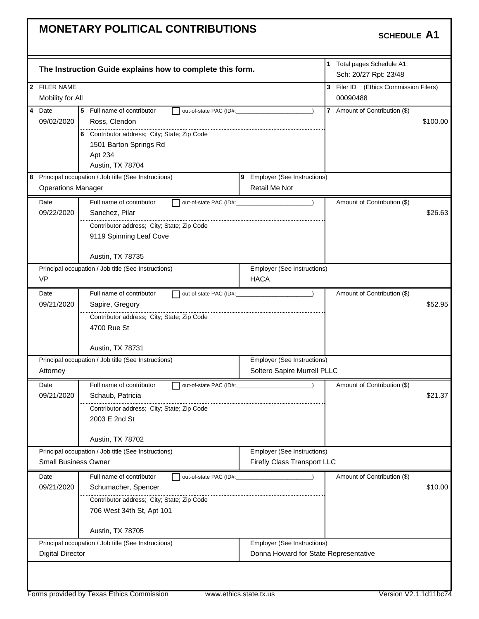| The Instruction Guide explains how to complete this form.                                                                            | 1 Total pages Schedule A1:<br>Sch: 20/27 Rpt: 23/48 |
|--------------------------------------------------------------------------------------------------------------------------------------|-----------------------------------------------------|
| 2 FILER NAME                                                                                                                         | 3 Filer ID (Ethics Commission Filers)               |
| Mobility for All                                                                                                                     | 00090488                                            |
| $\overline{4}$<br>Date<br>5<br>Full name of contributor<br>out-of-state PAC (ID#:                                                    | 7 Amount of Contribution (\$)                       |
| 09/02/2020<br>Ross, Clendon                                                                                                          | \$100.00                                            |
| 6 Contributor address; City; State; Zip Code                                                                                         |                                                     |
| 1501 Barton Springs Rd                                                                                                               |                                                     |
| Apt 234                                                                                                                              |                                                     |
| Austin, TX 78704                                                                                                                     |                                                     |
| 8 Principal occupation / Job title (See Instructions)<br>9 Employer (See Instructions)<br>Retail Me Not<br><b>Operations Manager</b> |                                                     |
|                                                                                                                                      |                                                     |
| Full name of contributor<br>Date<br>out-of-state PAC (ID#:                                                                           | Amount of Contribution (\$)                         |
| 09/22/2020<br>Sanchez, Pilar                                                                                                         | \$26.63                                             |
| Contributor address; City; State; Zip Code                                                                                           |                                                     |
| 9119 Spinning Leaf Cove                                                                                                              |                                                     |
| Austin, TX 78735                                                                                                                     |                                                     |
| Principal occupation / Job title (See Instructions)<br>Employer (See Instructions)                                                   |                                                     |
| <b>VP</b><br><b>HACA</b>                                                                                                             |                                                     |
| Full name of contributor<br>Date                                                                                                     | Amount of Contribution (\$)                         |
| out-of-state PAC (ID#:<br>09/21/2020<br>Sapire, Gregory                                                                              | \$52.95                                             |
| Contributor address; City; State; Zip Code                                                                                           |                                                     |
| 4700 Rue St                                                                                                                          |                                                     |
|                                                                                                                                      |                                                     |
| Austin, TX 78731                                                                                                                     |                                                     |
| Principal occupation / Job title (See Instructions)<br>Employer (See Instructions)                                                   |                                                     |
| Soltero Sapire Murrell PLLC<br>Attorney                                                                                              |                                                     |
| Full name of contributor<br>Date<br>out-of-state PAC (ID#:                                                                           | Amount of Contribution (\$)                         |
| 09/21/2020<br>Schaub, Patricia                                                                                                       | \$21.37                                             |
| Contributor address; City; State; Zip Code                                                                                           |                                                     |
| 2003 E 2nd St                                                                                                                        |                                                     |
|                                                                                                                                      |                                                     |
| Austin, TX 78702<br>Principal occupation / Job title (See Instructions)<br>Employer (See Instructions)                               |                                                     |
| Firefly Class Transport LLC<br><b>Small Business Owner</b>                                                                           |                                                     |
|                                                                                                                                      |                                                     |
| Full name of contributor<br>Date<br>out-of-state PAC (ID#:<br>09/21/2020<br>Schumacher, Spencer                                      | Amount of Contribution (\$)<br>\$10.00              |
|                                                                                                                                      |                                                     |
| Contributor address; City; State; Zip Code<br>706 West 34th St, Apt 101                                                              |                                                     |
|                                                                                                                                      |                                                     |
| Austin, TX 78705                                                                                                                     |                                                     |
| Principal occupation / Job title (See Instructions)<br>Employer (See Instructions)                                                   |                                                     |
| <b>Digital Director</b><br>Donna Howard for State Representative                                                                     |                                                     |
|                                                                                                                                      |                                                     |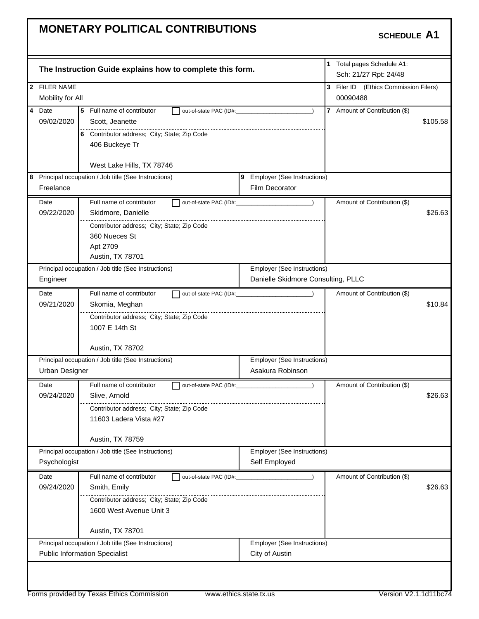|                       | The Instruction Guide explains how to complete this form. |                                    | 1 Total pages Schedule A1:<br>Sch: 21/27 Rpt: 24/48 |
|-----------------------|-----------------------------------------------------------|------------------------------------|-----------------------------------------------------|
| 2 FILER NAME          |                                                           |                                    | 3 Filer ID (Ethics Commission Filers)               |
| Mobility for All      |                                                           |                                    | 00090488                                            |
| 4 Date                | 5 Full name of contributor<br>out-of-state PAC (ID#:      |                                    | 7 Amount of Contribution (\$)                       |
| 09/02/2020            | Scott, Jeanette                                           |                                    | \$105.58                                            |
|                       | 6 Contributor address; City; State; Zip Code              |                                    |                                                     |
|                       | 406 Buckeye Tr                                            |                                    |                                                     |
|                       | West Lake Hills, TX 78746                                 |                                    |                                                     |
|                       | 8 Principal occupation / Job title (See Instructions)     | 9 Employer (See Instructions)      |                                                     |
| Freelance             |                                                           | Film Decorator                     |                                                     |
| Date                  | Full name of contributor                                  |                                    | Amount of Contribution (\$)                         |
| 09/22/2020            | Skidmore, Danielle                                        |                                    | \$26.63                                             |
|                       | Contributor address; City; State; Zip Code                |                                    |                                                     |
|                       | 360 Nueces St                                             |                                    |                                                     |
|                       | Apt 2709                                                  |                                    |                                                     |
|                       | Austin, TX 78701                                          |                                    |                                                     |
|                       | Principal occupation / Job title (See Instructions)       | Employer (See Instructions)        |                                                     |
| Engineer              |                                                           | Danielle Skidmore Consulting, PLLC |                                                     |
| Date                  | Full name of contributor                                  |                                    | Amount of Contribution (\$)                         |
| 09/21/2020            | Skomia, Meghan                                            |                                    | \$10.84                                             |
|                       | Contributor address; City; State; Zip Code                |                                    |                                                     |
|                       | 1007 E 14th St                                            |                                    |                                                     |
|                       | Austin, TX 78702                                          |                                    |                                                     |
|                       | Principal occupation / Job title (See Instructions)       | <b>Employer (See Instructions)</b> |                                                     |
| <b>Urban Designer</b> |                                                           | Asakura Robinson                   |                                                     |
| Date                  | Full name of contributor                                  | out-of-state PAC (ID#:             | Amount of Contribution (\$)                         |
| 09/24/2020            | Slive, Arnold                                             |                                    | \$26.63                                             |
|                       | Contributor address; City; State; Zip Code                |                                    |                                                     |
|                       | 11603 Ladera Vista #27                                    |                                    |                                                     |
|                       | Austin, TX 78759                                          |                                    |                                                     |
|                       | Principal occupation / Job title (See Instructions)       | Employer (See Instructions)        |                                                     |
| Psychologist          |                                                           | Self Employed                      |                                                     |
| Date                  | Full name of contributor<br>out-of-state PAC (ID#:        |                                    | Amount of Contribution (\$)                         |
| 09/24/2020            | Smith, Emily                                              |                                    | \$26.63                                             |
|                       | Contributor address; City; State; Zip Code                |                                    |                                                     |
|                       | 1600 West Avenue Unit 3                                   |                                    |                                                     |
|                       | Austin, TX 78701                                          |                                    |                                                     |
|                       | Principal occupation / Job title (See Instructions)       | Employer (See Instructions)        |                                                     |
|                       | <b>Public Information Specialist</b>                      | City of Austin                     |                                                     |
|                       |                                                           |                                    |                                                     |
|                       |                                                           |                                    |                                                     |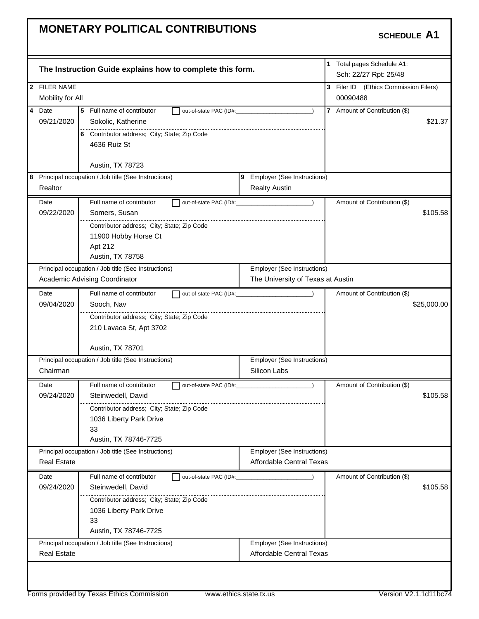|                    | The Instruction Guide explains how to complete this form.                            |                                                                  | 1 Total pages Schedule A1:<br>Sch: 22/27 Rpt: 25/48 |
|--------------------|--------------------------------------------------------------------------------------|------------------------------------------------------------------|-----------------------------------------------------|
| 2 FILER NAME       |                                                                                      |                                                                  | 3 Filer ID (Ethics Commission Filers)               |
| Mobility for All   |                                                                                      |                                                                  | 00090488                                            |
| 4 Date             | 5 Full name of contributor<br>out-of-state PAC (ID#:                                 |                                                                  | 7 Amount of Contribution (\$)                       |
| 09/21/2020         | Sokolic, Katherine                                                                   |                                                                  | \$21.37                                             |
|                    | 6 Contributor address; City; State; Zip Code                                         |                                                                  |                                                     |
|                    | 4636 Ruiz St                                                                         |                                                                  |                                                     |
|                    |                                                                                      |                                                                  |                                                     |
|                    | Austin, TX 78723                                                                     |                                                                  |                                                     |
|                    | 8 Principal occupation / Job title (See Instructions)                                | 9 Employer (See Instructions)                                    |                                                     |
| Realtor            |                                                                                      | <b>Realty Austin</b>                                             |                                                     |
| Date               | Full name of contributor                                                             | out-of-state PAC (ID#:                                           | Amount of Contribution (\$)                         |
| 09/22/2020         | Somers, Susan                                                                        |                                                                  | \$105.58                                            |
|                    | Contributor address; City; State; Zip Code                                           |                                                                  |                                                     |
|                    | 11900 Hobby Horse Ct                                                                 |                                                                  |                                                     |
|                    | Apt 212                                                                              |                                                                  |                                                     |
|                    | Austin, TX 78758                                                                     |                                                                  |                                                     |
|                    | Principal occupation / Job title (See Instructions)<br>Academic Advising Coordinator | Employer (See Instructions)<br>The University of Texas at Austin |                                                     |
|                    |                                                                                      |                                                                  |                                                     |
| Date               | Full name of contributor<br>out-of-state PAC (ID#:                                   |                                                                  | Amount of Contribution (\$)                         |
| 09/04/2020         | Sooch, Nav                                                                           |                                                                  | \$25,000.00                                         |
|                    | Contributor address; City; State; Zip Code                                           |                                                                  |                                                     |
|                    | 210 Lavaca St, Apt 3702                                                              |                                                                  |                                                     |
|                    | Austin, TX 78701                                                                     |                                                                  |                                                     |
|                    | Principal occupation / Job title (See Instructions)                                  | Employer (See Instructions)                                      |                                                     |
| Chairman           |                                                                                      | Silicon Labs                                                     |                                                     |
| Date               | Full name of contributor<br>out-of-state PAC (ID#:                                   |                                                                  | Amount of Contribution (\$)                         |
| 09/24/2020         | Steinwedell, David                                                                   |                                                                  | \$105.58                                            |
|                    | Contributor address; City; State; Zip Code                                           |                                                                  |                                                     |
|                    | 1036 Liberty Park Drive                                                              |                                                                  |                                                     |
|                    | 33                                                                                   |                                                                  |                                                     |
|                    | Austin, TX 78746-7725                                                                |                                                                  |                                                     |
| <b>Real Estate</b> | Principal occupation / Job title (See Instructions)                                  | <b>Employer (See Instructions)</b><br>Affordable Central Texas   |                                                     |
|                    |                                                                                      |                                                                  |                                                     |
| Date               | Full name of contributor<br>out-of-state PAC (ID#:                                   |                                                                  | Amount of Contribution (\$)                         |
| 09/24/2020         | Steinwedell, David                                                                   |                                                                  | \$105.58                                            |
|                    | Contributor address; City; State; Zip Code                                           |                                                                  |                                                     |
|                    | 1036 Liberty Park Drive<br>33                                                        |                                                                  |                                                     |
|                    | Austin, TX 78746-7725                                                                |                                                                  |                                                     |
|                    | Principal occupation / Job title (See Instructions)                                  | Employer (See Instructions)                                      |                                                     |
| <b>Real Estate</b> |                                                                                      | Affordable Central Texas                                         |                                                     |
|                    |                                                                                      |                                                                  |                                                     |
|                    |                                                                                      |                                                                  |                                                     |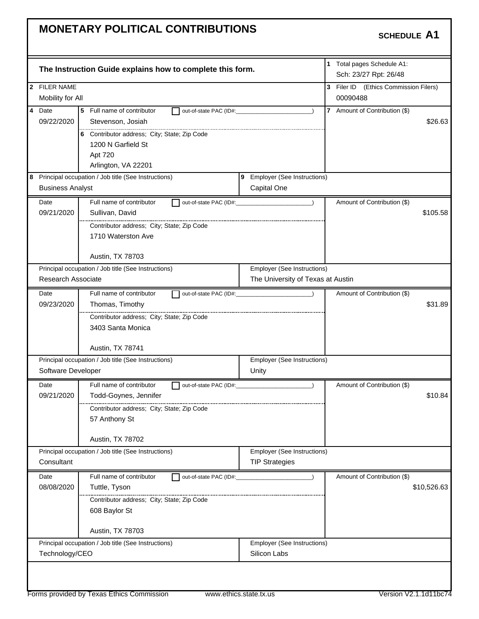|                                                                                                                | The Instruction Guide explains how to complete this form.                                                |                                              | 1 Total pages Schedule A1:<br>Sch: 23/27 Rpt: 26/48 |             |
|----------------------------------------------------------------------------------------------------------------|----------------------------------------------------------------------------------------------------------|----------------------------------------------|-----------------------------------------------------|-------------|
| 2 FILER NAME<br>Mobility for All                                                                               |                                                                                                          |                                              | 3 Filer ID (Ethics Commission Filers)<br>00090488   |             |
| 4 Date<br>5 Full name of contributor<br>out-of-state PAC (ID#:<br>$\lambda$<br>09/22/2020<br>Stevenson, Josiah |                                                                                                          |                                              | 7 Amount of Contribution (\$)                       | \$26.63     |
|                                                                                                                | <br>6 Contributor address; City; State; Zip Code<br>1200 N Garfield St<br>Apt 720<br>Arlington, VA 22201 |                                              |                                                     |             |
| <b>Business Analyst</b>                                                                                        | 8 Principal occupation / Job title (See Instructions)                                                    | 9 Employer (See Instructions)<br>Capital One |                                                     |             |
| Date                                                                                                           | Full name of contributor                                                                                 |                                              | Amount of Contribution (\$)                         |             |
| 09/21/2020                                                                                                     | Sullivan, David                                                                                          |                                              |                                                     | \$105.58    |
|                                                                                                                |                                                                                                          |                                              |                                                     |             |
|                                                                                                                | Contributor address; City; State; Zip Code                                                               |                                              |                                                     |             |
|                                                                                                                | 1710 Waterston Ave                                                                                       |                                              |                                                     |             |
|                                                                                                                |                                                                                                          |                                              |                                                     |             |
|                                                                                                                | Austin, TX 78703                                                                                         |                                              |                                                     |             |
| Research Associate                                                                                             | Principal occupation / Job title (See Instructions)                                                      | Employer (See Instructions)                  |                                                     |             |
|                                                                                                                |                                                                                                          | The University of Texas at Austin            |                                                     |             |
| Date                                                                                                           | Full name of contributor                                                                                 |                                              | Amount of Contribution (\$)                         |             |
| 09/23/2020                                                                                                     | Thomas, Timothy                                                                                          |                                              |                                                     | \$31.89     |
|                                                                                                                | Contributor address; City; State; Zip Code                                                               |                                              |                                                     |             |
|                                                                                                                | 3403 Santa Monica                                                                                        |                                              |                                                     |             |
|                                                                                                                | Austin, TX 78741                                                                                         |                                              |                                                     |             |
|                                                                                                                | Principal occupation / Job title (See Instructions)                                                      | Employer (See Instructions)                  |                                                     |             |
| Software Developer                                                                                             |                                                                                                          | Unity                                        |                                                     |             |
| Date                                                                                                           | Full name of contributor<br>out-of-state PAC (ID#:                                                       |                                              | Amount of Contribution (\$)                         |             |
| 09/21/2020                                                                                                     | Todd-Goynes, Jennifer                                                                                    |                                              |                                                     | \$10.84     |
|                                                                                                                | Contributor address; City; State; Zip Code                                                               |                                              |                                                     |             |
|                                                                                                                | 57 Anthony St                                                                                            |                                              |                                                     |             |
|                                                                                                                |                                                                                                          |                                              |                                                     |             |
|                                                                                                                | Austin, TX 78702                                                                                         |                                              |                                                     |             |
|                                                                                                                | Principal occupation / Job title (See Instructions)                                                      | Employer (See Instructions)                  |                                                     |             |
| Consultant                                                                                                     |                                                                                                          | <b>TIP Strategies</b>                        |                                                     |             |
| Date                                                                                                           | Full name of contributor<br>out-of-state PAC (ID#:                                                       |                                              | Amount of Contribution (\$)                         |             |
| 08/08/2020                                                                                                     | Tuttle, Tyson                                                                                            |                                              |                                                     | \$10,526.63 |
|                                                                                                                | Contributor address; City; State; Zip Code                                                               |                                              |                                                     |             |
|                                                                                                                | 608 Baylor St                                                                                            |                                              |                                                     |             |
|                                                                                                                | Austin, TX 78703                                                                                         |                                              |                                                     |             |
|                                                                                                                | Principal occupation / Job title (See Instructions)                                                      | Employer (See Instructions)                  |                                                     |             |
| Technology/CEO                                                                                                 |                                                                                                          | Silicon Labs                                 |                                                     |             |
|                                                                                                                |                                                                                                          |                                              |                                                     |             |
|                                                                                                                |                                                                                                          |                                              |                                                     |             |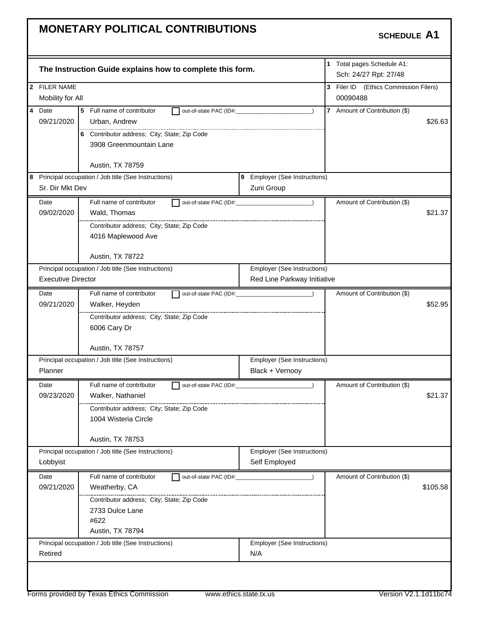| The Instruction Guide explains how to complete this form.<br>2 FILER NAME<br>Mobility for All<br>4<br>Date<br>5<br>Full name of contributor<br>out-of-state PAC (ID#:<br>09/21/2020<br>Urban, Andrew<br>6 Contributor address; City; State; Zip Code<br>3908 Greenmountain Lane<br>Austin, TX 78759 | 1 Total pages Schedule A1:<br>Sch: 24/27 Rpt: 27/48<br>3 Filer ID (Ethics Commission Filers)<br>00090488<br>$\overline{7}$<br>Amount of Contribution (\$)<br>\$26.63 |
|-----------------------------------------------------------------------------------------------------------------------------------------------------------------------------------------------------------------------------------------------------------------------------------------------------|----------------------------------------------------------------------------------------------------------------------------------------------------------------------|
|                                                                                                                                                                                                                                                                                                     |                                                                                                                                                                      |
|                                                                                                                                                                                                                                                                                                     |                                                                                                                                                                      |
|                                                                                                                                                                                                                                                                                                     |                                                                                                                                                                      |
|                                                                                                                                                                                                                                                                                                     |                                                                                                                                                                      |
|                                                                                                                                                                                                                                                                                                     |                                                                                                                                                                      |
|                                                                                                                                                                                                                                                                                                     |                                                                                                                                                                      |
|                                                                                                                                                                                                                                                                                                     |                                                                                                                                                                      |
|                                                                                                                                                                                                                                                                                                     |                                                                                                                                                                      |
|                                                                                                                                                                                                                                                                                                     |                                                                                                                                                                      |
| 8 Principal occupation / Job title (See Instructions)<br>9 Employer (See Instructions)                                                                                                                                                                                                              |                                                                                                                                                                      |
| Sr. Dir Mkt Dev<br>Zuni Group                                                                                                                                                                                                                                                                       |                                                                                                                                                                      |
| Full name of contributor<br>Date<br>out-of-state PAC (ID#:                                                                                                                                                                                                                                          | Amount of Contribution (\$)                                                                                                                                          |
| 09/02/2020<br>Wald, Thomas                                                                                                                                                                                                                                                                          | \$21.37                                                                                                                                                              |
| Contributor address; City; State; Zip Code                                                                                                                                                                                                                                                          |                                                                                                                                                                      |
| 4016 Maplewood Ave                                                                                                                                                                                                                                                                                  |                                                                                                                                                                      |
|                                                                                                                                                                                                                                                                                                     |                                                                                                                                                                      |
| Austin, TX 78722                                                                                                                                                                                                                                                                                    |                                                                                                                                                                      |
| Principal occupation / Job title (See Instructions)<br>Employer (See Instructions)                                                                                                                                                                                                                  |                                                                                                                                                                      |
| <b>Executive Director</b><br>Red Line Parkway Initiative                                                                                                                                                                                                                                            |                                                                                                                                                                      |
| Full name of contributor<br>Date<br>out-of-state PAC (ID#:                                                                                                                                                                                                                                          | Amount of Contribution (\$)                                                                                                                                          |
| 09/21/2020<br>Walker, Heyden                                                                                                                                                                                                                                                                        | \$52.95                                                                                                                                                              |
| Contributor address; City; State; Zip Code                                                                                                                                                                                                                                                          |                                                                                                                                                                      |
| 6006 Cary Dr                                                                                                                                                                                                                                                                                        |                                                                                                                                                                      |
|                                                                                                                                                                                                                                                                                                     |                                                                                                                                                                      |
| Austin, TX 78757                                                                                                                                                                                                                                                                                    |                                                                                                                                                                      |
| Principal occupation / Job title (See Instructions)<br>Employer (See Instructions)                                                                                                                                                                                                                  |                                                                                                                                                                      |
| Planner<br>Black + Vernooy                                                                                                                                                                                                                                                                          |                                                                                                                                                                      |
| Full name of contributor<br>Date<br>out-of-state PAC (ID#:                                                                                                                                                                                                                                          | Amount of Contribution (\$)                                                                                                                                          |
| 09/23/2020<br>Walker, Nathaniel                                                                                                                                                                                                                                                                     | \$21.37                                                                                                                                                              |
| <br>Contributor address; City; State; Zip Code                                                                                                                                                                                                                                                      |                                                                                                                                                                      |
| 1004 Wisteria Circle                                                                                                                                                                                                                                                                                |                                                                                                                                                                      |
|                                                                                                                                                                                                                                                                                                     |                                                                                                                                                                      |
| Austin, TX 78753                                                                                                                                                                                                                                                                                    |                                                                                                                                                                      |
| Employer (See Instructions)<br>Principal occupation / Job title (See Instructions)                                                                                                                                                                                                                  |                                                                                                                                                                      |
| Lobbyist<br>Self Employed                                                                                                                                                                                                                                                                           |                                                                                                                                                                      |
| Full name of contributor<br>Date<br>out-of-state PAC (ID#:                                                                                                                                                                                                                                          | Amount of Contribution (\$)                                                                                                                                          |
| 09/21/2020<br>Weatherby, CA                                                                                                                                                                                                                                                                         | \$105.58                                                                                                                                                             |
| Contributor address; City; State; Zip Code                                                                                                                                                                                                                                                          |                                                                                                                                                                      |
| 2733 Dulce Lane                                                                                                                                                                                                                                                                                     |                                                                                                                                                                      |
| #622                                                                                                                                                                                                                                                                                                |                                                                                                                                                                      |
| Austin, TX 78794                                                                                                                                                                                                                                                                                    |                                                                                                                                                                      |
|                                                                                                                                                                                                                                                                                                     |                                                                                                                                                                      |
| Principal occupation / Job title (See Instructions)<br>Employer (See Instructions)<br>N/A<br>Retired                                                                                                                                                                                                |                                                                                                                                                                      |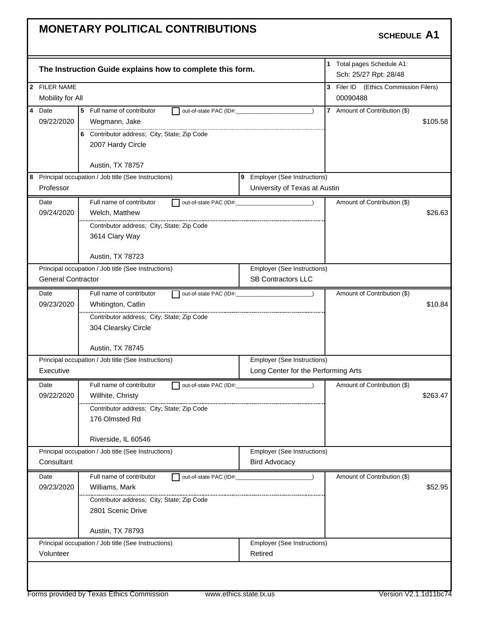|                           | The Instruction Guide explains how to complete this form. |                                     | 1 Total pages Schedule A1:<br>Sch: 25/27 Rpt: 28/48 |          |
|---------------------------|-----------------------------------------------------------|-------------------------------------|-----------------------------------------------------|----------|
| 2 FILER NAME              |                                                           |                                     | 3 Filer ID (Ethics Commission Filers)               |          |
| Mobility for All          |                                                           |                                     | 00090488                                            |          |
| 4 Date                    | 5 Full name of contributor<br>out-of-state PAC (ID#:      |                                     | 7 Amount of Contribution (\$)                       |          |
| 09/22/2020                | Wegmann, Jake                                             |                                     |                                                     | \$105.58 |
|                           | 6 Contributor address; City; State; Zip Code              |                                     |                                                     |          |
|                           | 2007 Hardy Circle                                         |                                     |                                                     |          |
|                           |                                                           |                                     |                                                     |          |
|                           | Austin, TX 78757                                          |                                     |                                                     |          |
|                           | 8 Principal occupation / Job title (See Instructions)     | 9 Employer (See Instructions)       |                                                     |          |
| Professor                 |                                                           | University of Texas at Austin       |                                                     |          |
| Date                      | Full name of contributor                                  | out-of-state PAC (ID#:              | Amount of Contribution (\$)                         |          |
| 09/24/2020                | Welch, Matthew                                            |                                     |                                                     | \$26.63  |
|                           | Contributor address; City; State; Zip Code                |                                     |                                                     |          |
|                           | 3614 Clary Way                                            |                                     |                                                     |          |
|                           |                                                           |                                     |                                                     |          |
|                           | Austin, TX 78723                                          |                                     |                                                     |          |
|                           | Principal occupation / Job title (See Instructions)       | Employer (See Instructions)         |                                                     |          |
| <b>General Contractor</b> |                                                           | <b>SB Contractors LLC</b>           |                                                     |          |
| Date                      | Full name of contributor                                  | out-of-state PAC (ID#: 2000)        | Amount of Contribution (\$)                         |          |
| 09/23/2020                | Whitington, Catlin                                        |                                     |                                                     | \$10.84  |
|                           | Contributor address; City; State; Zip Code                |                                     |                                                     |          |
|                           | 304 Clearsky Circle                                       |                                     |                                                     |          |
|                           | Austin, TX 78745                                          |                                     |                                                     |          |
|                           | Principal occupation / Job title (See Instructions)       | Employer (See Instructions)         |                                                     |          |
| Executive                 |                                                           | Long Center for the Performing Arts |                                                     |          |
|                           |                                                           |                                     |                                                     |          |
| Date                      | Full name of contributor                                  |                                     | Amount of Contribution (\$)                         |          |
| 09/22/2020                | Willhite, Christy                                         |                                     |                                                     | \$263.47 |
|                           | Contributor address; City; State; Zip Code                |                                     |                                                     |          |
|                           | 176 Olmsted Rd                                            |                                     |                                                     |          |
|                           | Riverside, IL 60546                                       |                                     |                                                     |          |
|                           | Principal occupation / Job title (See Instructions)       | <b>Employer (See Instructions)</b>  |                                                     |          |
| Consultant                |                                                           | <b>Bird Advocacy</b>                |                                                     |          |
| Date                      | Full name of contributor<br>out-of-state PAC (ID#:        |                                     | Amount of Contribution (\$)                         |          |
| 09/23/2020                | Williams, Mark                                            |                                     |                                                     | \$52.95  |
|                           | Contributor address; City; State; Zip Code                |                                     |                                                     |          |
|                           | 2801 Scenic Drive                                         |                                     |                                                     |          |
|                           |                                                           |                                     |                                                     |          |
|                           | Austin, TX 78793                                          |                                     |                                                     |          |
|                           | Principal occupation / Job title (See Instructions)       | Employer (See Instructions)         |                                                     |          |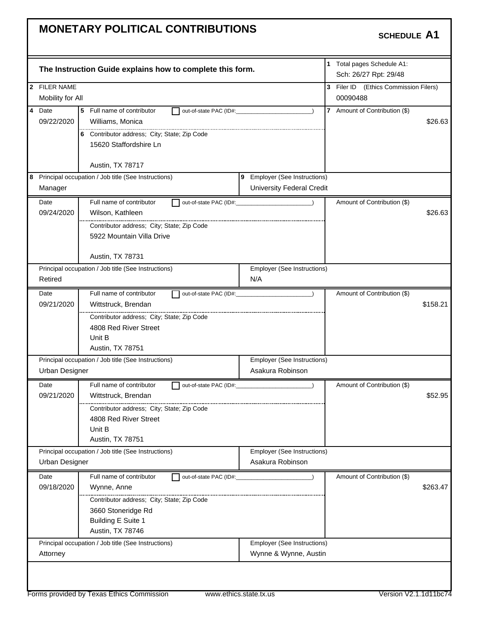|                       | The Instruction Guide explains how to complete this form. |                                                      | 1 Total pages Schedule A1:<br>Sch: 26/27 Rpt: 29/48 |          |
|-----------------------|-----------------------------------------------------------|------------------------------------------------------|-----------------------------------------------------|----------|
| 2 FILER NAME          |                                                           |                                                      | 3 Filer ID (Ethics Commission Filers)               |          |
| Mobility for All      |                                                           |                                                      | 00090488                                            |          |
| 4 Date                | 5 Full name of contributor<br>out-of-state PAC (ID#:      |                                                      | 7 Amount of Contribution (\$)                       |          |
| 09/22/2020            | Williams, Monica                                          |                                                      |                                                     | \$26.63  |
|                       | 6 Contributor address; City; State; Zip Code              |                                                      |                                                     |          |
|                       | 15620 Staffordshire Ln                                    |                                                      |                                                     |          |
|                       |                                                           |                                                      |                                                     |          |
|                       | Austin, TX 78717                                          |                                                      |                                                     |          |
|                       | 8 Principal occupation / Job title (See Instructions)     | 9 Employer (See Instructions)                        |                                                     |          |
| Manager               |                                                           | University Federal Credit                            |                                                     |          |
| Date                  | Full name of contributor                                  | out-of-state PAC (ID#:                               | Amount of Contribution (\$)                         |          |
| 09/24/2020            | Wilson, Kathleen                                          |                                                      |                                                     | \$26.63  |
|                       | Contributor address; City; State; Zip Code                |                                                      |                                                     |          |
|                       | 5922 Mountain Villa Drive                                 |                                                      |                                                     |          |
|                       |                                                           |                                                      |                                                     |          |
|                       | Austin, TX 78731                                          |                                                      |                                                     |          |
|                       | Principal occupation / Job title (See Instructions)       | Employer (See Instructions)                          |                                                     |          |
| Retired               |                                                           | N/A                                                  |                                                     |          |
| Date                  | Full name of contributor<br>out-of-state PAC (ID#:        |                                                      | Amount of Contribution (\$)                         |          |
| 09/21/2020            | Wittstruck, Brendan                                       |                                                      |                                                     | \$158.21 |
|                       | Contributor address; City; State; Zip Code                |                                                      |                                                     |          |
|                       | 4808 Red River Street                                     |                                                      |                                                     |          |
|                       | Unit B                                                    |                                                      |                                                     |          |
|                       | Austin, TX 78751                                          |                                                      |                                                     |          |
|                       | Principal occupation / Job title (See Instructions)       | Employer (See Instructions)                          |                                                     |          |
| <b>Urban Designer</b> |                                                           | Asakura Robinson                                     |                                                     |          |
| Date                  | Full name of contributor                                  |                                                      |                                                     |          |
|                       |                                                           | out-of-state PAC (ID#: 2000)                         | Amount of Contribution (\$)                         |          |
| 09/21/2020            | Wittstruck, Brendan                                       |                                                      |                                                     | \$52.95  |
|                       | Contributor address; City; State; Zip Code                |                                                      |                                                     |          |
|                       | 4808 Red River Street                                     |                                                      |                                                     |          |
|                       | Unit B                                                    |                                                      |                                                     |          |
|                       | Austin, TX 78751                                          |                                                      |                                                     |          |
|                       | Principal occupation / Job title (See Instructions)       | <b>Employer (See Instructions)</b>                   |                                                     |          |
| Urban Designer        |                                                           | Asakura Robinson                                     |                                                     |          |
| Date                  | Full name of contributor<br>out-of-state PAC (ID#:        |                                                      | Amount of Contribution (\$)                         |          |
| 09/18/2020            | Wynne, Anne                                               |                                                      |                                                     | \$263.47 |
|                       | Contributor address; City; State; Zip Code                |                                                      |                                                     |          |
|                       | 3660 Stoneridge Rd                                        |                                                      |                                                     |          |
|                       | Building E Suite 1                                        |                                                      |                                                     |          |
|                       | Austin, TX 78746                                          |                                                      |                                                     |          |
| Attorney              | Principal occupation / Job title (See Instructions)       | Employer (See Instructions)<br>Wynne & Wynne, Austin |                                                     |          |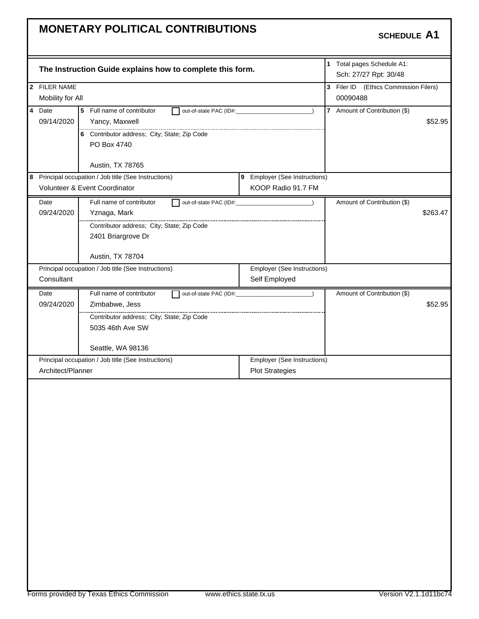|   |                                                                                    | The Instruction Guide explains how to complete this form. |                               |          | 1 Total pages Schedule A1:<br>Sch: 27/27 Rpt: 30/48 |          |
|---|------------------------------------------------------------------------------------|-----------------------------------------------------------|-------------------------------|----------|-----------------------------------------------------|----------|
|   | 2 FILER NAME                                                                       |                                                           |                               |          | 3 Filer ID (Ethics Commission Filers)               |          |
|   | Mobility for All                                                                   |                                                           |                               | 00090488 |                                                     |          |
|   | 4 Date<br>5 Full name of contributor<br>out-of-state PAC (ID#:<br>$\lambda$<br>l 1 |                                                           |                               |          | 7 Amount of Contribution (\$)                       |          |
|   | 09/14/2020                                                                         | Yancy, Maxwell                                            |                               |          |                                                     | \$52.95  |
|   |                                                                                    | 6 Contributor address; City; State; Zip Code              |                               |          |                                                     |          |
|   |                                                                                    | PO Box 4740                                               |                               |          |                                                     |          |
|   |                                                                                    |                                                           |                               |          |                                                     |          |
|   |                                                                                    | Austin, TX 78765                                          |                               |          |                                                     |          |
| 8 |                                                                                    | Principal occupation / Job title (See Instructions)       | 9 Employer (See Instructions) |          |                                                     |          |
|   |                                                                                    | Volunteer & Event Coordinator                             | KOOP Radio 91.7 FM            |          |                                                     |          |
|   | Date                                                                               | Full name of contributor<br>out-of-state PAC (ID#:        |                               |          | Amount of Contribution (\$)                         |          |
|   | 09/24/2020                                                                         | Yznaga, Mark                                              |                               |          |                                                     | \$263.47 |
|   |                                                                                    | <br>Contributor address; City; State; Zip Code            |                               |          |                                                     |          |
|   |                                                                                    | 2401 Briargrove Dr                                        |                               |          |                                                     |          |
|   |                                                                                    |                                                           |                               |          |                                                     |          |
|   |                                                                                    | Austin, TX 78704                                          |                               |          |                                                     |          |
|   |                                                                                    | Principal occupation / Job title (See Instructions)       | Employer (See Instructions)   |          |                                                     |          |
|   | Consultant                                                                         |                                                           | Self Employed                 |          |                                                     |          |
|   | Date                                                                               | Full name of contributor                                  | $\rightarrow$                 |          | Amount of Contribution (\$)                         |          |
|   | 09/24/2020<br>Zimbabwe, Jess<br>Contributor address; City; State; Zip Code         |                                                           |                               |          |                                                     | \$52.95  |
|   |                                                                                    |                                                           |                               |          |                                                     |          |
|   |                                                                                    | 5035 46th Ave SW                                          |                               |          |                                                     |          |
|   |                                                                                    |                                                           |                               |          |                                                     |          |
|   |                                                                                    | Seattle, WA 98136                                         |                               |          |                                                     |          |
|   |                                                                                    | Principal occupation / Job title (See Instructions)       | Employer (See Instructions)   |          |                                                     |          |
|   | Architect/Planner                                                                  |                                                           | <b>Plot Strategies</b>        |          |                                                     |          |
|   |                                                                                    |                                                           |                               |          |                                                     |          |
|   |                                                                                    |                                                           |                               |          |                                                     |          |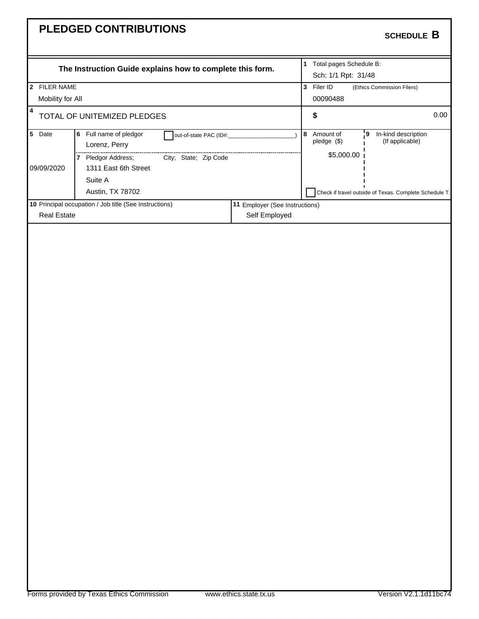| The Instruction Guide explains how to complete this form.<br>2 FILER NAME<br>Mobility for All<br>$\overline{\mathbf{4}}$<br>TOTAL OF UNITEMIZED PLEDGES<br>5 Date<br>6 Full name of pledgor<br>8<br>out-of-state PAC (ID#:<br>Lorenz, Perry<br>7 Pledgor Address;<br>City; State; Zip Code<br>09/09/2020<br>1311 East 6th Street<br>Suite A<br>Austin, TX 78702<br>10 Principal occupation / Job title (See Instructions)<br>11 Employer (See Instructions)<br>Self Employed<br>Real Estate | 1 Total pages Schedule B:<br>Sch: 1/1 Rpt: 31/48<br>3 Filer ID<br>00090488<br>\$<br>Amount of<br>' 9<br>pledge (\$)<br>\$5,000.00 | (Ethics Commission Filers)<br>0.00<br>In-kind description<br>(If applicable)<br>Check if travel outside of Texas. Complete Schedule T. |
|---------------------------------------------------------------------------------------------------------------------------------------------------------------------------------------------------------------------------------------------------------------------------------------------------------------------------------------------------------------------------------------------------------------------------------------------------------------------------------------------|-----------------------------------------------------------------------------------------------------------------------------------|----------------------------------------------------------------------------------------------------------------------------------------|
|                                                                                                                                                                                                                                                                                                                                                                                                                                                                                             |                                                                                                                                   |                                                                                                                                        |
|                                                                                                                                                                                                                                                                                                                                                                                                                                                                                             |                                                                                                                                   |                                                                                                                                        |
|                                                                                                                                                                                                                                                                                                                                                                                                                                                                                             |                                                                                                                                   |                                                                                                                                        |
|                                                                                                                                                                                                                                                                                                                                                                                                                                                                                             |                                                                                                                                   |                                                                                                                                        |
|                                                                                                                                                                                                                                                                                                                                                                                                                                                                                             |                                                                                                                                   |                                                                                                                                        |
|                                                                                                                                                                                                                                                                                                                                                                                                                                                                                             |                                                                                                                                   |                                                                                                                                        |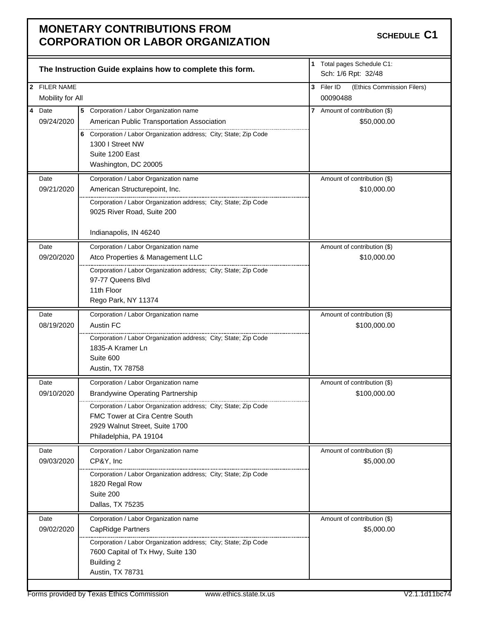|                                  | The Instruction Guide explains how to complete this form.                                                                                                                                                                                         | 1 Total pages Schedule C1:<br>Sch: 1/6 Rpt: 32/48    |
|----------------------------------|---------------------------------------------------------------------------------------------------------------------------------------------------------------------------------------------------------------------------------------------------|------------------------------------------------------|
| 2 FILER NAME<br>Mobility for All |                                                                                                                                                                                                                                                   | 3 Filer ID<br>(Ethics Commission Filers)<br>00090488 |
| 4 Date<br>09/24/2020             | 5 Corporation / Labor Organization name<br>American Public Transportation Association<br>6 Corporation / Labor Organization address; City; State; Zip Code<br>1300 I Street NW<br>Suite 1200 East<br>Washington, DC 20005                         | 7 Amount of contribution (\$)<br>\$50,000.00         |
| Date<br>09/21/2020               | Corporation / Labor Organization name<br>American Structurepoint, Inc.<br>Corporation / Labor Organization address; City; State; Zip Code<br>9025 River Road, Suite 200<br>Indianapolis, IN 46240                                                 | Amount of contribution (\$)<br>\$10,000.00           |
| Date<br>09/20/2020               | Corporation / Labor Organization name<br>Atco Properties & Management LLC<br>Corporation / Labor Organization address; City; State; Zip Code<br>97-77 Queens Blvd<br>11th Floor<br>Rego Park, NY 11374                                            | Amount of contribution (\$)<br>\$10,000.00           |
| Date<br>08/19/2020               | Corporation / Labor Organization name<br>Austin FC<br>Corporation / Labor Organization address; City; State; Zip Code<br>1835-A Kramer Ln<br>Suite 600<br>Austin, TX 78758                                                                        | Amount of contribution (\$)<br>\$100,000.00          |
| Date<br>09/10/2020               | Corporation / Labor Organization name<br><b>Brandywine Operating Partnership</b><br>Corporation / Labor Organization address; City; State; Zip Code<br>FMC Tower at Cira Centre South<br>2929 Walnut Street, Suite 1700<br>Philadelphia, PA 19104 | Amount of contribution (\$)<br>\$100,000.00          |
| Date<br>09/03/2020               | Corporation / Labor Organization name<br>CP&Y, Inc<br>Corporation / Labor Organization address; City; State; Zip Code<br>1820 Regal Row<br>Suite 200<br>Dallas, TX 75235                                                                          | Amount of contribution (\$)<br>\$5,000.00            |
| Date<br>09/02/2020               | Corporation / Labor Organization name<br><b>CapRidge Partners</b><br>Corporation / Labor Organization address; City; State; Zip Code<br>7600 Capital of Tx Hwy, Suite 130<br><b>Building 2</b><br>Austin, TX 78731                                | Amount of contribution (\$)<br>\$5,000.00            |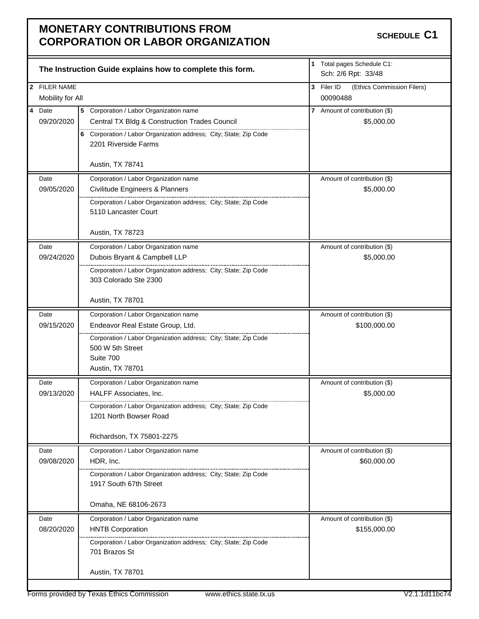|                  | The Instruction Guide explains how to complete this form.                                 | 1 Total pages Schedule C1:<br>Sch: 2/6 Rpt: 33/48 |
|------------------|-------------------------------------------------------------------------------------------|---------------------------------------------------|
| 2 FILER NAME     |                                                                                           | 3 Filer ID<br>(Ethics Commission Filers)          |
| Mobility for All |                                                                                           | 00090488                                          |
| 4 Date           | 5 Corporation / Labor Organization name                                                   | 7 Amount of contribution (\$)                     |
| 09/20/2020       | Central TX Bldg & Construction Trades Council                                             | \$5,000.00                                        |
|                  | 6 Corporation / Labor Organization address; City; State; Zip Code<br>2201 Riverside Farms |                                                   |
|                  | Austin, TX 78741                                                                          |                                                   |
| Date             | Corporation / Labor Organization name                                                     | Amount of contribution (\$)                       |
| 09/05/2020       | Civilitude Engineers & Planners                                                           | \$5,000.00                                        |
|                  | Corporation / Labor Organization address; City; State; Zip Code<br>5110 Lancaster Court   |                                                   |
|                  | Austin, TX 78723                                                                          |                                                   |
| Date             | Corporation / Labor Organization name                                                     | Amount of contribution (\$)                       |
| 09/24/2020       | Dubois Bryant & Campbell LLP                                                              | \$5,000.00                                        |
|                  | Corporation / Labor Organization address; City; State; Zip Code                           |                                                   |
|                  | 303 Colorado Ste 2300                                                                     |                                                   |
|                  | Austin, TX 78701                                                                          |                                                   |
| Date             | Corporation / Labor Organization name                                                     | Amount of contribution (\$)                       |
| 09/15/2020       | Endeavor Real Estate Group, Ltd.                                                          | \$100,000.00                                      |
|                  | Corporation / Labor Organization address; City; State; Zip Code                           |                                                   |
|                  | 500 W 5th Street                                                                          |                                                   |
|                  | Suite 700                                                                                 |                                                   |
|                  | Austin, TX 78701                                                                          |                                                   |
| Date             | Corporation / Labor Organization name                                                     | Amount of contribution (\$)                       |
| 09/13/2020       | HALFF Associates, Inc.                                                                    | \$5,000.00                                        |
|                  | Corporation / Labor Organization address: City: State: Zip Code                           |                                                   |
|                  | 1201 North Bowser Road                                                                    |                                                   |
|                  |                                                                                           |                                                   |
|                  | Richardson, TX 75801-2275                                                                 |                                                   |
| Date             | Corporation / Labor Organization name                                                     | Amount of contribution (\$)                       |
| 09/08/2020       | HDR, Inc.                                                                                 | \$60,000.00                                       |
|                  | Corporation / Labor Organization address; City; State; Zip Code                           |                                                   |
|                  | 1917 South 67th Street                                                                    |                                                   |
|                  | Omaha, NE 68106-2673                                                                      |                                                   |
| Date             | Corporation / Labor Organization name                                                     | Amount of contribution (\$)                       |
| 08/20/2020       | <b>HNTB Corporation</b>                                                                   | \$155,000.00                                      |
|                  | Corporation / Labor Organization address; City; State; Zip Code                           |                                                   |
|                  | 701 Brazos St                                                                             |                                                   |
|                  | Austin, TX 78701                                                                          |                                                   |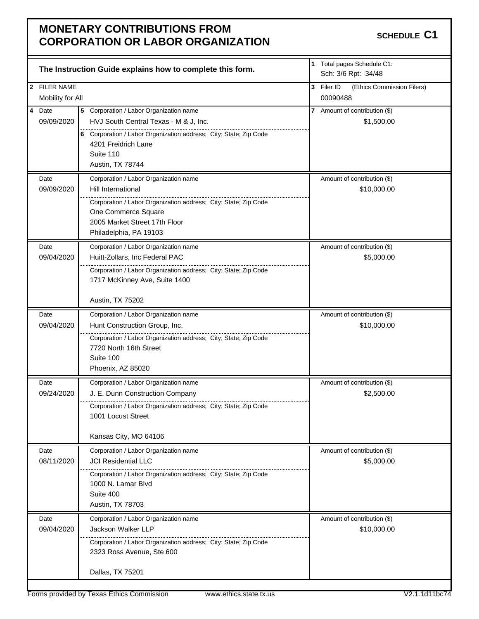|                                  | The Instruction Guide explains how to complete this form.         |   | 1 Total pages Schedule C1:<br>Sch: 3/6 Rpt: 34/48  |
|----------------------------------|-------------------------------------------------------------------|---|----------------------------------------------------|
| 2 FILER NAME<br>Mobility for All |                                                                   | 3 | Filer ID<br>(Ethics Commission Filers)<br>00090488 |
|                                  |                                                                   |   |                                                    |
| 4 Date                           | 5 Corporation / Labor Organization name                           |   | 7 Amount of contribution (\$)                      |
| 09/09/2020                       | HVJ South Central Texas - M & J, Inc.                             |   | \$1,500.00                                         |
|                                  | 6 Corporation / Labor Organization address; City; State; Zip Code |   |                                                    |
|                                  | 4201 Freidrich Lane                                               |   |                                                    |
|                                  | Suite 110                                                         |   |                                                    |
|                                  | Austin, TX 78744                                                  |   |                                                    |
| Date                             | Corporation / Labor Organization name                             |   | Amount of contribution (\$)                        |
| 09/09/2020                       | Hill International                                                |   | \$10,000.00                                        |
|                                  | Corporation / Labor Organization address; City; State; Zip Code   |   |                                                    |
|                                  | One Commerce Square                                               |   |                                                    |
|                                  | 2005 Market Street 17th Floor                                     |   |                                                    |
|                                  | Philadelphia, PA 19103                                            |   |                                                    |
| Date                             | Corporation / Labor Organization name                             |   | Amount of contribution (\$)                        |
| 09/04/2020                       | Huitt-Zollars, Inc Federal PAC                                    |   | \$5,000.00                                         |
|                                  | Corporation / Labor Organization address; City; State; Zip Code   |   |                                                    |
|                                  | 1717 McKinney Ave, Suite 1400                                     |   |                                                    |
|                                  |                                                                   |   |                                                    |
|                                  | Austin, TX 75202                                                  |   |                                                    |
| Date                             | Corporation / Labor Organization name                             |   | Amount of contribution (\$)                        |
| 09/04/2020                       | Hunt Construction Group, Inc.                                     |   | \$10,000.00                                        |
|                                  | Corporation / Labor Organization address; City; State; Zip Code   |   |                                                    |
|                                  | 7720 North 16th Street                                            |   |                                                    |
|                                  | Suite 100                                                         |   |                                                    |
|                                  | Phoenix, AZ 85020                                                 |   |                                                    |
| Date                             | Corporation / Labor Organization name                             |   | Amount of contribution (\$)                        |
| 09/24/2020                       | J. E. Dunn Construction Company                                   |   | \$2,500.00                                         |
|                                  | Corporation / Labor Organization address: City: State: Zip Code   |   |                                                    |
|                                  | 1001 Locust Street                                                |   |                                                    |
|                                  |                                                                   |   |                                                    |
|                                  | Kansas City, MO 64106                                             |   |                                                    |
| Date                             | Corporation / Labor Organization name                             |   | Amount of contribution (\$)                        |
| 08/11/2020                       | <b>JCI Residential LLC</b>                                        |   | \$5,000.00                                         |
|                                  | Corporation / Labor Organization address; City; State; Zip Code   |   |                                                    |
|                                  | 1000 N. Lamar Blvd                                                |   |                                                    |
|                                  | Suite 400                                                         |   |                                                    |
|                                  | Austin, TX 78703                                                  |   |                                                    |
| Date                             | Corporation / Labor Organization name                             |   | Amount of contribution (\$)                        |
| 09/04/2020                       | Jackson Walker LLP                                                |   | \$10,000.00                                        |
|                                  | Corporation / Labor Organization address; City; State; Zip Code   |   |                                                    |
|                                  | 2323 Ross Avenue, Ste 600                                         |   |                                                    |
|                                  |                                                                   |   |                                                    |
|                                  | Dallas, TX 75201                                                  |   |                                                    |
|                                  |                                                                   |   |                                                    |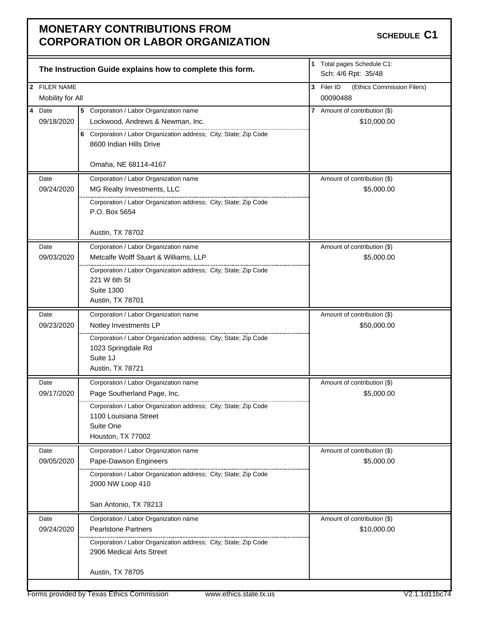|                                  | The Instruction Guide explains how to complete this form.                                                                                                                                                  | 1 Total pages Schedule C1:<br>Sch: 4/6 Rpt: 35/48    |
|----------------------------------|------------------------------------------------------------------------------------------------------------------------------------------------------------------------------------------------------------|------------------------------------------------------|
| 2 FILER NAME<br>Mobility for All |                                                                                                                                                                                                            | 3 Filer ID<br>(Ethics Commission Filers)<br>00090488 |
| 4 Date<br>09/18/2020             | 5 Corporation / Labor Organization name<br>Lockwood, Andrews & Newman, Inc.<br>6 Corporation / Labor Organization address; City; State; Zip Code<br>8600 Indian Hills Drive                                | 7 Amount of contribution (\$)<br>\$10,000.00         |
| Date<br>09/24/2020               | Omaha, NE 68114-4167<br>Corporation / Labor Organization name<br>MG Realty Investments, LLC<br>Corporation / Labor Organization address; City; State; Zip Code<br>P.O. Box 5654<br>Austin, TX 78702        | Amount of contribution (\$)<br>\$5,000.00            |
| Date<br>09/03/2020               | Corporation / Labor Organization name<br>Metcalfe Wolff Stuart & Williams, LLP<br>Corporation / Labor Organization address; City; State; Zip Code<br>221 W 6th St<br><b>Suite 1300</b><br>Austin, TX 78701 | Amount of contribution (\$)<br>\$5,000.00            |
| Date<br>09/23/2020               | Corporation / Labor Organization name<br>Notley Investments LP<br>Corporation / Labor Organization address; City; State; Zip Code<br>1023 Springdale Rd<br>Suite 1J<br>Austin, TX 78721                    | Amount of contribution (\$)<br>\$50,000.00           |
| Date<br>09/17/2020               | Corporation / Labor Organization name<br>Page Southerland Page, Inc.<br>Corporation / Labor Organization address; City; State; Zip Code<br>1100 Louisiana Street<br>Suite One<br>Houston, TX 77002         | Amount of contribution (\$)<br>\$5,000.00            |
| Date<br>09/05/2020               | Corporation / Labor Organization name<br>Pape-Dawson Engineers<br>Corporation / Labor Organization address; City; State; Zip Code<br>2000 NW Loop 410<br>San Antonio, TX 78213                             | Amount of contribution (\$)<br>\$5,000.00            |
| Date<br>09/24/2020               | Corporation / Labor Organization name<br><b>Pearlstone Partners</b><br><br>Corporation / Labor Organization address; City; State; Zip Code<br>2906 Medical Arts Street<br>Austin, TX 78705                 | Amount of contribution (\$)<br>\$10,000.00           |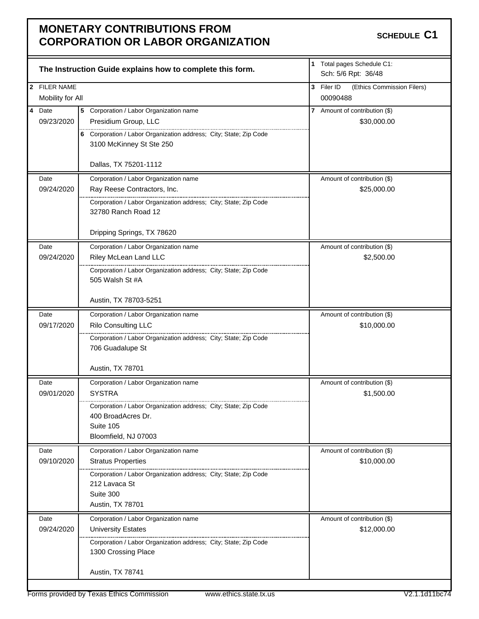|                  | The Instruction Guide explains how to complete this form.                                     | 1 Total pages Schedule C1:<br>Sch: 5/6 Rpt: 36/48    |
|------------------|-----------------------------------------------------------------------------------------------|------------------------------------------------------|
| 2 FILER NAME     |                                                                                               |                                                      |
| Mobility for All |                                                                                               | 3 Filer ID<br>(Ethics Commission Filers)<br>00090488 |
| 4 Date           |                                                                                               |                                                      |
| 09/23/2020       | 5 Corporation / Labor Organization name<br>Presidium Group, LLC                               | 7 Amount of contribution (\$)<br>\$30,000.00         |
|                  |                                                                                               |                                                      |
|                  | 6 Corporation / Labor Organization address; City; State; Zip Code<br>3100 McKinney St Ste 250 |                                                      |
|                  |                                                                                               |                                                      |
|                  | Dallas, TX 75201-1112                                                                         |                                                      |
| Date             | Corporation / Labor Organization name                                                         | Amount of contribution (\$)                          |
| 09/24/2020       | Ray Reese Contractors, Inc.                                                                   | \$25,000.00                                          |
|                  | Corporation / Labor Organization address; City; State; Zip Code<br>32780 Ranch Road 12        |                                                      |
|                  |                                                                                               |                                                      |
|                  | Dripping Springs, TX 78620                                                                    |                                                      |
| Date             | Corporation / Labor Organization name                                                         | Amount of contribution (\$)                          |
| 09/24/2020       | Riley McLean Land LLC                                                                         | \$2,500.00                                           |
|                  | Corporation / Labor Organization address; City; State; Zip Code                               |                                                      |
|                  | 505 Walsh St #A                                                                               |                                                      |
|                  | Austin, TX 78703-5251                                                                         |                                                      |
| Date             | Corporation / Labor Organization name                                                         | Amount of contribution (\$)                          |
| 09/17/2020       | Rilo Consulting LLC                                                                           | \$10,000.00                                          |
|                  | Corporation / Labor Organization address; City; State; Zip Code                               |                                                      |
|                  | 706 Guadalupe St                                                                              |                                                      |
|                  |                                                                                               |                                                      |
|                  | Austin, TX 78701                                                                              |                                                      |
| Date             | Corporation / Labor Organization name                                                         | Amount of contribution (\$)                          |
| 09/01/2020       | <b>SYSTRA</b>                                                                                 | \$1,500.00                                           |
|                  | Corporation / Labor Organization address; City; State; Zip Code                               |                                                      |
|                  | 400 BroadAcres Dr.<br>Suite 105                                                               |                                                      |
|                  | Bloomfield, NJ 07003                                                                          |                                                      |
| Date             | Corporation / Labor Organization name                                                         | Amount of contribution (\$)                          |
| 09/10/2020       | <b>Stratus Properties</b>                                                                     | \$10,000.00                                          |
|                  | Corporation / Labor Organization address; City; State; Zip Code                               |                                                      |
|                  | 212 Lavaca St                                                                                 |                                                      |
|                  | Suite 300                                                                                     |                                                      |
|                  | Austin, TX 78701                                                                              |                                                      |
| Date             | Corporation / Labor Organization name                                                         | Amount of contribution (\$)                          |
| 09/24/2020       | <b>University Estates</b>                                                                     | \$12,000.00                                          |
|                  | Corporation / Labor Organization address; City; State; Zip Code                               |                                                      |
|                  | 1300 Crossing Place                                                                           |                                                      |
|                  | Austin, TX 78741                                                                              |                                                      |
|                  |                                                                                               |                                                      |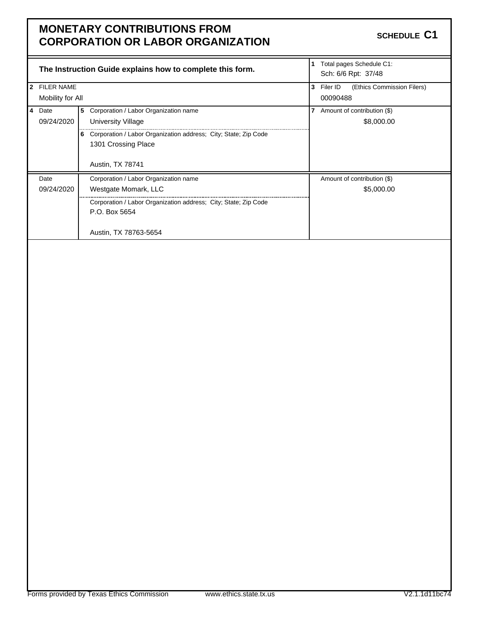|     |                   |                                       | The Instruction Guide explains how to complete this form.       | 1 | Total pages Schedule C1:<br>Sch: 6/6 Rpt: 37/48 |  |
|-----|-------------------|---------------------------------------|-----------------------------------------------------------------|---|-------------------------------------------------|--|
| l 2 | <b>FILER NAME</b> |                                       |                                                                 |   | (Ethics Commission Filers)<br>Filer ID          |  |
|     | Mobility for All  |                                       |                                                                 |   | 00090488                                        |  |
|     | 4 Date            | 5                                     | Corporation / Labor Organization name                           | 7 | Amount of contribution (\$)                     |  |
|     | 09/24/2020        |                                       | University Village                                              |   | \$8,000.00                                      |  |
| 6   |                   |                                       | Corporation / Labor Organization address; City; State; Zip Code |   |                                                 |  |
|     |                   |                                       | 1301 Crossing Place                                             |   |                                                 |  |
|     |                   |                                       |                                                                 |   |                                                 |  |
|     |                   | <b>Austin, TX 78741</b>               |                                                                 |   |                                                 |  |
|     | Date              | Corporation / Labor Organization name |                                                                 |   | Amount of contribution (\$)                     |  |
|     | 09/24/2020        | Westgate Momark, LLC                  |                                                                 |   | \$5,000.00                                      |  |
|     |                   |                                       | Corporation / Labor Organization address; City; State; Zip Code |   |                                                 |  |
|     |                   | P.O. Box 5654                         |                                                                 |   |                                                 |  |
|     |                   |                                       |                                                                 |   |                                                 |  |
|     |                   |                                       | Austin, TX 78763-5654                                           |   |                                                 |  |
|     |                   |                                       |                                                                 |   |                                                 |  |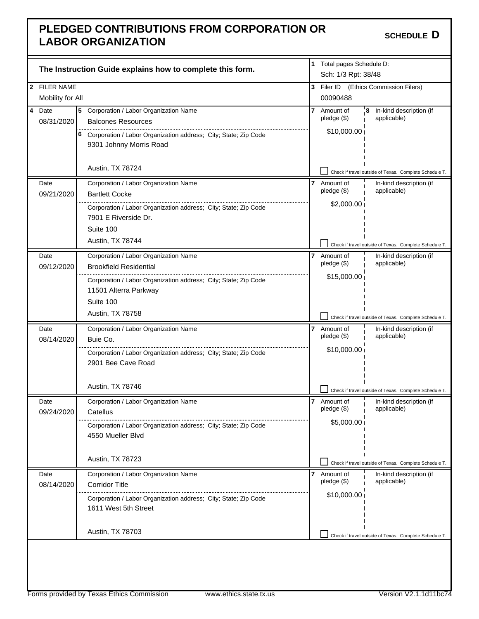### **PLEDGED CONTRIBUTIONS FROM CORPORATION OR LABOR ORGANIZATION SUMPOONS CONTROLLER IN A SCHEDULE** D

|                |                         |                                                                   | The Instruction Guide explains how to complete this form.       | 1 Total pages Schedule D:<br>Sch: 1/3 Rpt: 38/48 |                  |                                                        |
|----------------|-------------------------|-------------------------------------------------------------------|-----------------------------------------------------------------|--------------------------------------------------|------------------|--------------------------------------------------------|
|                | 2 FILER NAME            |                                                                   |                                                                 | 3                                                |                  | Filer ID (Ethics Commission Filers)                    |
|                | Mobility for All        |                                                                   |                                                                 |                                                  | 00090488         |                                                        |
| $\overline{4}$ | Date                    |                                                                   | 5 Corporation / Labor Organization Name                         | 7                                                | Amount of        | 8<br>In-kind description (if                           |
|                | 08/31/2020              |                                                                   | <b>Balcones Resources</b>                                       |                                                  | $p$ ledge $(\$)$ | applicable)                                            |
|                |                         | 6 Corporation / Labor Organization address; City; State; Zip Code |                                                                 | \$10,000.00                                      |                  |                                                        |
|                | 9301 Johnny Morris Road |                                                                   |                                                                 |                                                  |                  |                                                        |
|                |                         |                                                                   |                                                                 |                                                  |                  |                                                        |
|                |                         |                                                                   | Austin, TX 78724                                                |                                                  |                  | Check if travel outside of Texas. Complete Schedule T. |
|                | Date                    |                                                                   | Corporation / Labor Organization Name                           | 7                                                | Amount of        | In-kind description (if                                |
|                | 09/21/2020              |                                                                   | <b>Bartlett Cocke</b>                                           |                                                  | $p$ ledge $(\$)$ | applicable)                                            |
|                |                         |                                                                   | Corporation / Labor Organization address; City; State; Zip Code |                                                  | \$2,000.00       |                                                        |
|                |                         |                                                                   | 7901 E Riverside Dr.                                            |                                                  |                  |                                                        |
|                |                         |                                                                   | Suite 100                                                       |                                                  |                  |                                                        |
|                |                         |                                                                   | Austin, TX 78744                                                |                                                  |                  | Check if travel outside of Texas. Complete Schedule T. |
|                | Date                    |                                                                   | Corporation / Labor Organization Name                           | 7                                                | Amount of        | In-kind description (if                                |
|                | 09/12/2020              |                                                                   | <b>Brookfield Residential</b>                                   |                                                  | $p$ ledge $(\$)$ | applicable)                                            |
|                |                         |                                                                   | Corporation / Labor Organization address; City; State; Zip Code |                                                  | \$15,000.00      |                                                        |
|                |                         |                                                                   | 11501 Alterra Parkway                                           |                                                  |                  |                                                        |
|                |                         |                                                                   | Suite 100                                                       |                                                  |                  |                                                        |
|                |                         |                                                                   | Austin, TX 78758                                                |                                                  |                  | Check if travel outside of Texas. Complete Schedule T. |
|                | Date                    |                                                                   | Corporation / Labor Organization Name                           | 7                                                | Amount of        | In-kind description (if                                |
|                | 08/14/2020              |                                                                   | Buie Co.                                                        | $pledge($ \$)                                    | applicable)      |                                                        |
|                |                         | Corporation / Labor Organization address; City; State; Zip Code   |                                                                 |                                                  | \$10,000.00      |                                                        |
|                |                         |                                                                   | 2901 Bee Cave Road                                              |                                                  |                  |                                                        |
|                |                         |                                                                   |                                                                 |                                                  |                  |                                                        |
|                |                         |                                                                   |                                                                 |                                                  |                  |                                                        |
|                |                         |                                                                   | Austin, TX 78746                                                |                                                  |                  | Check if travel outside of Texas. Complete Schedule T. |
|                | Date                    |                                                                   | Corporation / Labor Organization Name                           | $\overline{7}$                                   | Amount of        | In-kind description (if                                |
|                | 09/24/2020              |                                                                   | Catellus                                                        |                                                  | pledge (\$)      | applicable)                                            |
|                |                         |                                                                   | Corporation / Labor Organization address; City; State; Zip Code |                                                  | \$5,000.00       |                                                        |
|                |                         |                                                                   | 4550 Mueller Blvd                                               |                                                  |                  |                                                        |
|                |                         |                                                                   |                                                                 |                                                  |                  |                                                        |
|                |                         |                                                                   | Austin, TX 78723                                                |                                                  |                  | Check if travel outside of Texas. Complete Schedule T. |
|                | Date                    |                                                                   | Corporation / Labor Organization Name                           | 7                                                | Amount of        | In-kind description (if                                |
|                | 08/14/2020              |                                                                   | <b>Corridor Title</b>                                           |                                                  | $p$ ledge $(\$)$ | applicable)                                            |
|                |                         |                                                                   | Corporation / Labor Organization address; City; State; Zip Code |                                                  | \$10,000.00      |                                                        |
|                |                         |                                                                   | 1611 West 5th Street                                            |                                                  |                  |                                                        |
|                |                         |                                                                   |                                                                 |                                                  |                  |                                                        |
|                |                         |                                                                   | Austin, TX 78703                                                |                                                  |                  | Check if travel outside of Texas. Complete Schedule T. |
|                |                         |                                                                   |                                                                 |                                                  |                  |                                                        |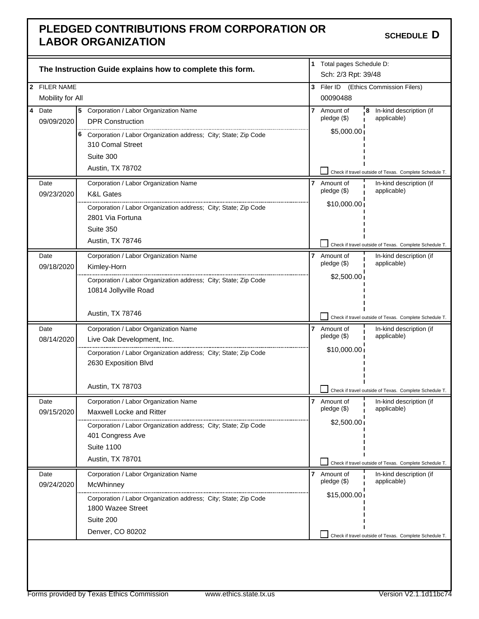### **PLEDGED CONTRIBUTIONS FROM CORPORATION OR LABOR ORGANIZATION**

|                         |                                                                                       | The Instruction Guide explains how to complete this form.                               |                | 1 Total pages Schedule D:<br>Sch: 2/3 Rpt: 39/48 |                                                        |
|-------------------------|---------------------------------------------------------------------------------------|-----------------------------------------------------------------------------------------|----------------|--------------------------------------------------|--------------------------------------------------------|
|                         | 2 FILER NAME                                                                          |                                                                                         | 3              |                                                  | Filer ID (Ethics Commission Filers)                    |
|                         | Mobility for All                                                                      |                                                                                         |                | 00090488                                         |                                                        |
| $\overline{\mathbf{4}}$ | Date                                                                                  | Corporation / Labor Organization Name<br>5                                              | 7              | Amount of                                        | In-kind description (if<br>8                           |
|                         | 09/09/2020<br><b>DPR Construction</b>                                                 |                                                                                         |                | $p$ ledge $(\$)$                                 | applicable)                                            |
|                         |                                                                                       |                                                                                         |                | \$5,000.00                                       |                                                        |
|                         | 6 Corporation / Labor Organization address; City; State; Zip Code<br>310 Comal Street |                                                                                         |                |                                                  |                                                        |
| Suite 300               |                                                                                       |                                                                                         |                |                                                  |                                                        |
|                         |                                                                                       |                                                                                         |                |                                                  |                                                        |
|                         |                                                                                       | Austin, TX 78702                                                                        |                |                                                  | Check if travel outside of Texas. Complete Schedule T. |
|                         | Date                                                                                  | Corporation / Labor Organization Name                                                   | 7              | Amount of                                        | In-kind description (if                                |
|                         | 09/23/2020                                                                            | <b>K&amp;L Gates</b>                                                                    |                | $pledge($ \$)                                    | applicable)                                            |
|                         |                                                                                       | Corporation / Labor Organization address; City; State; Zip Code                         |                | \$10,000.00                                      |                                                        |
|                         |                                                                                       | 2801 Via Fortuna                                                                        |                |                                                  |                                                        |
|                         |                                                                                       | Suite 350                                                                               |                |                                                  |                                                        |
|                         |                                                                                       | Austin, TX 78746                                                                        |                |                                                  | Check if travel outside of Texas. Complete Schedule T. |
|                         | Date                                                                                  | Corporation / Labor Organization Name                                                   | 7              | Amount of                                        | In-kind description (if                                |
|                         | 09/18/2020                                                                            | Kimley-Horn                                                                             |                | $pledge($ \$)                                    | applicable)                                            |
|                         |                                                                                       | Corporation / Labor Organization address; City; State; Zip Code                         |                | \$2,500.00                                       |                                                        |
|                         |                                                                                       | 10814 Jollyville Road                                                                   |                |                                                  |                                                        |
|                         |                                                                                       |                                                                                         |                |                                                  |                                                        |
|                         |                                                                                       | Austin, TX 78746                                                                        |                |                                                  | Check if travel outside of Texas. Complete Schedule T. |
|                         | Date                                                                                  | Corporation / Labor Organization Name<br>$\overline{7}$<br>Live Oak Development, Inc.   |                | Amount of                                        | In-kind description (if                                |
|                         | 08/14/2020                                                                            |                                                                                         |                | $pledge($ \$)                                    | applicable)                                            |
|                         |                                                                                       | Corporation / Labor Organization address; City; State; Zip Code<br>2630 Exposition Blvd |                | \$10,000.00                                      |                                                        |
|                         |                                                                                       | Austin, TX 78703                                                                        |                |                                                  | Check if travel outside of Texas. Complete Schedule T. |
|                         | Date                                                                                  | Corporation / Labor Organization Name                                                   | $\overline{7}$ | Amount of                                        | In-kind description (if                                |
|                         | 09/15/2020                                                                            | <b>Maxwell Locke and Ritter</b>                                                         |                | pledge (\$)                                      | applicable)                                            |
|                         |                                                                                       | Corporation / Labor Organization address; City; State; Zip Code                         |                | \$2,500.00]                                      |                                                        |
|                         |                                                                                       | 401 Congress Ave                                                                        |                |                                                  |                                                        |
|                         |                                                                                       | <b>Suite 1100</b>                                                                       |                |                                                  |                                                        |
|                         |                                                                                       | Austin, TX 78701                                                                        |                |                                                  |                                                        |
|                         |                                                                                       |                                                                                         |                |                                                  | Check if travel outside of Texas. Complete Schedule T. |
|                         | Date<br>09/24/2020                                                                    | Corporation / Labor Organization Name                                                   | 7              | Amount of<br>$pledge($ \$)                       | In-kind description (if<br>applicable)                 |
|                         |                                                                                       | McWhinney                                                                               |                | \$15,000.00                                      |                                                        |
|                         |                                                                                       | Corporation / Labor Organization address; City; State; Zip Code                         |                |                                                  |                                                        |
|                         |                                                                                       | 1800 Wazee Street                                                                       |                |                                                  |                                                        |
|                         |                                                                                       | Suite 200                                                                               |                |                                                  |                                                        |
|                         |                                                                                       | Denver, CO 80202                                                                        |                |                                                  | Check if travel outside of Texas. Complete Schedule T. |
|                         |                                                                                       |                                                                                         |                |                                                  |                                                        |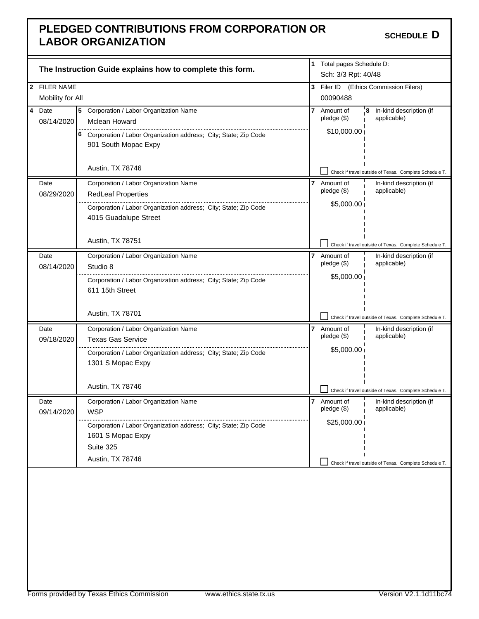### **PLEDGED CONTRIBUTIONS FROM CORPORATION OR LABOR ORGANIZATION**

|   |                  | The Instruction Guide explains how to complete this form.         |                | 1 Total pages Schedule D:<br>Sch: 3/3 Rpt: 40/48 |                                                        |
|---|------------------|-------------------------------------------------------------------|----------------|--------------------------------------------------|--------------------------------------------------------|
|   | 2 FILER NAME     |                                                                   |                |                                                  | 3 Filer ID (Ethics Commission Filers)                  |
|   | Mobility for All |                                                                   |                | 00090488                                         |                                                        |
|   |                  |                                                                   | $\overline{7}$ |                                                  | 8                                                      |
| 4 | Date             | 5 Corporation / Labor Organization Name                           |                | Amount of<br>$p$ ledge $(\$)$                    | In-kind description (if<br>applicable)                 |
|   | 08/14/2020       | <b>Mclean Howard</b>                                              |                |                                                  |                                                        |
|   |                  | 6 Corporation / Labor Organization address; City; State; Zip Code |                | \$10,000.00                                      |                                                        |
|   |                  | 901 South Mopac Expy                                              |                |                                                  |                                                        |
|   |                  |                                                                   |                |                                                  |                                                        |
|   |                  | Austin, TX 78746                                                  |                |                                                  | Check if travel outside of Texas. Complete Schedule T. |
|   |                  |                                                                   |                |                                                  |                                                        |
|   | Date             | Corporation / Labor Organization Name                             | $\overline{7}$ | Amount of<br>$pledge($ \$)                       | In-kind description (if<br>applicable)                 |
|   | 08/29/2020       | <b>RedLeaf Properties</b>                                         |                |                                                  |                                                        |
|   |                  | Corporation / Labor Organization address; City; State; Zip Code   |                | \$5,000.00                                       |                                                        |
|   |                  | 4015 Guadalupe Street                                             |                |                                                  |                                                        |
|   |                  |                                                                   |                |                                                  |                                                        |
|   |                  | Austin, TX 78751                                                  |                |                                                  | Check if travel outside of Texas. Complete Schedule T. |
|   | Date             |                                                                   | $\overline{7}$ |                                                  |                                                        |
|   |                  | Corporation / Labor Organization Name                             |                | Amount of<br>$p$ ledge $(\$)$                    | In-kind description (if<br>applicable)                 |
|   | 08/14/2020       | Studio 8                                                          |                | \$5,000.00                                       |                                                        |
|   |                  | Corporation / Labor Organization address; City; State; Zip Code   |                |                                                  |                                                        |
|   |                  | 611 15th Street                                                   |                |                                                  |                                                        |
|   |                  |                                                                   |                |                                                  |                                                        |
|   |                  | Austin, TX 78701                                                  |                |                                                  | Check if travel outside of Texas. Complete Schedule T. |
|   | Date             | Corporation / Labor Organization Name                             | $\overline{7}$ | Amount of                                        | In-kind description (if                                |
|   | 09/18/2020       | Texas Gas Service                                                 |                | $pledge($ \$)                                    | applicable)                                            |
|   |                  |                                                                   |                | \$5,000.00                                       |                                                        |
|   |                  | Corporation / Labor Organization address; City; State; Zip Code   |                |                                                  |                                                        |
|   |                  | 1301 S Mopac Expy                                                 |                |                                                  |                                                        |
|   |                  |                                                                   |                |                                                  |                                                        |
|   |                  |                                                                   |                |                                                  |                                                        |
|   |                  | Austin, TX 78746                                                  |                |                                                  | Check if travel outside of Texas. Complete Schedule T. |
|   | Date             | Corporation / Labor Organization Name                             |                | 7 Amount of                                      | In-kind description (if                                |
|   | 09/14/2020       | <b>WSP</b>                                                        |                | pledge (\$)                                      | applicable)                                            |
|   |                  |                                                                   |                | \$25,000.00                                      |                                                        |
|   |                  | Corporation / Labor Organization address; City; State; Zip Code   |                |                                                  |                                                        |
|   |                  | 1601 S Mopac Expy                                                 |                |                                                  |                                                        |
|   |                  | Suite 325                                                         |                |                                                  |                                                        |
|   |                  | Austin, TX 78746                                                  |                |                                                  | Check if travel outside of Texas. Complete Schedule T. |
|   |                  |                                                                   |                |                                                  |                                                        |
|   |                  |                                                                   |                |                                                  |                                                        |
|   |                  |                                                                   |                |                                                  |                                                        |
|   |                  |                                                                   |                |                                                  |                                                        |
|   |                  |                                                                   |                |                                                  |                                                        |
|   |                  |                                                                   |                |                                                  |                                                        |
|   |                  |                                                                   |                |                                                  |                                                        |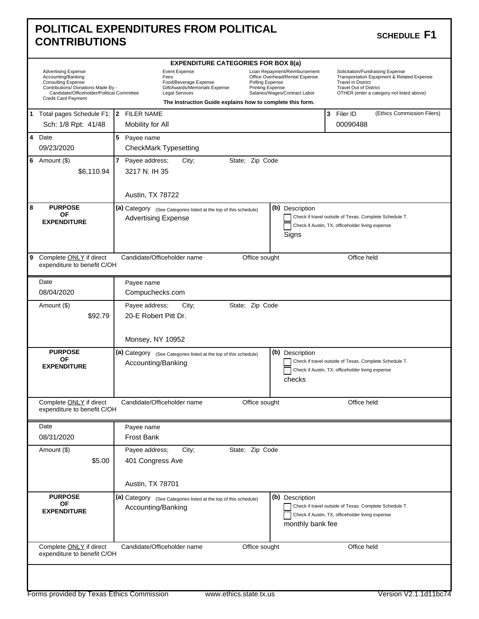| <b>CONTRIBUTIONS</b>                                                                                                                                                                     | <b>POLITICAL EXPENDITURES FROM POLITICAL</b>                                                                                                                                                                                                                                                                           | <b>SCHEDULE F1</b>                                                                                                                                                                        |
|------------------------------------------------------------------------------------------------------------------------------------------------------------------------------------------|------------------------------------------------------------------------------------------------------------------------------------------------------------------------------------------------------------------------------------------------------------------------------------------------------------------------|-------------------------------------------------------------------------------------------------------------------------------------------------------------------------------------------|
|                                                                                                                                                                                          | <b>EXPENDITURE CATEGORIES FOR BOX 8(a)</b>                                                                                                                                                                                                                                                                             |                                                                                                                                                                                           |
| <b>Advertising Expense</b><br>Accounting/Banking<br><b>Consulting Expense</b><br>Contributions/ Donations Made By -<br>Candidate/Officeholder/Political Committee<br>Credit Card Payment | Event Expense<br>Loan Repayment/Reimbursement<br>Office Overhead/Rental Expense<br>Fees<br>Food/Beverage Expense<br>Polling Expense<br>Gift/Awards/Memorials Expense<br><b>Printing Expense</b><br><b>Legal Services</b><br>Salaries/Wages/Contract Labor<br>The Instruction Guide explains how to complete this form. | Solicitation/Fundraising Expense<br>Transportation Equipment & Related Expense<br><b>Travel in District</b><br><b>Travel Out of District</b><br>OTHER (enter a category not listed above) |
| 1 Total pages Schedule F1:   2 FILER NAME<br>Sch: 1/8 Rpt: 41/48                                                                                                                         | Mobility for All                                                                                                                                                                                                                                                                                                       | 3 Filer ID<br>(Ethics Commission Filers)<br>00090488                                                                                                                                      |
| 4 Date<br>09/23/2020                                                                                                                                                                     | 5 Payee name<br>CheckMark Typesetting                                                                                                                                                                                                                                                                                  |                                                                                                                                                                                           |
| 6 Amount $(\$)$<br>\$6,110.94                                                                                                                                                            | 7 Payee address;<br>State; Zip Code<br>City;<br>3217 N. IH 35                                                                                                                                                                                                                                                          |                                                                                                                                                                                           |
| 8<br><b>PURPOSE</b><br><b>OF</b><br><b>EXPENDITURE</b>                                                                                                                                   | Austin, TX 78722<br>(b) Description<br>(a) Category (See Categories listed at the top of this schedule)<br><b>Advertising Expense</b><br>Signs                                                                                                                                                                         | Check if travel outside of Texas. Complete Schedule T.<br>Check if Austin, TX, officeholder living expense                                                                                |
| 9 Complete ONLY if direct<br>expenditure to benefit C/OH                                                                                                                                 | Candidate/Officeholder name<br>Office sought                                                                                                                                                                                                                                                                           | Office held                                                                                                                                                                               |
| Date<br>08/04/2020                                                                                                                                                                       | Payee name<br>Compuchecks.com                                                                                                                                                                                                                                                                                          |                                                                                                                                                                                           |
| Amount (\$)<br>\$92.79                                                                                                                                                                   | Payee address;<br>State; Zip Code<br>City;<br>20-E Robert Pitt Dr.                                                                                                                                                                                                                                                     |                                                                                                                                                                                           |
| <b>PURPOSE</b><br><b>OF</b><br><b>EXPENDITURE</b>                                                                                                                                        | Monsey, NY 10952<br>(b) Description<br>(a) Category (See Categories listed at the top of this schedule)<br>Accounting/Banking<br>checks                                                                                                                                                                                | Check if travel outside of Texas. Complete Schedule T.<br>Check if Austin, TX, officeholder living expense                                                                                |
| Complete ONLY if direct<br>expenditure to benefit C/OH                                                                                                                                   | Candidate/Officeholder name<br>Office sought                                                                                                                                                                                                                                                                           | Office held                                                                                                                                                                               |
| Date<br>08/31/2020                                                                                                                                                                       | Payee name<br><b>Frost Bank</b>                                                                                                                                                                                                                                                                                        |                                                                                                                                                                                           |
| Amount (\$)<br>\$5.00                                                                                                                                                                    | Payee address;<br>City;<br>State; Zip Code<br>401 Congress Ave<br>Austin, TX 78701                                                                                                                                                                                                                                     |                                                                                                                                                                                           |
|                                                                                                                                                                                          |                                                                                                                                                                                                                                                                                                                        |                                                                                                                                                                                           |
| <b>PURPOSE</b><br><b>OF</b><br><b>EXPENDITURE</b>                                                                                                                                        | (b) Description<br>(a) Category (See Categories listed at the top of this schedule)<br>Accounting/Banking<br>monthly bank fee                                                                                                                                                                                          | Check if travel outside of Texas. Complete Schedule T.<br>Check if Austin, TX, officeholder living expense                                                                                |
| Complete ONLY if direct<br>expenditure to benefit C/OH                                                                                                                                   | Candidate/Officeholder name<br>Office sought                                                                                                                                                                                                                                                                           | Office held                                                                                                                                                                               |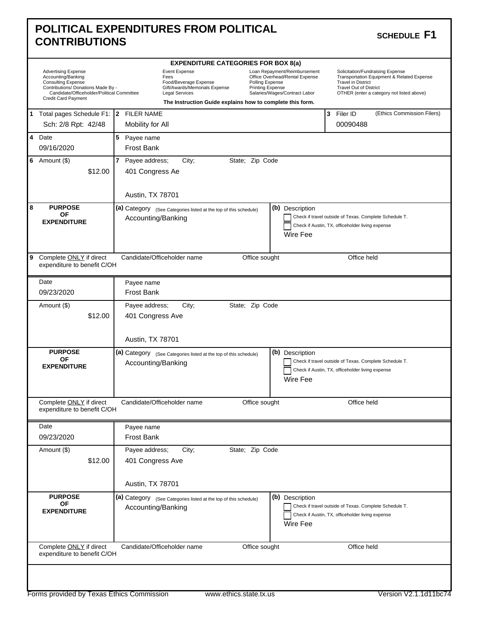|   | <b>CONTRIBUTIONS</b>                                                                                    | <b>POLITICAL EXPENDITURES FROM POLITICAL</b><br><b>SCHEDULE F1</b>                                                                                                                                                                                                                                      |  |
|---|---------------------------------------------------------------------------------------------------------|---------------------------------------------------------------------------------------------------------------------------------------------------------------------------------------------------------------------------------------------------------------------------------------------------------|--|
|   | <b>Advertising Expense</b><br>Accounting/Banking<br>Consulting Expense                                  | <b>EXPENDITURE CATEGORIES FOR BOX 8(a)</b><br><b>Event Expense</b><br>Loan Repayment/Reimbursement<br>Solicitation/Fundraising Expense<br>Office Overhead/Rental Expense<br>Transportation Equipment & Related Expense<br>Fees<br>Food/Beverage Expense<br>Polling Expense<br><b>Travel in District</b> |  |
|   | Contributions/ Donations Made By -<br>Candidate/Officeholder/Political Committee<br>Credit Card Payment | Gift/Awards/Memorials Expense<br><b>Printing Expense</b><br><b>Travel Out of District</b><br><b>Legal Services</b><br>Salaries/Wages/Contract Labor<br>OTHER (enter a category not listed above)<br>The Instruction Guide explains how to complete this form.                                           |  |
|   | 1 Total pages Schedule F1: 2 FILER NAME<br>Sch: 2/8 Rpt: 42/48                                          | 3<br>Filer ID<br>(Ethics Commission Filers)<br>00090488<br>Mobility for All                                                                                                                                                                                                                             |  |
|   | 4 Date<br>09/16/2020                                                                                    | 5<br>Payee name<br><b>Frost Bank</b>                                                                                                                                                                                                                                                                    |  |
|   | 6 Amount $(\$)$<br>\$12.00                                                                              | 7 Payee address;<br>State; Zip Code<br>City;<br>401 Congress Ae<br>Austin, TX 78701                                                                                                                                                                                                                     |  |
| 8 | <b>PURPOSE</b><br>ΟF<br><b>EXPENDITURE</b>                                                              | (b) Description<br>(a) Category (See Categories listed at the top of this schedule)<br>Check if travel outside of Texas. Complete Schedule T.<br>Accounting/Banking<br>Check if Austin, TX, officeholder living expense<br>Wire Fee                                                                     |  |
| 9 | Complete ONLY if direct<br>expenditure to benefit C/OH                                                  | Candidate/Officeholder name<br>Office sought<br>Office held                                                                                                                                                                                                                                             |  |
|   | Date                                                                                                    | Payee name                                                                                                                                                                                                                                                                                              |  |
|   | 09/23/2020                                                                                              | <b>Frost Bank</b>                                                                                                                                                                                                                                                                                       |  |
|   | Amount (\$)<br>\$12.00                                                                                  | State; Zip Code<br>Payee address;<br>City;<br>401 Congress Ave                                                                                                                                                                                                                                          |  |
|   |                                                                                                         | Austin, TX 78701                                                                                                                                                                                                                                                                                        |  |
|   | <b>PURPOSE</b><br><b>OF</b><br><b>EXPENDITURE</b>                                                       | (b) Description<br>(a) Category (See Categories listed at the top of this schedule)<br>Check if travel outside of Texas. Complete Schedule T.<br>Accounting/Banking<br>Check if Austin, TX, officeholder living expense<br>Wire Fee                                                                     |  |
|   | Complete ONLY if direct<br>expenditure to benefit C/OH                                                  | Office sought<br>Office held<br>Candidate/Officeholder name                                                                                                                                                                                                                                             |  |
|   | Date<br>09/23/2020                                                                                      | Payee name<br><b>Frost Bank</b>                                                                                                                                                                                                                                                                         |  |
|   | Amount (\$)<br>\$12.00                                                                                  | State; Zip Code<br>Payee address;<br>City;<br>401 Congress Ave                                                                                                                                                                                                                                          |  |
|   |                                                                                                         | Austin, TX 78701                                                                                                                                                                                                                                                                                        |  |
|   | <b>PURPOSE</b><br>OF<br><b>EXPENDITURE</b>                                                              | (b) Description<br>(a) Category (See Categories listed at the top of this schedule)<br>Check if travel outside of Texas. Complete Schedule T.<br>Accounting/Banking<br>Check if Austin, TX, officeholder living expense<br>Wire Fee                                                                     |  |
|   | Complete ONLY if direct<br>expenditure to benefit C/OH                                                  | Candidate/Officeholder name<br>Office held<br>Office sought                                                                                                                                                                                                                                             |  |
|   |                                                                                                         |                                                                                                                                                                                                                                                                                                         |  |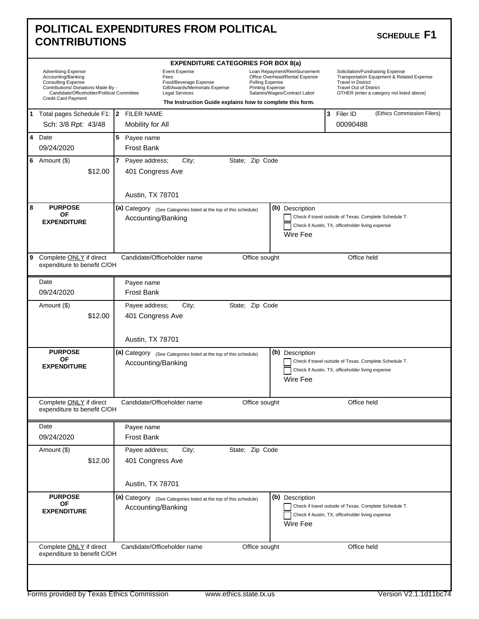|   | <b>CONTRIBUTIONS</b>                                                                                                                                                              | <b>POLITICAL EXPENDITURES FROM POLITICAL</b><br><b>SCHEDULE F1</b>                                                                                                                                                                                                                                                                                                                                                                                                                                                         |  |
|---|-----------------------------------------------------------------------------------------------------------------------------------------------------------------------------------|----------------------------------------------------------------------------------------------------------------------------------------------------------------------------------------------------------------------------------------------------------------------------------------------------------------------------------------------------------------------------------------------------------------------------------------------------------------------------------------------------------------------------|--|
|   |                                                                                                                                                                                   | <b>EXPENDITURE CATEGORIES FOR BOX 8(a)</b>                                                                                                                                                                                                                                                                                                                                                                                                                                                                                 |  |
|   | <b>Advertising Expense</b><br>Accounting/Banking<br>Consulting Expense<br>Contributions/ Donations Made By -<br>Candidate/Officeholder/Political Committee<br>Credit Card Payment | <b>Event Expense</b><br>Loan Repayment/Reimbursement<br>Solicitation/Fundraising Expense<br>Office Overhead/Rental Expense<br>Transportation Equipment & Related Expense<br>Fees<br>Food/Beverage Expense<br>Polling Expense<br><b>Travel in District</b><br>Gift/Awards/Memorials Expense<br><b>Printing Expense</b><br><b>Travel Out of District</b><br><b>Legal Services</b><br>Salaries/Wages/Contract Labor<br>OTHER (enter a category not listed above)<br>The Instruction Guide explains how to complete this form. |  |
|   | 1 Total pages Schedule F1:   2 FILER NAME                                                                                                                                         | 3<br>Filer ID<br>(Ethics Commission Filers)                                                                                                                                                                                                                                                                                                                                                                                                                                                                                |  |
|   | Sch: 3/8 Rpt: 43/48                                                                                                                                                               | 00090488<br>Mobility for All                                                                                                                                                                                                                                                                                                                                                                                                                                                                                               |  |
|   | 4 Date<br>09/24/2020                                                                                                                                                              | 5<br>Payee name<br><b>Frost Bank</b>                                                                                                                                                                                                                                                                                                                                                                                                                                                                                       |  |
|   | 6 Amount $(\$)$<br>\$12.00                                                                                                                                                        | 7 Payee address;<br>State; Zip Code<br>City;<br>401 Congress Ave<br>Austin, TX 78701                                                                                                                                                                                                                                                                                                                                                                                                                                       |  |
| 8 | <b>PURPOSE</b><br>ΟF<br><b>EXPENDITURE</b>                                                                                                                                        | (b) Description<br>(a) Category (See Categories listed at the top of this schedule)<br>Check if travel outside of Texas. Complete Schedule T.<br>Accounting/Banking<br>Check if Austin, TX, officeholder living expense<br>Wire Fee                                                                                                                                                                                                                                                                                        |  |
| 9 | Complete ONLY if direct<br>expenditure to benefit C/OH                                                                                                                            | Candidate/Officeholder name<br>Office sought<br>Office held                                                                                                                                                                                                                                                                                                                                                                                                                                                                |  |
|   | Date                                                                                                                                                                              | Payee name                                                                                                                                                                                                                                                                                                                                                                                                                                                                                                                 |  |
|   | 09/24/2020                                                                                                                                                                        | <b>Frost Bank</b>                                                                                                                                                                                                                                                                                                                                                                                                                                                                                                          |  |
|   | Amount (\$)<br>\$12.00                                                                                                                                                            | State; Zip Code<br>Payee address;<br>City;<br>401 Congress Ave                                                                                                                                                                                                                                                                                                                                                                                                                                                             |  |
|   |                                                                                                                                                                                   | Austin, TX 78701                                                                                                                                                                                                                                                                                                                                                                                                                                                                                                           |  |
|   | <b>PURPOSE</b><br><b>OF</b><br><b>EXPENDITURE</b>                                                                                                                                 | (b) Description<br>(a) Category (See Categories listed at the top of this schedule)<br>Check if travel outside of Texas. Complete Schedule T.<br>Accounting/Banking<br>Check if Austin, TX, officeholder living expense<br>Wire Fee                                                                                                                                                                                                                                                                                        |  |
|   | Complete ONLY if direct<br>expenditure to benefit C/OH                                                                                                                            | Office sought<br>Office held<br>Candidate/Officeholder name                                                                                                                                                                                                                                                                                                                                                                                                                                                                |  |
|   | Date                                                                                                                                                                              | Payee name                                                                                                                                                                                                                                                                                                                                                                                                                                                                                                                 |  |
|   | 09/24/2020                                                                                                                                                                        | <b>Frost Bank</b>                                                                                                                                                                                                                                                                                                                                                                                                                                                                                                          |  |
|   | Amount (\$)<br>\$12.00                                                                                                                                                            | State; Zip Code<br>Payee address;<br>City;<br>401 Congress Ave                                                                                                                                                                                                                                                                                                                                                                                                                                                             |  |
|   |                                                                                                                                                                                   | Austin, TX 78701                                                                                                                                                                                                                                                                                                                                                                                                                                                                                                           |  |
|   | <b>PURPOSE</b><br>OF<br><b>EXPENDITURE</b>                                                                                                                                        | (b) Description<br>(a) Category (See Categories listed at the top of this schedule)<br>Check if travel outside of Texas. Complete Schedule T.<br>Accounting/Banking<br>Check if Austin, TX, officeholder living expense<br>Wire Fee                                                                                                                                                                                                                                                                                        |  |
|   | Complete ONLY if direct<br>expenditure to benefit C/OH                                                                                                                            | Candidate/Officeholder name<br>Office held<br>Office sought                                                                                                                                                                                                                                                                                                                                                                                                                                                                |  |
|   |                                                                                                                                                                                   |                                                                                                                                                                                                                                                                                                                                                                                                                                                                                                                            |  |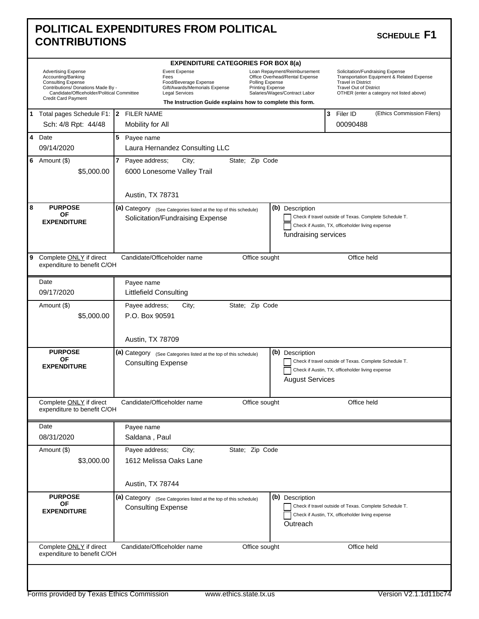| <b>POLITICAL EXPENDITURES FROM POLITICAL</b> | SCHEDULE F1 |
|----------------------------------------------|-------------|
| <b>CONTRIBUTIONS</b>                         |             |

#### SCHEDULE F1

|                                                                                                                                                                                          | <b>EXPENDITURE CATEGORIES FOR BOX 8(a)</b>             |  |                                                                                                                 |                                                           |                                     |                                                                                                 |  |                                                                                                                                                                                           |
|------------------------------------------------------------------------------------------------------------------------------------------------------------------------------------------|--------------------------------------------------------|--|-----------------------------------------------------------------------------------------------------------------|-----------------------------------------------------------|-------------------------------------|-------------------------------------------------------------------------------------------------|--|-------------------------------------------------------------------------------------------------------------------------------------------------------------------------------------------|
| <b>Advertising Expense</b><br>Accounting/Banking<br><b>Consulting Expense</b><br>Contributions/ Donations Made By -<br>Candidate/Officeholder/Political Committee<br>Credit Card Payment |                                                        |  | <b>Event Expense</b><br>Fees<br>Food/Beverage Expense<br>Gift/Awards/Memorials Expense<br><b>Legal Services</b> | The Instruction Guide explains how to complete this form. | Polling Expense<br>Printing Expense | Loan Repayment/Reimbursement<br>Office Overhead/Rental Expense<br>Salaries/Wages/Contract Labor |  | Solicitation/Fundraising Expense<br>Transportation Equipment & Related Expense<br><b>Travel in District</b><br><b>Travel Out of District</b><br>OTHER (enter a category not listed above) |
|                                                                                                                                                                                          | 1 Total pages Schedule F1:   2 FILER NAME              |  |                                                                                                                 |                                                           |                                     |                                                                                                 |  | 3 Filer ID<br>(Ethics Commission Filers)                                                                                                                                                  |
|                                                                                                                                                                                          | Sch: 4/8 Rpt: 44/48                                    |  | Mobility for All                                                                                                |                                                           |                                     |                                                                                                 |  | 00090488                                                                                                                                                                                  |
|                                                                                                                                                                                          | 4 Date                                                 |  | 5 Payee name                                                                                                    |                                                           |                                     |                                                                                                 |  |                                                                                                                                                                                           |
|                                                                                                                                                                                          | 09/14/2020                                             |  | Laura Hernandez Consulting LLC                                                                                  |                                                           |                                     |                                                                                                 |  |                                                                                                                                                                                           |
|                                                                                                                                                                                          | 6 Amount $(\$)$                                        |  | 7 Payee address;<br>City;                                                                                       |                                                           | State; Zip Code                     |                                                                                                 |  |                                                                                                                                                                                           |
|                                                                                                                                                                                          | \$5,000.00                                             |  | 6000 Lonesome Valley Trail                                                                                      |                                                           |                                     |                                                                                                 |  |                                                                                                                                                                                           |
|                                                                                                                                                                                          |                                                        |  | Austin, TX 78731                                                                                                |                                                           |                                     |                                                                                                 |  |                                                                                                                                                                                           |
| 8                                                                                                                                                                                        | <b>PURPOSE</b><br><b>OF</b>                            |  | (a) Category (See Categories listed at the top of this schedule)                                                |                                                           |                                     | (b) Description                                                                                 |  |                                                                                                                                                                                           |
|                                                                                                                                                                                          | <b>EXPENDITURE</b>                                     |  | Solicitation/Fundraising Expense                                                                                |                                                           |                                     |                                                                                                 |  | Check if travel outside of Texas. Complete Schedule T.                                                                                                                                    |
|                                                                                                                                                                                          |                                                        |  |                                                                                                                 |                                                           |                                     | fundraising services                                                                            |  | Check if Austin, TX, officeholder living expense                                                                                                                                          |
|                                                                                                                                                                                          |                                                        |  |                                                                                                                 |                                                           |                                     |                                                                                                 |  |                                                                                                                                                                                           |
| 9                                                                                                                                                                                        | Complete ONLY if direct<br>expenditure to benefit C/OH |  | Candidate/Officeholder name                                                                                     |                                                           | Office sought                       |                                                                                                 |  | Office held                                                                                                                                                                               |
|                                                                                                                                                                                          | Date                                                   |  | Payee name                                                                                                      |                                                           |                                     |                                                                                                 |  |                                                                                                                                                                                           |
|                                                                                                                                                                                          | 09/17/2020                                             |  | Littlefield Consulting                                                                                          |                                                           |                                     |                                                                                                 |  |                                                                                                                                                                                           |
|                                                                                                                                                                                          | Amount (\$)                                            |  | Payee address;<br>City;                                                                                         |                                                           | State; Zip Code                     |                                                                                                 |  |                                                                                                                                                                                           |
|                                                                                                                                                                                          | \$5,000.00                                             |  | P.O. Box 90591                                                                                                  |                                                           |                                     |                                                                                                 |  |                                                                                                                                                                                           |
|                                                                                                                                                                                          |                                                        |  |                                                                                                                 |                                                           |                                     |                                                                                                 |  |                                                                                                                                                                                           |
|                                                                                                                                                                                          |                                                        |  | Austin, TX 78709                                                                                                |                                                           |                                     |                                                                                                 |  |                                                                                                                                                                                           |
|                                                                                                                                                                                          | <b>PURPOSE</b><br><b>OF</b>                            |  | (a) Category (See Categories listed at the top of this schedule)                                                |                                                           |                                     | (b) Description                                                                                 |  |                                                                                                                                                                                           |
|                                                                                                                                                                                          | <b>EXPENDITURE</b>                                     |  | <b>Consulting Expense</b>                                                                                       |                                                           |                                     |                                                                                                 |  | Check if travel outside of Texas. Complete Schedule T.<br>Check if Austin, TX, officeholder living expense                                                                                |
|                                                                                                                                                                                          |                                                        |  |                                                                                                                 |                                                           |                                     | <b>August Services</b>                                                                          |  |                                                                                                                                                                                           |
|                                                                                                                                                                                          |                                                        |  |                                                                                                                 |                                                           |                                     |                                                                                                 |  |                                                                                                                                                                                           |
|                                                                                                                                                                                          | Complete ONLY if direct<br>expenditure to benefit C/OH |  | Candidate/Officeholder name                                                                                     |                                                           | Office sought                       |                                                                                                 |  | Office held                                                                                                                                                                               |
|                                                                                                                                                                                          |                                                        |  |                                                                                                                 |                                                           |                                     |                                                                                                 |  |                                                                                                                                                                                           |
|                                                                                                                                                                                          | Date                                                   |  | Payee name                                                                                                      |                                                           |                                     |                                                                                                 |  |                                                                                                                                                                                           |
|                                                                                                                                                                                          | 08/31/2020                                             |  | Saldana, Paul                                                                                                   |                                                           |                                     |                                                                                                 |  |                                                                                                                                                                                           |
|                                                                                                                                                                                          | Amount (\$)                                            |  | Payee address;<br>City;                                                                                         |                                                           | State; Zip Code                     |                                                                                                 |  |                                                                                                                                                                                           |
|                                                                                                                                                                                          | \$3,000.00                                             |  | 1612 Melissa Oaks Lane                                                                                          |                                                           |                                     |                                                                                                 |  |                                                                                                                                                                                           |
|                                                                                                                                                                                          |                                                        |  |                                                                                                                 |                                                           |                                     |                                                                                                 |  |                                                                                                                                                                                           |
|                                                                                                                                                                                          |                                                        |  | Austin, TX 78744                                                                                                |                                                           |                                     |                                                                                                 |  |                                                                                                                                                                                           |
|                                                                                                                                                                                          | <b>PURPOSE</b>                                         |  | (a) Category (See Categories listed at the top of this schedule)                                                |                                                           |                                     | (b) Description                                                                                 |  |                                                                                                                                                                                           |
|                                                                                                                                                                                          | ΟF<br><b>EXPENDITURE</b>                               |  | <b>Consulting Expense</b>                                                                                       |                                                           |                                     |                                                                                                 |  | Check if travel outside of Texas. Complete Schedule T.                                                                                                                                    |
|                                                                                                                                                                                          |                                                        |  |                                                                                                                 |                                                           |                                     |                                                                                                 |  | Check if Austin, TX, officeholder living expense                                                                                                                                          |
|                                                                                                                                                                                          |                                                        |  |                                                                                                                 |                                                           |                                     | Outreach                                                                                        |  |                                                                                                                                                                                           |
|                                                                                                                                                                                          |                                                        |  |                                                                                                                 |                                                           |                                     |                                                                                                 |  |                                                                                                                                                                                           |
|                                                                                                                                                                                          | Complete ONLY if direct<br>expenditure to benefit C/OH |  | Candidate/Officeholder name                                                                                     |                                                           | Office sought                       |                                                                                                 |  | Office held                                                                                                                                                                               |
|                                                                                                                                                                                          |                                                        |  |                                                                                                                 |                                                           |                                     |                                                                                                 |  |                                                                                                                                                                                           |
|                                                                                                                                                                                          |                                                        |  |                                                                                                                 |                                                           |                                     |                                                                                                 |  |                                                                                                                                                                                           |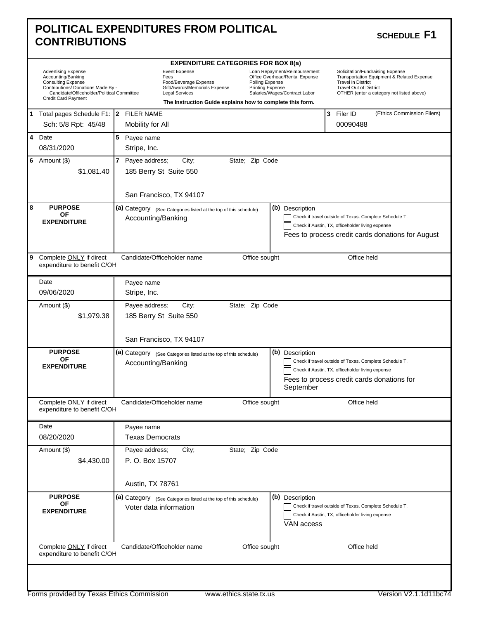|   | <b>CONTRIBUTIONS</b>                                                                                                                                                              | POLITICAL EXPENDITURES FROM POLITICAL<br><b>SCHEDULE F1</b>                                                                                                                                                                                                                                                                                                                                                                                                                                                         |  |
|---|-----------------------------------------------------------------------------------------------------------------------------------------------------------------------------------|---------------------------------------------------------------------------------------------------------------------------------------------------------------------------------------------------------------------------------------------------------------------------------------------------------------------------------------------------------------------------------------------------------------------------------------------------------------------------------------------------------------------|--|
|   |                                                                                                                                                                                   | <b>EXPENDITURE CATEGORIES FOR BOX 8(a)</b>                                                                                                                                                                                                                                                                                                                                                                                                                                                                          |  |
|   | <b>Advertising Expense</b><br>Accounting/Banking<br>Consulting Expense<br>Contributions/ Donations Made By -<br>Candidate/Officeholder/Political Committee<br>Credit Card Payment | Event Expense<br>Loan Repayment/Reimbursement<br>Solicitation/Fundraising Expense<br>Office Overhead/Rental Expense<br>Transportation Equipment & Related Expense<br>Fees<br>Food/Beverage Expense<br>Polling Expense<br><b>Travel in District</b><br><b>Printing Expense</b><br>Gift/Awards/Memorials Expense<br><b>Travel Out of District</b><br>Salaries/Wages/Contract Labor<br><b>Legal Services</b><br>OTHER (enter a category not listed above)<br>The Instruction Guide explains how to complete this form. |  |
|   | 1 Total pages Schedule F1: 2 FILER NAME                                                                                                                                           | 3<br>(Ethics Commission Filers)<br>Filer ID                                                                                                                                                                                                                                                                                                                                                                                                                                                                         |  |
|   | Sch: 5/8 Rpt: 45/48                                                                                                                                                               | 00090488<br>Mobility for All                                                                                                                                                                                                                                                                                                                                                                                                                                                                                        |  |
|   | 4 Date<br>08/31/2020                                                                                                                                                              | 5<br>Payee name<br>Stripe, Inc.                                                                                                                                                                                                                                                                                                                                                                                                                                                                                     |  |
|   | 6 Amount $(\$)$<br>\$1,081.40                                                                                                                                                     | 7 Payee address;<br>City;<br>State; Zip Code<br>185 Berry St Suite 550<br>San Francisco, TX 94107                                                                                                                                                                                                                                                                                                                                                                                                                   |  |
| 8 | <b>PURPOSE</b><br><b>OF</b><br><b>EXPENDITURE</b>                                                                                                                                 | (b) Description<br>(a) Category (See Categories listed at the top of this schedule)<br>Check if travel outside of Texas. Complete Schedule T.<br>Accounting/Banking<br>Check if Austin, TX, officeholder living expense<br>Fees to process credit cards donations for August                                                                                                                                                                                                                                        |  |
| 9 | Complete ONLY if direct<br>expenditure to benefit C/OH                                                                                                                            | Candidate/Officeholder name<br>Office sought<br>Office held                                                                                                                                                                                                                                                                                                                                                                                                                                                         |  |
|   | Date                                                                                                                                                                              | Payee name                                                                                                                                                                                                                                                                                                                                                                                                                                                                                                          |  |
|   | 09/06/2020                                                                                                                                                                        | Stripe, Inc.                                                                                                                                                                                                                                                                                                                                                                                                                                                                                                        |  |
|   |                                                                                                                                                                                   | State; Zip Code                                                                                                                                                                                                                                                                                                                                                                                                                                                                                                     |  |
|   | Amount (\$)<br>\$1,979.38                                                                                                                                                         | Payee address;<br>City;<br>185 Berry St Suite 550<br>San Francisco, TX 94107                                                                                                                                                                                                                                                                                                                                                                                                                                        |  |
|   | <b>PURPOSE</b>                                                                                                                                                                    | (b) Description<br>(a) Category (See Categories listed at the top of this schedule)                                                                                                                                                                                                                                                                                                                                                                                                                                 |  |
|   | <b>OF</b><br><b>EXPENDITURE</b>                                                                                                                                                   | Check if travel outside of Texas. Complete Schedule T.<br>Accounting/Banking<br>Check if Austin, TX, officeholder living expense<br>Fees to process credit cards donations for<br>September                                                                                                                                                                                                                                                                                                                         |  |
|   | Complete ONLY if direct<br>expenditure to benefit C/OH                                                                                                                            | Office sought<br>Office held<br>Candidate/Officeholder name                                                                                                                                                                                                                                                                                                                                                                                                                                                         |  |
|   | Date                                                                                                                                                                              | Payee name                                                                                                                                                                                                                                                                                                                                                                                                                                                                                                          |  |
|   | 08/20/2020                                                                                                                                                                        | <b>Texas Democrats</b>                                                                                                                                                                                                                                                                                                                                                                                                                                                                                              |  |
|   | Amount (\$)<br>\$4,430.00                                                                                                                                                         | State; Zip Code<br>Payee address;<br>City;<br>P. O. Box 15707                                                                                                                                                                                                                                                                                                                                                                                                                                                       |  |
|   |                                                                                                                                                                                   | Austin, TX 78761                                                                                                                                                                                                                                                                                                                                                                                                                                                                                                    |  |
|   | <b>PURPOSE</b><br><b>OF</b><br><b>EXPENDITURE</b>                                                                                                                                 | (b) Description<br>(a) Category (See Categories listed at the top of this schedule)<br>Check if travel outside of Texas. Complete Schedule T.<br>Voter data information<br>Check if Austin, TX, officeholder living expense<br>VAN access                                                                                                                                                                                                                                                                           |  |
|   | Complete ONLY if direct<br>expenditure to benefit C/OH                                                                                                                            | Candidate/Officeholder name<br>Office sought<br>Office held                                                                                                                                                                                                                                                                                                                                                                                                                                                         |  |
|   |                                                                                                                                                                                   |                                                                                                                                                                                                                                                                                                                                                                                                                                                                                                                     |  |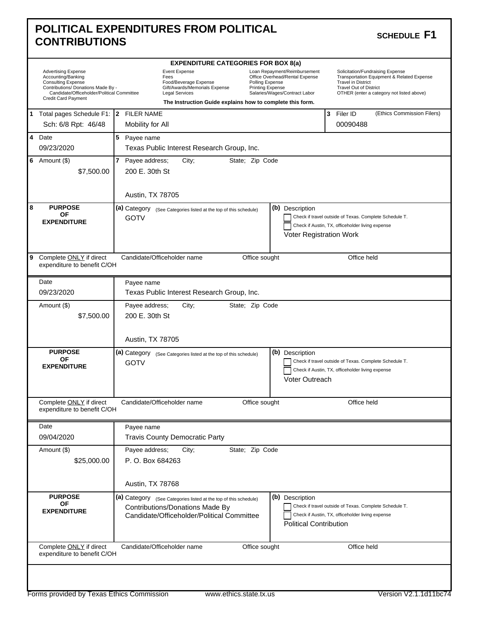|   | POLITICAL EXPENDITURES FROM POLITICAL<br><b>SCHEDULE F1</b><br><b>CONTRIBUTIONS</b>                                                                                                      |                                                                                                                                                                                                                                                                                                                                                                                                                                                                                                                     |  |  |  |  |  |  |
|---|------------------------------------------------------------------------------------------------------------------------------------------------------------------------------------------|---------------------------------------------------------------------------------------------------------------------------------------------------------------------------------------------------------------------------------------------------------------------------------------------------------------------------------------------------------------------------------------------------------------------------------------------------------------------------------------------------------------------|--|--|--|--|--|--|
|   |                                                                                                                                                                                          | <b>EXPENDITURE CATEGORIES FOR BOX 8(a)</b>                                                                                                                                                                                                                                                                                                                                                                                                                                                                          |  |  |  |  |  |  |
|   | <b>Advertising Expense</b><br>Accounting/Banking<br><b>Consulting Expense</b><br>Contributions/ Donations Made By -<br>Candidate/Officeholder/Political Committee<br>Credit Card Payment | Event Expense<br>Loan Repayment/Reimbursement<br>Solicitation/Fundraising Expense<br>Office Overhead/Rental Expense<br>Transportation Equipment & Related Expense<br>Fees<br>Polling Expense<br><b>Travel in District</b><br>Food/Beverage Expense<br>Gift/Awards/Memorials Expense<br><b>Printing Expense</b><br><b>Travel Out of District</b><br>Salaries/Wages/Contract Labor<br><b>Legal Services</b><br>OTHER (enter a category not listed above)<br>The Instruction Guide explains how to complete this form. |  |  |  |  |  |  |
| 1 | Total pages Schedule F1:   2 FILER NAME<br>Sch: 6/8 Rpt: 46/48                                                                                                                           | (Ethics Commission Filers)<br>3 Filer ID<br>Mobility for All<br>00090488                                                                                                                                                                                                                                                                                                                                                                                                                                            |  |  |  |  |  |  |
| 4 | Date<br>09/23/2020                                                                                                                                                                       | 5 Payee name<br>Texas Public Interest Research Group, Inc.                                                                                                                                                                                                                                                                                                                                                                                                                                                          |  |  |  |  |  |  |
| 6 | Amount (\$)<br>\$7,500.00                                                                                                                                                                | Payee address;<br>$\mathbf{7}$<br>City;<br>State; Zip Code<br>200 E. 30th St<br>Austin, TX 78705                                                                                                                                                                                                                                                                                                                                                                                                                    |  |  |  |  |  |  |
| 8 | <b>PURPOSE</b><br><b>OF</b><br><b>EXPENDITURE</b>                                                                                                                                        | (b) Description<br>(a) Category<br>(See Categories listed at the top of this schedule)<br>Check if travel outside of Texas. Complete Schedule T.<br><b>GOTV</b><br>Check if Austin, TX, officeholder living expense<br>Voter Registration Work                                                                                                                                                                                                                                                                      |  |  |  |  |  |  |
| 9 | Complete ONLY if direct<br>expenditure to benefit C/OH                                                                                                                                   | Candidate/Officeholder name<br>Office sought<br>Office held                                                                                                                                                                                                                                                                                                                                                                                                                                                         |  |  |  |  |  |  |
|   | Date                                                                                                                                                                                     | Payee name                                                                                                                                                                                                                                                                                                                                                                                                                                                                                                          |  |  |  |  |  |  |
|   | 09/23/2020                                                                                                                                                                               | Texas Public Interest Research Group, Inc.                                                                                                                                                                                                                                                                                                                                                                                                                                                                          |  |  |  |  |  |  |
|   | Amount (\$)                                                                                                                                                                              | Payee address;<br>City;<br>State; Zip Code                                                                                                                                                                                                                                                                                                                                                                                                                                                                          |  |  |  |  |  |  |
|   | \$7,500.00                                                                                                                                                                               | 200 E. 30th St                                                                                                                                                                                                                                                                                                                                                                                                                                                                                                      |  |  |  |  |  |  |
|   |                                                                                                                                                                                          | Austin, TX 78705                                                                                                                                                                                                                                                                                                                                                                                                                                                                                                    |  |  |  |  |  |  |
|   | <b>PURPOSE</b><br><b>OF</b><br><b>EXPENDITURE</b>                                                                                                                                        | (b) Description<br>(a) Category<br>(See Categories listed at the top of this schedule)<br>Check if travel outside of Texas. Complete Schedule T.<br><b>GOTV</b><br>Check if Austin, TX, officeholder living expense<br>Voter Outreach                                                                                                                                                                                                                                                                               |  |  |  |  |  |  |
|   | Complete ONLY if direct<br>expenditure to benefit C/OH                                                                                                                                   | Candidate/Officeholder name<br>Office sought<br>Office held                                                                                                                                                                                                                                                                                                                                                                                                                                                         |  |  |  |  |  |  |
|   | Date                                                                                                                                                                                     | Payee name                                                                                                                                                                                                                                                                                                                                                                                                                                                                                                          |  |  |  |  |  |  |
|   | 09/04/2020                                                                                                                                                                               | <b>Travis County Democratic Party</b>                                                                                                                                                                                                                                                                                                                                                                                                                                                                               |  |  |  |  |  |  |
|   | Amount (\$)<br>\$25,000.00                                                                                                                                                               | Payee address;<br>State; Zip Code<br>City;<br>P. O. Box 684263                                                                                                                                                                                                                                                                                                                                                                                                                                                      |  |  |  |  |  |  |
|   |                                                                                                                                                                                          | Austin, TX 78768                                                                                                                                                                                                                                                                                                                                                                                                                                                                                                    |  |  |  |  |  |  |
|   | <b>PURPOSE</b><br>OF<br><b>EXPENDITURE</b>                                                                                                                                               | (b) Description<br>(a) Category (See Categories listed at the top of this schedule)<br>Check if travel outside of Texas. Complete Schedule T.<br>Contributions/Donations Made By<br>Check if Austin, TX, officeholder living expense<br>Candidate/Officeholder/Political Committee<br><b>Political Contribution</b>                                                                                                                                                                                                 |  |  |  |  |  |  |
|   | Complete ONLY if direct<br>expenditure to benefit C/OH                                                                                                                                   | Candidate/Officeholder name<br>Office sought<br>Office held                                                                                                                                                                                                                                                                                                                                                                                                                                                         |  |  |  |  |  |  |
|   |                                                                                                                                                                                          |                                                                                                                                                                                                                                                                                                                                                                                                                                                                                                                     |  |  |  |  |  |  |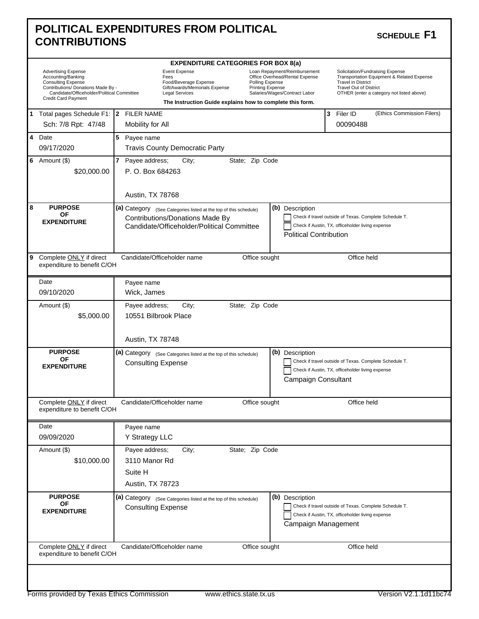| POLITICAL EXPENDITURES FROM POLITICAL | SCHEDULE F1 |
|---------------------------------------|-------------|
| <b>CONTRIBUTIONS</b>                  |             |

### SCHEDULE F1

|   |                                                                                                                                                                                          |  | <b>EXPENDITURE CATEGORIES FOR BOX 8(a)</b>                                                                                                                                                                                                                                                                      |  |                 |  |                                                                                                                                                                                    |            |                                                                                                            |  |
|---|------------------------------------------------------------------------------------------------------------------------------------------------------------------------------------------|--|-----------------------------------------------------------------------------------------------------------------------------------------------------------------------------------------------------------------------------------------------------------------------------------------------------------------|--|-----------------|--|------------------------------------------------------------------------------------------------------------------------------------------------------------------------------------|------------|------------------------------------------------------------------------------------------------------------|--|
|   | <b>Advertising Expense</b><br>Accounting/Banking<br><b>Consulting Expense</b><br>Contributions/ Donations Made By -<br>Candidate/Officeholder/Political Committee<br>Credit Card Payment |  | <b>Event Expense</b><br>Loan Repayment/Reimbursement<br>Office Overhead/Rental Expense<br>Fees<br>Food/Beverage Expense<br>Polling Expense<br>Gift/Awards/Memorials Expense<br>Printing Expense<br>Legal Services<br>Salaries/Wages/Contract Labor<br>The Instruction Guide explains how to complete this form. |  |                 |  | Solicitation/Fundraising Expense<br>Transportation Equipment & Related Expense<br><b>Travel in District</b><br>Travel Out of District<br>OTHER (enter a category not listed above) |            |                                                                                                            |  |
|   | 1 Total pages Schedule F1:   2 FILER NAME                                                                                                                                                |  |                                                                                                                                                                                                                                                                                                                 |  |                 |  |                                                                                                                                                                                    | 3 Filer ID | (Ethics Commission Filers)                                                                                 |  |
|   | Sch: 7/8 Rpt: 47/48                                                                                                                                                                      |  | Mobility for All                                                                                                                                                                                                                                                                                                |  |                 |  |                                                                                                                                                                                    |            | 00090488                                                                                                   |  |
|   | 4 Date<br>09/17/2020                                                                                                                                                                     |  | 5 Payee name<br><b>Travis County Democratic Party</b>                                                                                                                                                                                                                                                           |  |                 |  |                                                                                                                                                                                    |            |                                                                                                            |  |
|   |                                                                                                                                                                                          |  | 7 Payee address;                                                                                                                                                                                                                                                                                                |  | State; Zip Code |  |                                                                                                                                                                                    |            |                                                                                                            |  |
|   | 6 Amount $(\$)$<br>\$20,000.00                                                                                                                                                           |  | City;<br>P. O. Box 684263<br>Austin, TX 78768                                                                                                                                                                                                                                                                   |  |                 |  |                                                                                                                                                                                    |            |                                                                                                            |  |
|   |                                                                                                                                                                                          |  |                                                                                                                                                                                                                                                                                                                 |  |                 |  |                                                                                                                                                                                    |            |                                                                                                            |  |
| 8 | <b>PURPOSE</b><br><b>OF</b><br><b>EXPENDITURE</b>                                                                                                                                        |  | (a) Category (See Categories listed at the top of this schedule)<br>Contributions/Donations Made By<br>Candidate/Officeholder/Political Committee                                                                                                                                                               |  |                 |  | (b) Description<br><b>Political Contribution</b>                                                                                                                                   |            | Check if travel outside of Texas. Complete Schedule T.<br>Check if Austin, TX, officeholder living expense |  |
| 9 | Complete ONLY if direct<br>expenditure to benefit C/OH                                                                                                                                   |  | Candidate/Officeholder name                                                                                                                                                                                                                                                                                     |  | Office sought   |  |                                                                                                                                                                                    |            | Office held                                                                                                |  |
|   | Date                                                                                                                                                                                     |  | Payee name                                                                                                                                                                                                                                                                                                      |  |                 |  |                                                                                                                                                                                    |            |                                                                                                            |  |
|   | 09/10/2020                                                                                                                                                                               |  | Wick, James                                                                                                                                                                                                                                                                                                     |  |                 |  |                                                                                                                                                                                    |            |                                                                                                            |  |
|   | Amount (\$)                                                                                                                                                                              |  | Payee address;<br>City;                                                                                                                                                                                                                                                                                         |  | State; Zip Code |  |                                                                                                                                                                                    |            |                                                                                                            |  |
|   | \$5,000.00                                                                                                                                                                               |  | 10551 Bilbrook Place<br>Austin, TX 78748                                                                                                                                                                                                                                                                        |  |                 |  |                                                                                                                                                                                    |            |                                                                                                            |  |
|   | <b>PURPOSE</b>                                                                                                                                                                           |  |                                                                                                                                                                                                                                                                                                                 |  |                 |  |                                                                                                                                                                                    |            |                                                                                                            |  |
|   | ΟF<br><b>EXPENDITURE</b>                                                                                                                                                                 |  | (a) Category (See Categories listed at the top of this schedule)<br><b>Consulting Expense</b>                                                                                                                                                                                                                   |  |                 |  | (b) Description<br>Campaign Consultant                                                                                                                                             |            | Check if travel outside of Texas. Complete Schedule T.<br>Check if Austin, TX, officeholder living expense |  |
|   | Complete ONLY if direct<br>expenditure to benefit C/OH                                                                                                                                   |  | Candidate/Officeholder name                                                                                                                                                                                                                                                                                     |  | Office sought   |  |                                                                                                                                                                                    |            | Office held                                                                                                |  |
|   | Date                                                                                                                                                                                     |  | Payee name                                                                                                                                                                                                                                                                                                      |  |                 |  |                                                                                                                                                                                    |            |                                                                                                            |  |
|   | 09/09/2020                                                                                                                                                                               |  | Y Strategy LLC                                                                                                                                                                                                                                                                                                  |  |                 |  |                                                                                                                                                                                    |            |                                                                                                            |  |
|   | Amount (\$)                                                                                                                                                                              |  | Payee address;<br>City;                                                                                                                                                                                                                                                                                         |  | State; Zip Code |  |                                                                                                                                                                                    |            |                                                                                                            |  |
|   | \$10,000.00                                                                                                                                                                              |  | 3110 Manor Rd                                                                                                                                                                                                                                                                                                   |  |                 |  |                                                                                                                                                                                    |            |                                                                                                            |  |
|   |                                                                                                                                                                                          |  | Suite H                                                                                                                                                                                                                                                                                                         |  |                 |  |                                                                                                                                                                                    |            |                                                                                                            |  |
|   |                                                                                                                                                                                          |  | Austin, TX 78723                                                                                                                                                                                                                                                                                                |  |                 |  |                                                                                                                                                                                    |            |                                                                                                            |  |
|   | <b>PURPOSE</b><br>OF<br><b>EXPENDITURE</b>                                                                                                                                               |  | (a) Category (See Categories listed at the top of this schedule)<br><b>Consulting Expense</b>                                                                                                                                                                                                                   |  |                 |  | (b) Description<br>Campaign Management                                                                                                                                             |            | Check if travel outside of Texas. Complete Schedule T.<br>Check if Austin, TX, officeholder living expense |  |
|   | Complete ONLY if direct<br>expenditure to benefit C/OH                                                                                                                                   |  | Candidate/Officeholder name                                                                                                                                                                                                                                                                                     |  | Office sought   |  |                                                                                                                                                                                    |            | Office held                                                                                                |  |
|   |                                                                                                                                                                                          |  |                                                                                                                                                                                                                                                                                                                 |  |                 |  |                                                                                                                                                                                    |            |                                                                                                            |  |